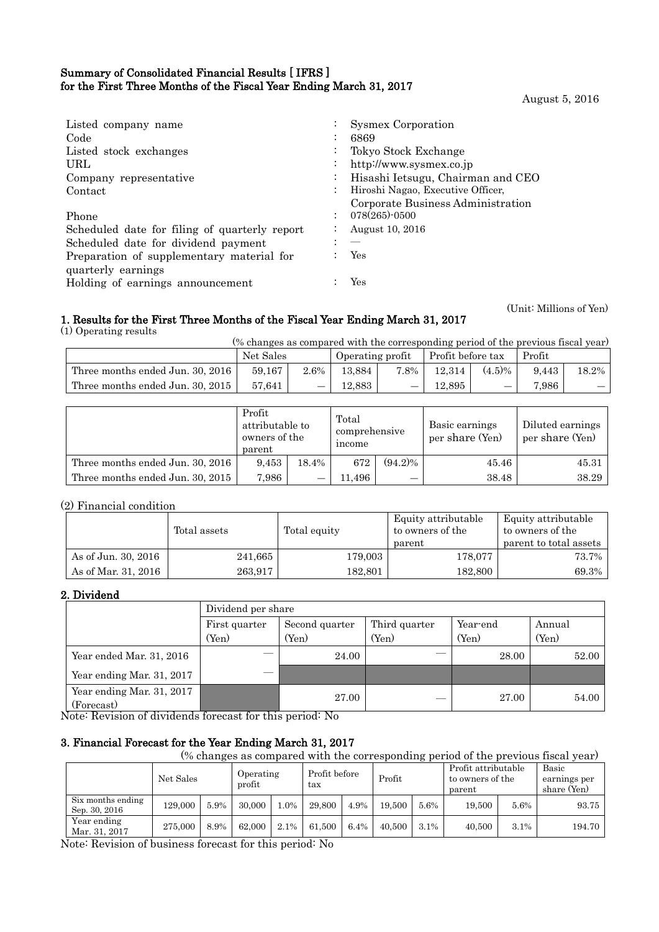# Summary of Consolidated Financial Results [ IFRS ] for the First Three Months of the Fiscal Year Ending March 31, 2017

August 5, 2016

(Unit: Millions of Yen)

| Listed company name<br>Code<br>Listed stock exchanges<br>URL<br>Company representative<br>Contact<br>Phone<br>Scheduled date for filing of quarterly report<br>Scheduled date for dividend payment | Sysmex Corporation<br>6869<br>Tokyo Stock Exchange<br>http://www.sysmex.co.jp<br>Hisashi Ietsugu, Chairman and CEO<br>Hiroshi Nagao, Executive Officer,<br>Corporate Business Administration<br>078(265)-0500<br>August 10, 2016 |
|----------------------------------------------------------------------------------------------------------------------------------------------------------------------------------------------------|----------------------------------------------------------------------------------------------------------------------------------------------------------------------------------------------------------------------------------|
|                                                                                                                                                                                                    |                                                                                                                                                                                                                                  |
| Preparation of supplementary material for<br>quarterly earnings                                                                                                                                    | Yes                                                                                                                                                                                                                              |
| Holding of earnings announcement                                                                                                                                                                   | Yes                                                                                                                                                                                                                              |

# 1. Results for the First Three Months of the Fiscal Year Ending March 31, 2017

(1) Operating results

| <i>b</i> Operating results                                                        |           |      |                  |      |                   |           |        |       |  |
|-----------------------------------------------------------------------------------|-----------|------|------------------|------|-------------------|-----------|--------|-------|--|
| (% changes as compared with the corresponding period of the previous fiscal year) |           |      |                  |      |                   |           |        |       |  |
|                                                                                   | Net Sales |      | Operating profit |      | Profit before tax |           | Profit |       |  |
| Three months ended Jun. 30, 2016                                                  | 59,167    | 2.6% | 13.884           | 7.8% | 12.314            | $(4.5)\%$ | 9.443  | 18.2% |  |
| Three months ended Jun. 30, 2015                                                  | 57.641    |      | 12.883           |      | 12.895            |           | 7.986  |       |  |

|                                  | Profit<br>attributable to<br>owners of the<br>parent |       | Total<br>comprehensive<br>income |            | Basic earnings<br>per share (Yen) | Diluted earnings<br>per share (Yen) |
|----------------------------------|------------------------------------------------------|-------|----------------------------------|------------|-----------------------------------|-------------------------------------|
| Three months ended Jun. 30, 2016 | 9.453                                                | 18.4% | 672                              | $(94.2)\%$ | 45.46                             | 45.31                               |
| Three months ended Jun. 30, 2015 | 7,986                                                |       | 11.496                           |            | 38.48                             | 38.29                               |

# (2) Financial condition

|                     | Total assets | Total equity | Equity attributable<br>to owners of the | Equity attributable<br>to owners of the |
|---------------------|--------------|--------------|-----------------------------------------|-----------------------------------------|
|                     |              |              | parent                                  | parent to total assets                  |
| As of Jun. 30, 2016 | 241,665      | 179,003      | 178,077                                 | 73.7%                                   |
| As of Mar. 31, 2016 | 263,917      | 182,801      | 182,800                                 | 69.3%                                   |

## 2. Dividend

|                                         |               | Dividend per share |               |          |        |  |  |  |
|-----------------------------------------|---------------|--------------------|---------------|----------|--------|--|--|--|
|                                         | First quarter | Second quarter     | Third quarter | Year-end | Annual |  |  |  |
|                                         | (Yen)         | (Yen)              | (Yen)         | (Yen)    | (Yen)  |  |  |  |
| Year ended Mar. 31, 2016                |               | 24.00              |               | 28.00    | 52.00  |  |  |  |
| Year ending Mar. 31, 2017               |               |                    |               |          |        |  |  |  |
| Year ending Mar. 31, 2017<br>(Forecast) |               | 27.00              |               | 27.00    | 54.00  |  |  |  |

Note: Revision of dividends forecast for this period: No

# 3. Financial Forecast for the Year Ending March 31, 2017

(% changes as compared with the corresponding period of the previous fiscal year)

|                                    | Net Sales |      | Profit before<br>Operating<br>profit<br>tax |        | Profit |      | Profit attributable<br>to owners of the<br>parent |      | Basic<br>earnings per<br>share (Yen) |      |        |
|------------------------------------|-----------|------|---------------------------------------------|--------|--------|------|---------------------------------------------------|------|--------------------------------------|------|--------|
| Six months ending<br>Sep. 30, 2016 | 129,000   | 5.9% | 30.000                                      | $.0\%$ | 29,800 | 4.9% | 19.500                                            | 5.6% | 19.500                               | 5.6% | 93.75  |
| Year ending<br>Mar. 31, 2017       | 275,000   | 8.9% | 62,000                                      | 2.1%   | 61.500 | 6.4% | 40.500                                            | 3.1% | 40,500                               | 3.1% | 194.70 |

Note: Revision of business forecast for this period: No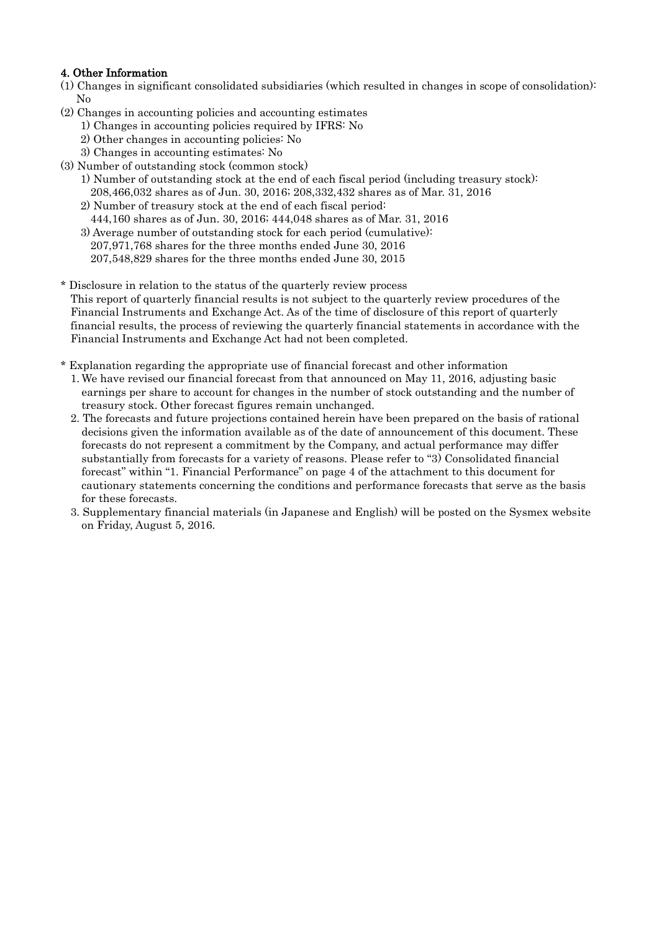# 4. Other Information

- (1) Changes in significant consolidated subsidiaries (which resulted in changes in scope of consolidation): No
- (2) Changes in accounting policies and accounting estimates
	- 1) Changes in accounting policies required by IFRS: No
	- 2) Other changes in accounting policies: No
	- 3) Changes in accounting estimates: No
- (3) Number of outstanding stock (common stock)
	- 1) Number of outstanding stock at the end of each fiscal period (including treasury stock): 208,466,032 shares as of Jun. 30, 2016; 208,332,432 shares as of Mar. 31, 2016
	- 2) Number of treasury stock at the end of each fiscal period:
		- 444,160 shares as of Jun. 30, 2016; 444,048 shares as of Mar. 31, 2016
	- 3) Average number of outstanding stock for each period (cumulative): 207,971,768 shares for the three months ended June 30, 2016 207,548,829 shares for the three months ended June 30, 2015
- Disclosure in relation to the status of the quarterly review process This report of quarterly financial results is not subject to the quarterly review procedures of the Financial Instruments and Exchange Act. As of the time of disclosure of this report of quarterly financial results, the process of reviewing the quarterly financial statements in accordance with the Financial Instruments and Exchange Act had not been completed.
- \* Explanation regarding the appropriate use of financial forecast and other information
	- 1. We have revised our financial forecast from that announced on May 11, 2016, adjusting basic earnings per share to account for changes in the number of stock outstanding and the number of treasury stock. Other forecast figures remain unchanged.
	- 2. The forecasts and future projections contained herein have been prepared on the basis of rational decisions given the information available as of the date of announcement of this document. These forecasts do not represent a commitment by the Company, and actual performance may differ substantially from forecasts for a variety of reasons. Please refer to "3) Consolidated financial forecast" within "1. Financial Performance" on page 4 of the attachment to this document for cautionary statements concerning the conditions and performance forecasts that serve as the basis for these forecasts.
	- 3. Supplementary financial materials (in Japanese and English) will be posted on the Sysmex website on Friday, August 5, 2016.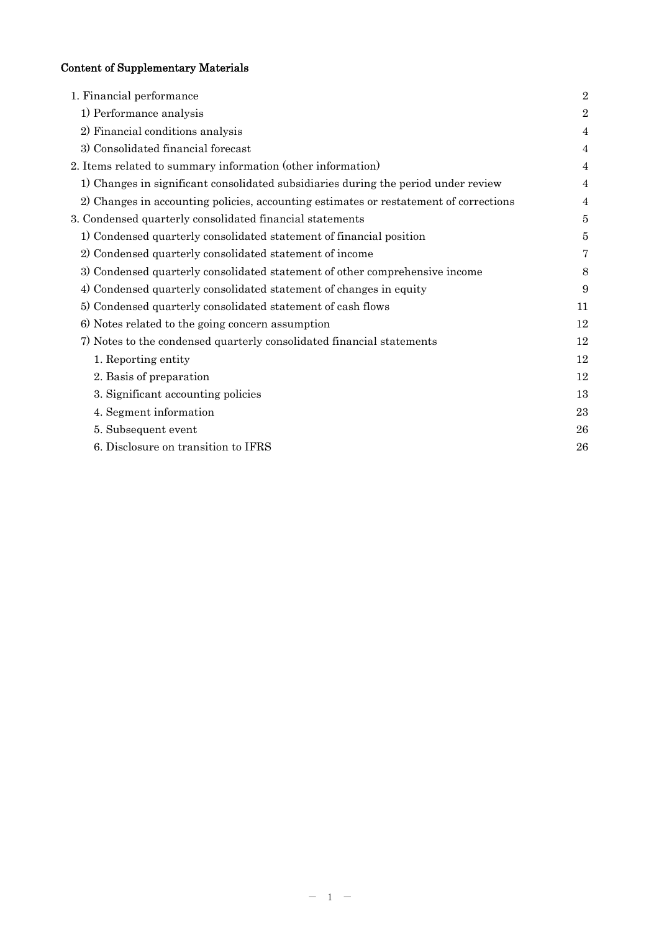# Content of Supplementary Materials

| 1. Financial performance                                                              | $\overline{2}$ |
|---------------------------------------------------------------------------------------|----------------|
| 1) Performance analysis                                                               | $\overline{2}$ |
| 2) Financial conditions analysis                                                      | 4              |
| 3) Consolidated financial forecast                                                    | 4              |
| 2. Items related to summary information (other information)                           | 4              |
| 1) Changes in significant consolidated subsidiaries during the period under review    | $\overline{4}$ |
| 2) Changes in accounting policies, accounting estimates or restatement of corrections | 4              |
| 3. Condensed quarterly consolidated financial statements                              | 5              |
| 1) Condensed quarterly consolidated statement of financial position                   | 5              |
| 2) Condensed quarterly consolidated statement of income                               | 7              |
| 3) Condensed quarterly consolidated statement of other comprehensive income           | 8              |
| 4) Condensed quarterly consolidated statement of changes in equity                    | 9              |
| 5) Condensed quarterly consolidated statement of cash flows                           | 11             |
| 6) Notes related to the going concern assumption                                      | 12             |
| 7) Notes to the condensed quarterly consolidated financial statements                 | 12             |
| 1. Reporting entity                                                                   | 12             |
| 2. Basis of preparation                                                               | 12             |
| 3. Significant accounting policies                                                    | 13             |
| 4. Segment information                                                                | 23             |
| 5. Subsequent event                                                                   | 26             |
| 6. Disclosure on transition to IFRS                                                   | 26             |
|                                                                                       |                |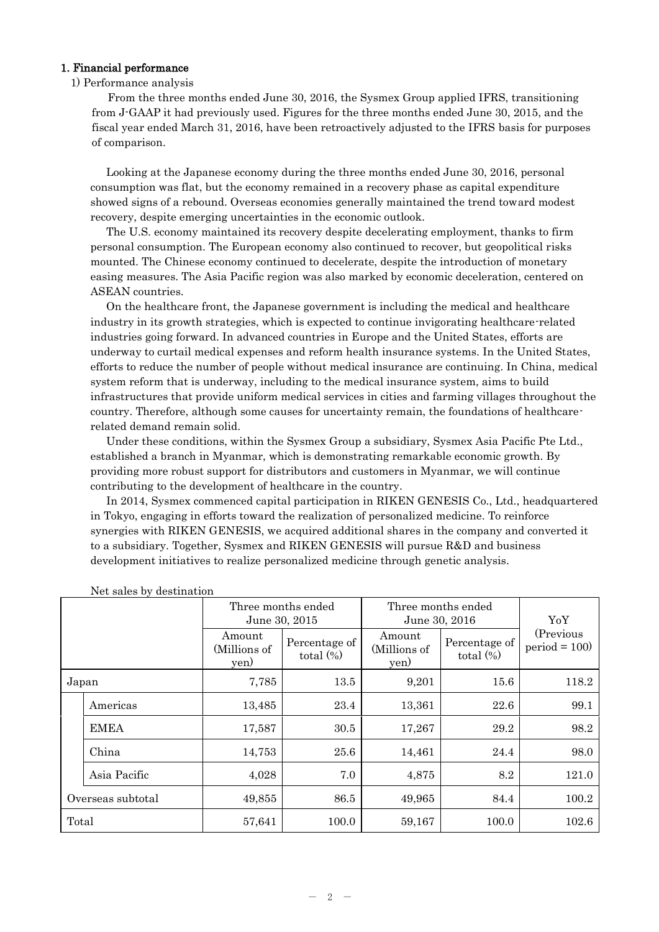## 1. Financial performance

#### 1) Performance analysis

From the three months ended June 30, 2016, the Sysmex Group applied IFRS, transitioning from J-GAAP it had previously used. Figures for the three months ended June 30, 2015, and the fiscal year ended March 31, 2016, have been retroactively adjusted to the IFRS basis for purposes of comparison.

Looking at the Japanese economy during the three months ended June 30, 2016, personal consumption was flat, but the economy remained in a recovery phase as capital expenditure showed signs of a rebound. Overseas economies generally maintained the trend toward modest recovery, despite emerging uncertainties in the economic outlook.

The U.S. economy maintained its recovery despite decelerating employment, thanks to firm personal consumption. The European economy also continued to recover, but geopolitical risks mounted. The Chinese economy continued to decelerate, despite the introduction of monetary easing measures. The Asia Pacific region was also marked by economic deceleration, centered on ASEAN countries.

On the healthcare front, the Japanese government is including the medical and healthcare industry in its growth strategies, which is expected to continue invigorating healthcare-related industries going forward. In advanced countries in Europe and the United States, efforts are underway to curtail medical expenses and reform health insurance systems. In the United States, efforts to reduce the number of people without medical insurance are continuing. In China, medical system reform that is underway, including to the medical insurance system, aims to build infrastructures that provide uniform medical services in cities and farming villages throughout the country. Therefore, although some causes for uncertainty remain, the foundations of healthcarerelated demand remain solid.

Under these conditions, within the Sysmex Group a subsidiary, Sysmex Asia Pacific Pte Ltd., established a branch in Myanmar, which is demonstrating remarkable economic growth. By providing more robust support for distributors and customers in Myanmar, we will continue contributing to the development of healthcare in the country.

In 2014, Sysmex commenced capital participation in RIKEN GENESIS Co., Ltd., headquartered in Tokyo, engaging in efforts toward the realization of personalized medicine. To reinforce synergies with RIKEN GENESIS, we acquired additional shares in the company and converted it to a subsidiary. Together, Sysmex and RIKEN GENESIS will pursue R&D and business development initiatives to realize personalized medicine through genetic analysis.

|                   |              |                                | Three months ended<br>June 30, 2015 |                                | Three months ended<br>June 30, 2016 |                             |  |
|-------------------|--------------|--------------------------------|-------------------------------------|--------------------------------|-------------------------------------|-----------------------------|--|
|                   |              | Amount<br>(Millions of<br>yen) | Percentage of<br>total $(\%)$       | Amount<br>(Millions of<br>yen) | Percentage of<br>total $(\%)$       | (Previous<br>$period = 100$ |  |
| Japan             |              | 7,785                          | 13.5                                | 9,201                          | 15.6                                | 118.2                       |  |
|                   | Americas     | 13,485                         | 23.4                                | 13,361                         | 22.6                                | 99.1                        |  |
|                   | <b>EMEA</b>  | 17,587                         | 30.5                                | 17,267                         | 29.2                                | 98.2                        |  |
|                   | China        | 14,753                         | 25.6                                | 14,461                         | 24.4                                | 98.0                        |  |
|                   | Asia Pacific | 4,028                          | 7.0                                 | 4,875                          | 8.2                                 | 121.0                       |  |
| Overseas subtotal |              | 49,855                         | 86.5                                | 49,965                         | 84.4                                | 100.2                       |  |
| Total             |              | 57,641                         | 100.0                               | 59,167                         | 100.0                               | 102.6                       |  |

Net sales by destination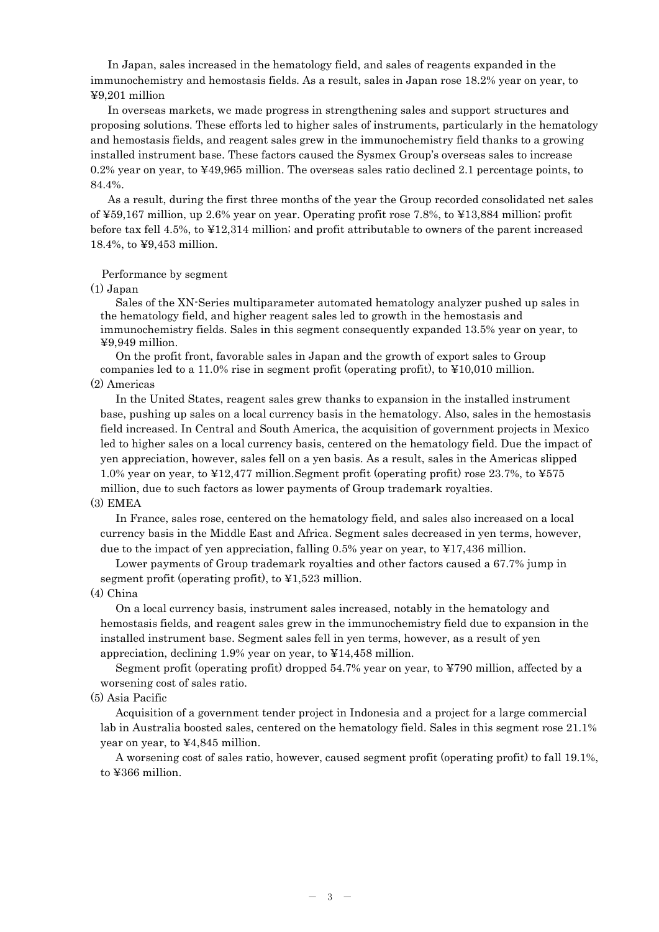In Japan, sales increased in the hematology field, and sales of reagents expanded in the immunochemistry and hemostasis fields. As a result, sales in Japan rose 18.2% year on year, to ¥9,201 million

In overseas markets, we made progress in strengthening sales and support structures and proposing solutions. These efforts led to higher sales of instruments, particularly in the hematology and hemostasis fields, and reagent sales grew in the immunochemistry field thanks to a growing installed instrument base. These factors caused the Sysmex Group's overseas sales to increase 0.2% year on year, to ¥49,965 million. The overseas sales ratio declined 2.1 percentage points, to 84.4%.

As a result, during the first three months of the year the Group recorded consolidated net sales of ¥59,167 million, up 2.6% year on year. Operating profit rose 7.8%, to ¥13,884 million; profit before tax fell 4.5%, to ¥12,314 million; and profit attributable to owners of the parent increased 18.4%, to ¥9,453 million.

## Performance by segment

 $(1)$  Japan

Sales of the XN-Series multiparameter automated hematology analyzer pushed up sales in the hematology field, and higher reagent sales led to growth in the hemostasis and immunochemistry fields. Sales in this segment consequently expanded 13.5% year on year, to ¥9,949 million.

On the profit front, favorable sales in Japan and the growth of export sales to Group companies led to a 11.0% rise in segment profit (operating profit), to ¥10,010 million. (2) Americas

In the United States, reagent sales grew thanks to expansion in the installed instrument base, pushing up sales on a local currency basis in the hematology. Also, sales in the hemostasis field increased. In Central and South America, the acquisition of government projects in Mexico led to higher sales on a local currency basis, centered on the hematology field. Due the impact of yen appreciation, however, sales fell on a yen basis. As a result, sales in the Americas slipped 1.0% year on year, to ¥12,477 million.Segment profit (operating profit) rose 23.7%, to ¥575 million, due to such factors as lower payments of Group trademark royalties.

## (3) EMEA

In France, sales rose, centered on the hematology field, and sales also increased on a local currency basis in the Middle East and Africa. Segment sales decreased in yen terms, however, due to the impact of yen appreciation, falling 0.5% year on year, to ¥17,436 million.

Lower payments of Group trademark royalties and other factors caused a 67.7% jump in segment profit (operating profit), to ¥1,523 million.

#### (4) China

On a local currency basis, instrument sales increased, notably in the hematology and hemostasis fields, and reagent sales grew in the immunochemistry field due to expansion in the installed instrument base. Segment sales fell in yen terms, however, as a result of yen appreciation, declining 1.9% year on year, to ¥14,458 million.

Segment profit (operating profit) dropped 54.7% year on year, to ¥790 million, affected by a worsening cost of sales ratio.

## (5) Asia Pacific

Acquisition of a government tender project in Indonesia and a project for a large commercial lab in Australia boosted sales, centered on the hematology field. Sales in this segment rose 21.1% year on year, to ¥4,845 million.

A worsening cost of sales ratio, however, caused segment profit (operating profit) to fall 19.1%, to ¥366 million.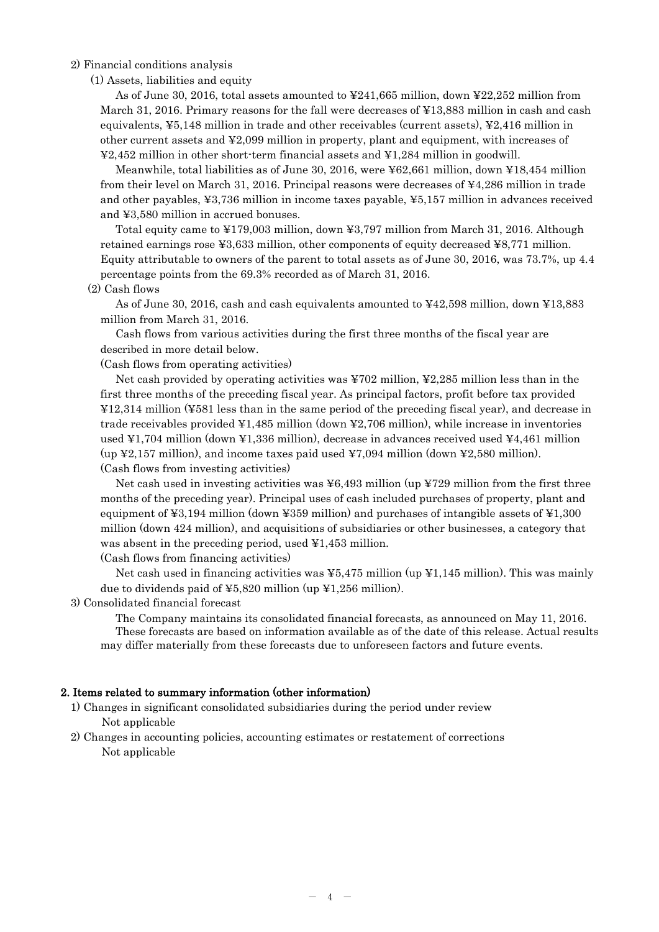## 2) Financial conditions analysis

(1) Assets, liabilities and equity

As of June 30, 2016, total assets amounted to ¥241,665 million, down ¥22,252 million from March 31, 2016. Primary reasons for the fall were decreases of ¥13,883 million in cash and cash equivalents, ¥5,148 million in trade and other receivables (current assets), ¥2,416 million in other current assets and ¥2,099 million in property, plant and equipment, with increases of ¥2,452 million in other short-term financial assets and ¥1,284 million in goodwill.

Meanwhile, total liabilities as of June 30, 2016, were ¥62,661 million, down ¥18,454 million from their level on March 31, 2016. Principal reasons were decreases of ¥4,286 million in trade and other payables, ¥3,736 million in income taxes payable, ¥5,157 million in advances received and ¥3,580 million in accrued bonuses.

Total equity came to ¥179,003 million, down ¥3,797 million from March 31, 2016. Although retained earnings rose ¥3,633 million, other components of equity decreased ¥8,771 million. Equity attributable to owners of the parent to total assets as of June 30, 2016, was 73.7%, up 4.4 percentage points from the 69.3% recorded as of March 31, 2016.

#### (2) Cash flows

As of June 30, 2016, cash and cash equivalents amounted to ¥42,598 million, down ¥13,883 million from March 31, 2016.

Cash flows from various activities during the first three months of the fiscal year are described in more detail below.

(Cash flows from operating activities)

Net cash provided by operating activities was ¥702 million, ¥2,285 million less than in the first three months of the preceding fiscal year. As principal factors, profit before tax provided ¥12,314 million (¥581 less than in the same period of the preceding fiscal year), and decrease in trade receivables provided  $\text{\textsterling}1,485$  million (down  $\text{\textsterling}2,706$  million), while increase in inventories used ¥1,704 million (down ¥1,336 million), decrease in advances received used ¥4,461 million (up  $\yen$ 2,157 million), and income taxes paid used  $\yen$ 7,094 million (down  $\yen$ 2,580 million). (Cash flows from investing activities)

Net cash used in investing activities was  $\frac{1}{2}6,493$  million (up  $\frac{1}{2}729$  million from the first three months of the preceding year). Principal uses of cash included purchases of property, plant and equipment of ¥3,194 million (down ¥359 million) and purchases of intangible assets of ¥1,300 million (down 424 million), and acquisitions of subsidiaries or other businesses, a category that was absent in the preceding period, used ¥1,453 million.

(Cash flows from financing activities)

Net cash used in financing activities was  $\frac{1}{2}$ ,  $\frac{1}{2}$  million (up  $\frac{1}{2}$ 1,145 million). This was mainly due to dividends paid of ¥5,820 million (up ¥1,256 million).

## 3) Consolidated financial forecast

The Company maintains its consolidated financial forecasts, as announced on May 11, 2016. These forecasts are based on information available as of the date of this release. Actual results may differ materially from these forecasts due to unforeseen factors and future events.

#### 2. Items related to summary information (other information)

- 1) Changes in significant consolidated subsidiaries during the period under review Not applicable
- 2) Changes in accounting policies, accounting estimates or restatement of corrections Not applicable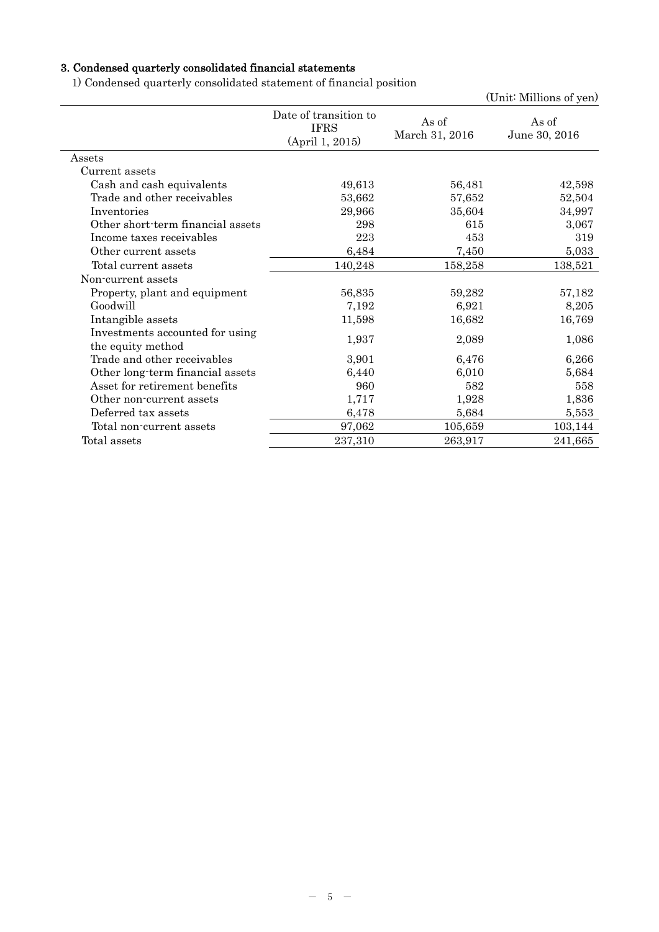# 3. Condensed quarterly consolidated financial statements

1) Condensed quarterly consolidated statement of financial position

|                                                      |                                                         |                         | (Unit: Millions of yen) |
|------------------------------------------------------|---------------------------------------------------------|-------------------------|-------------------------|
|                                                      | Date of transition to<br><b>IFRS</b><br>(April 1, 2015) | As of<br>March 31, 2016 | As of<br>June 30, 2016  |
| Assets                                               |                                                         |                         |                         |
| Current assets                                       |                                                         |                         |                         |
| Cash and cash equivalents                            | 49,613                                                  | 56,481                  | 42,598                  |
| Trade and other receivables                          | 53,662                                                  | 57,652                  | 52,504                  |
| Inventories                                          | 29,966                                                  | 35,604                  | 34,997                  |
| Other short-term financial assets                    | 298                                                     | 615                     | 3,067                   |
| Income taxes receivables                             | 223                                                     | 453                     | 319                     |
| Other current assets                                 | 6,484                                                   | 7,450                   | 5,033                   |
| Total current assets                                 | 140,248                                                 | 158,258                 | 138,521                 |
| Non-current assets                                   |                                                         |                         |                         |
| Property, plant and equipment                        | 56,835                                                  | 59,282                  | 57,182                  |
| Goodwill                                             | 7,192                                                   | 6,921                   | 8,205                   |
| Intangible assets                                    | 11,598                                                  | 16,682                  | 16,769                  |
| Investments accounted for using<br>the equity method | 1,937                                                   | 2,089                   | 1,086                   |
| Trade and other receivables                          | 3,901                                                   | 6,476                   | 6,266                   |
| Other long-term financial assets                     | 6,440                                                   | 6,010                   | 5,684                   |
| Asset for retirement benefits                        | 960                                                     | 582                     | 558                     |
| Other non-current assets                             | 1,717                                                   | 1,928                   | 1,836                   |
| Deferred tax assets                                  | 6,478                                                   | 5,684                   | 5,553                   |
| Total non-current assets                             | 97,062                                                  | 105,659                 | 103,144                 |
| Total assets                                         | 237,310                                                 | 263,917                 | 241,665                 |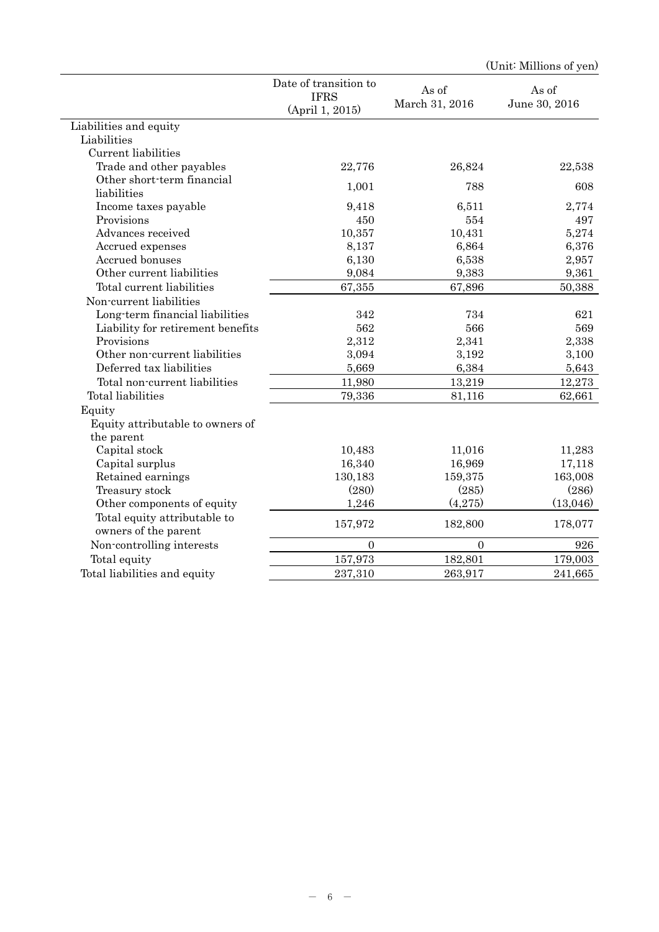| Date of transition to<br>As of<br>As of<br><b>IFRS</b><br>March 31, 2016<br>June 30, 2016<br>(April 1, 2015)<br>Liabilities and equity<br>Liabilities<br>Current liabilities<br>Trade and other payables<br>22,776<br>22,538<br>26,824<br>Other short-term financial<br>788<br>608<br>1,001<br>liabilities<br>Income taxes payable<br>9,418<br>6,511<br>2,774<br>Provisions<br>497<br>450<br>554<br>Advances received<br>10,357<br>10,431<br>5,274<br>Accrued expenses<br>8,137<br>6,864<br>6,376<br>Accrued bonuses<br>6,130<br>6,538<br>2,957<br>9,383<br>9,361<br>Other current liabilities<br>9,084<br>67,355<br>67,896<br>Total current liabilities<br>50,388<br>Non-current liabilities<br>Long-term financial liabilities<br>342<br>734<br>621<br>562<br>566<br>569<br>Liability for retirement benefits<br>Provisions<br>2,312<br>2,338<br>2,341<br>Other non-current liabilities<br>3,094<br>3,192<br>3,100<br>Deferred tax liabilities<br>5,669<br>6,384<br>5,643<br>Total non-current liabilities<br>11,980<br>13,219<br>12,273<br>Total liabilities<br>79,336<br>81,116<br>62,661<br>Equity<br>Equity attributable to owners of<br>the parent<br>Capital stock<br>10,483<br>11,016<br>11,283<br>16,340<br>16,969<br>17,118<br>Capital surplus<br>130,183<br>159,375<br>163,008<br>Retained earnings<br>(280)<br>(285)<br>(286)<br>Treasury stock<br>(4,275)<br>(13,046)<br>Other components of equity<br>1,246<br>Total equity attributable to<br>157,972<br>182,800<br>178,077<br>owners of the parent<br>Non-controlling interests<br>926<br>$\Omega$<br>$\Omega$<br>Total equity<br>157,973<br>182,801<br>179,003<br>Total liabilities and equity<br>237,310<br>263,917<br>241,665 |  | (Unit: Millions of yen) |
|---------------------------------------------------------------------------------------------------------------------------------------------------------------------------------------------------------------------------------------------------------------------------------------------------------------------------------------------------------------------------------------------------------------------------------------------------------------------------------------------------------------------------------------------------------------------------------------------------------------------------------------------------------------------------------------------------------------------------------------------------------------------------------------------------------------------------------------------------------------------------------------------------------------------------------------------------------------------------------------------------------------------------------------------------------------------------------------------------------------------------------------------------------------------------------------------------------------------------------------------------------------------------------------------------------------------------------------------------------------------------------------------------------------------------------------------------------------------------------------------------------------------------------------------------------------------------------------------------------------------------------------------------------------------------------------------------|--|-------------------------|
|                                                                                                                                                                                                                                                                                                                                                                                                                                                                                                                                                                                                                                                                                                                                                                                                                                                                                                                                                                                                                                                                                                                                                                                                                                                                                                                                                                                                                                                                                                                                                                                                                                                                                                   |  |                         |
|                                                                                                                                                                                                                                                                                                                                                                                                                                                                                                                                                                                                                                                                                                                                                                                                                                                                                                                                                                                                                                                                                                                                                                                                                                                                                                                                                                                                                                                                                                                                                                                                                                                                                                   |  |                         |
|                                                                                                                                                                                                                                                                                                                                                                                                                                                                                                                                                                                                                                                                                                                                                                                                                                                                                                                                                                                                                                                                                                                                                                                                                                                                                                                                                                                                                                                                                                                                                                                                                                                                                                   |  |                         |
|                                                                                                                                                                                                                                                                                                                                                                                                                                                                                                                                                                                                                                                                                                                                                                                                                                                                                                                                                                                                                                                                                                                                                                                                                                                                                                                                                                                                                                                                                                                                                                                                                                                                                                   |  |                         |
|                                                                                                                                                                                                                                                                                                                                                                                                                                                                                                                                                                                                                                                                                                                                                                                                                                                                                                                                                                                                                                                                                                                                                                                                                                                                                                                                                                                                                                                                                                                                                                                                                                                                                                   |  |                         |
|                                                                                                                                                                                                                                                                                                                                                                                                                                                                                                                                                                                                                                                                                                                                                                                                                                                                                                                                                                                                                                                                                                                                                                                                                                                                                                                                                                                                                                                                                                                                                                                                                                                                                                   |  |                         |
|                                                                                                                                                                                                                                                                                                                                                                                                                                                                                                                                                                                                                                                                                                                                                                                                                                                                                                                                                                                                                                                                                                                                                                                                                                                                                                                                                                                                                                                                                                                                                                                                                                                                                                   |  |                         |
|                                                                                                                                                                                                                                                                                                                                                                                                                                                                                                                                                                                                                                                                                                                                                                                                                                                                                                                                                                                                                                                                                                                                                                                                                                                                                                                                                                                                                                                                                                                                                                                                                                                                                                   |  |                         |
|                                                                                                                                                                                                                                                                                                                                                                                                                                                                                                                                                                                                                                                                                                                                                                                                                                                                                                                                                                                                                                                                                                                                                                                                                                                                                                                                                                                                                                                                                                                                                                                                                                                                                                   |  |                         |
|                                                                                                                                                                                                                                                                                                                                                                                                                                                                                                                                                                                                                                                                                                                                                                                                                                                                                                                                                                                                                                                                                                                                                                                                                                                                                                                                                                                                                                                                                                                                                                                                                                                                                                   |  |                         |
|                                                                                                                                                                                                                                                                                                                                                                                                                                                                                                                                                                                                                                                                                                                                                                                                                                                                                                                                                                                                                                                                                                                                                                                                                                                                                                                                                                                                                                                                                                                                                                                                                                                                                                   |  |                         |
|                                                                                                                                                                                                                                                                                                                                                                                                                                                                                                                                                                                                                                                                                                                                                                                                                                                                                                                                                                                                                                                                                                                                                                                                                                                                                                                                                                                                                                                                                                                                                                                                                                                                                                   |  |                         |
|                                                                                                                                                                                                                                                                                                                                                                                                                                                                                                                                                                                                                                                                                                                                                                                                                                                                                                                                                                                                                                                                                                                                                                                                                                                                                                                                                                                                                                                                                                                                                                                                                                                                                                   |  |                         |
|                                                                                                                                                                                                                                                                                                                                                                                                                                                                                                                                                                                                                                                                                                                                                                                                                                                                                                                                                                                                                                                                                                                                                                                                                                                                                                                                                                                                                                                                                                                                                                                                                                                                                                   |  |                         |
|                                                                                                                                                                                                                                                                                                                                                                                                                                                                                                                                                                                                                                                                                                                                                                                                                                                                                                                                                                                                                                                                                                                                                                                                                                                                                                                                                                                                                                                                                                                                                                                                                                                                                                   |  |                         |
|                                                                                                                                                                                                                                                                                                                                                                                                                                                                                                                                                                                                                                                                                                                                                                                                                                                                                                                                                                                                                                                                                                                                                                                                                                                                                                                                                                                                                                                                                                                                                                                                                                                                                                   |  |                         |
|                                                                                                                                                                                                                                                                                                                                                                                                                                                                                                                                                                                                                                                                                                                                                                                                                                                                                                                                                                                                                                                                                                                                                                                                                                                                                                                                                                                                                                                                                                                                                                                                                                                                                                   |  |                         |
|                                                                                                                                                                                                                                                                                                                                                                                                                                                                                                                                                                                                                                                                                                                                                                                                                                                                                                                                                                                                                                                                                                                                                                                                                                                                                                                                                                                                                                                                                                                                                                                                                                                                                                   |  |                         |
|                                                                                                                                                                                                                                                                                                                                                                                                                                                                                                                                                                                                                                                                                                                                                                                                                                                                                                                                                                                                                                                                                                                                                                                                                                                                                                                                                                                                                                                                                                                                                                                                                                                                                                   |  |                         |
|                                                                                                                                                                                                                                                                                                                                                                                                                                                                                                                                                                                                                                                                                                                                                                                                                                                                                                                                                                                                                                                                                                                                                                                                                                                                                                                                                                                                                                                                                                                                                                                                                                                                                                   |  |                         |
|                                                                                                                                                                                                                                                                                                                                                                                                                                                                                                                                                                                                                                                                                                                                                                                                                                                                                                                                                                                                                                                                                                                                                                                                                                                                                                                                                                                                                                                                                                                                                                                                                                                                                                   |  |                         |
|                                                                                                                                                                                                                                                                                                                                                                                                                                                                                                                                                                                                                                                                                                                                                                                                                                                                                                                                                                                                                                                                                                                                                                                                                                                                                                                                                                                                                                                                                                                                                                                                                                                                                                   |  |                         |
|                                                                                                                                                                                                                                                                                                                                                                                                                                                                                                                                                                                                                                                                                                                                                                                                                                                                                                                                                                                                                                                                                                                                                                                                                                                                                                                                                                                                                                                                                                                                                                                                                                                                                                   |  |                         |
|                                                                                                                                                                                                                                                                                                                                                                                                                                                                                                                                                                                                                                                                                                                                                                                                                                                                                                                                                                                                                                                                                                                                                                                                                                                                                                                                                                                                                                                                                                                                                                                                                                                                                                   |  |                         |
|                                                                                                                                                                                                                                                                                                                                                                                                                                                                                                                                                                                                                                                                                                                                                                                                                                                                                                                                                                                                                                                                                                                                                                                                                                                                                                                                                                                                                                                                                                                                                                                                                                                                                                   |  |                         |
|                                                                                                                                                                                                                                                                                                                                                                                                                                                                                                                                                                                                                                                                                                                                                                                                                                                                                                                                                                                                                                                                                                                                                                                                                                                                                                                                                                                                                                                                                                                                                                                                                                                                                                   |  |                         |
|                                                                                                                                                                                                                                                                                                                                                                                                                                                                                                                                                                                                                                                                                                                                                                                                                                                                                                                                                                                                                                                                                                                                                                                                                                                                                                                                                                                                                                                                                                                                                                                                                                                                                                   |  |                         |
|                                                                                                                                                                                                                                                                                                                                                                                                                                                                                                                                                                                                                                                                                                                                                                                                                                                                                                                                                                                                                                                                                                                                                                                                                                                                                                                                                                                                                                                                                                                                                                                                                                                                                                   |  |                         |
|                                                                                                                                                                                                                                                                                                                                                                                                                                                                                                                                                                                                                                                                                                                                                                                                                                                                                                                                                                                                                                                                                                                                                                                                                                                                                                                                                                                                                                                                                                                                                                                                                                                                                                   |  |                         |
|                                                                                                                                                                                                                                                                                                                                                                                                                                                                                                                                                                                                                                                                                                                                                                                                                                                                                                                                                                                                                                                                                                                                                                                                                                                                                                                                                                                                                                                                                                                                                                                                                                                                                                   |  |                         |
|                                                                                                                                                                                                                                                                                                                                                                                                                                                                                                                                                                                                                                                                                                                                                                                                                                                                                                                                                                                                                                                                                                                                                                                                                                                                                                                                                                                                                                                                                                                                                                                                                                                                                                   |  |                         |
|                                                                                                                                                                                                                                                                                                                                                                                                                                                                                                                                                                                                                                                                                                                                                                                                                                                                                                                                                                                                                                                                                                                                                                                                                                                                                                                                                                                                                                                                                                                                                                                                                                                                                                   |  |                         |
|                                                                                                                                                                                                                                                                                                                                                                                                                                                                                                                                                                                                                                                                                                                                                                                                                                                                                                                                                                                                                                                                                                                                                                                                                                                                                                                                                                                                                                                                                                                                                                                                                                                                                                   |  |                         |
|                                                                                                                                                                                                                                                                                                                                                                                                                                                                                                                                                                                                                                                                                                                                                                                                                                                                                                                                                                                                                                                                                                                                                                                                                                                                                                                                                                                                                                                                                                                                                                                                                                                                                                   |  |                         |
|                                                                                                                                                                                                                                                                                                                                                                                                                                                                                                                                                                                                                                                                                                                                                                                                                                                                                                                                                                                                                                                                                                                                                                                                                                                                                                                                                                                                                                                                                                                                                                                                                                                                                                   |  |                         |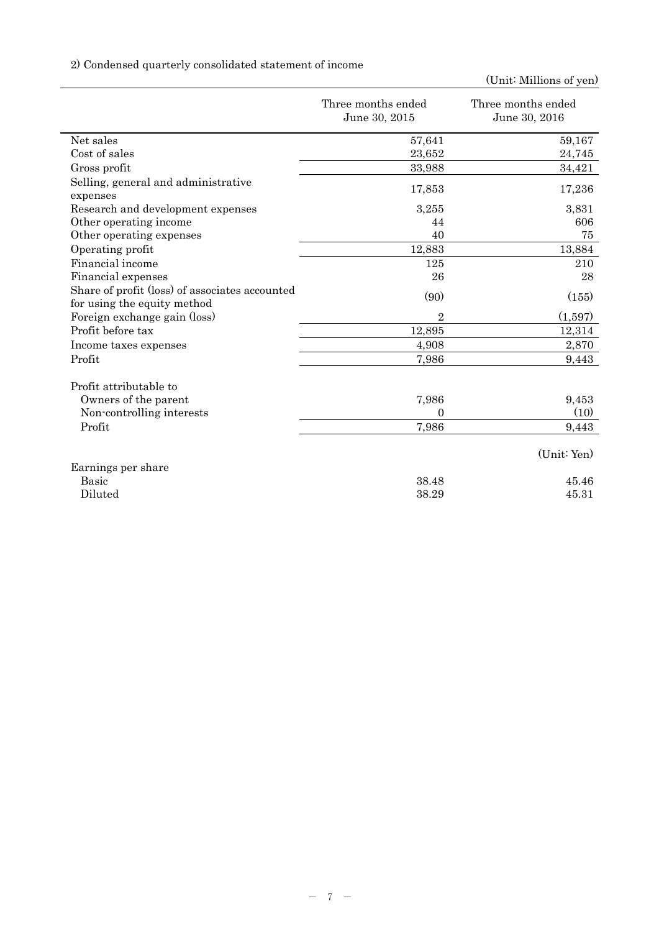# 2) Condensed quarterly consolidated statement of income

|                                                                               | Three months ended<br>June 30, 2015 | Three months ended<br>June 30, 2016 |
|-------------------------------------------------------------------------------|-------------------------------------|-------------------------------------|
| Net sales                                                                     | 57,641                              | 59,167                              |
| Cost of sales                                                                 | 23,652                              | 24,745                              |
| Gross profit                                                                  | 33,988                              | 34,421                              |
| Selling, general and administrative<br>expenses                               | 17,853                              | 17,236                              |
| Research and development expenses                                             | 3,255                               | 3,831                               |
| Other operating income                                                        | 44                                  | 606                                 |
| Other operating expenses                                                      | 40                                  | 75                                  |
| Operating profit                                                              | 12,883                              | 13,884                              |
| Financial income                                                              | 125                                 | 210                                 |
| Financial expenses                                                            | 26                                  | 28                                  |
| Share of profit (loss) of associates accounted<br>for using the equity method | (90)                                | (155)                               |
| Foreign exchange gain (loss)                                                  | $\overline{2}$                      | (1,597)                             |
| Profit before tax                                                             | 12,895                              | 12,314                              |
| Income taxes expenses                                                         | 4,908                               | 2,870                               |
| Profit                                                                        | 7,986                               | 9,443                               |
| Profit attributable to                                                        |                                     |                                     |
| Owners of the parent                                                          | 7,986                               | 9,453                               |
| Non-controlling interests                                                     | 0                                   | (10)                                |
| Profit                                                                        | 7,986                               | 9,443                               |
|                                                                               |                                     | (Unit: Yen)                         |
| Earnings per share                                                            |                                     |                                     |
| <b>Basic</b>                                                                  | 38.48                               | 45.46                               |
| Diluted                                                                       | 38.29                               | 45.31                               |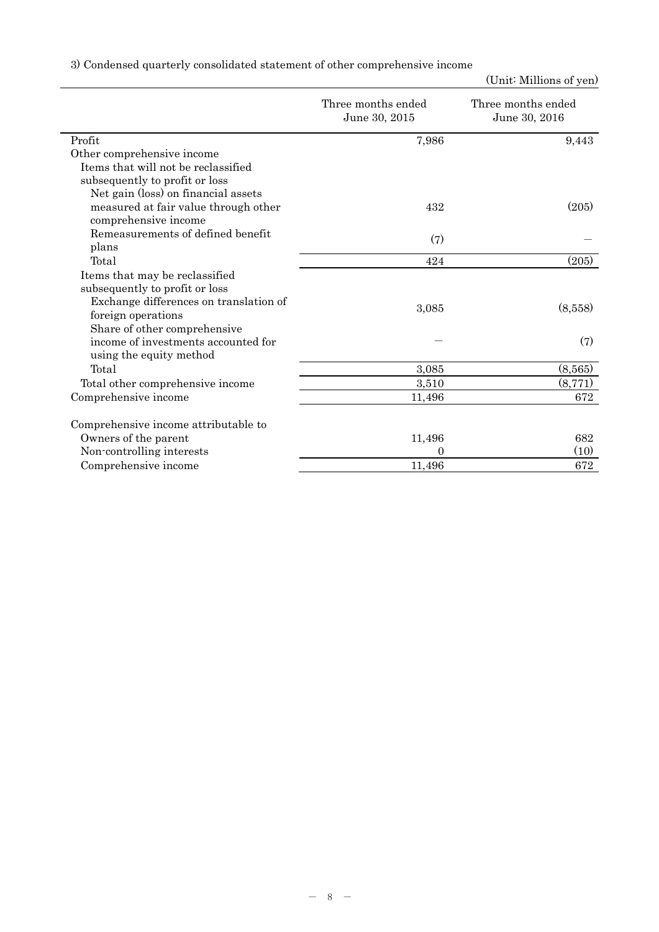|  |  |  | 3) Condensed quarterly consolidated statement of other comprehensive income |  |
|--|--|--|-----------------------------------------------------------------------------|--|
|  |  |  |                                                                             |  |

|                                        | Three months ended<br>June 30, 2015 | Three months ended<br>June 30, 2016 |
|----------------------------------------|-------------------------------------|-------------------------------------|
| Profit                                 | 7,986                               | 9,443                               |
| Other comprehensive income             |                                     |                                     |
| Items that will not be reclassified    |                                     |                                     |
| subsequently to profit or loss         |                                     |                                     |
| Net gain (loss) on financial assets    |                                     |                                     |
| measured at fair value through other   | 432                                 | (205)                               |
| comprehensive income                   |                                     |                                     |
| Remeasurements of defined benefit      | (7)                                 |                                     |
| plans                                  |                                     |                                     |
| Total                                  | 424                                 | (205)                               |
| Items that may be reclassified         |                                     |                                     |
| subsequently to profit or loss         |                                     |                                     |
| Exchange differences on translation of |                                     |                                     |
| foreign operations                     | 3,085                               | (8,558)                             |
| Share of other comprehensive           |                                     |                                     |
| income of investments accounted for    |                                     | (7)                                 |
| using the equity method                |                                     |                                     |
| Total                                  | 3,085                               | (8,565)                             |
| Total other comprehensive income       | 3,510                               | (8, 771)                            |
| Comprehensive income                   | 11,496                              | 672                                 |
| Comprehensive income attributable to   |                                     |                                     |
| Owners of the parent                   | 11,496                              | 682                                 |
| Non-controlling interests              | 0                                   | (10)                                |
| Comprehensive income                   | 11,496                              | 672                                 |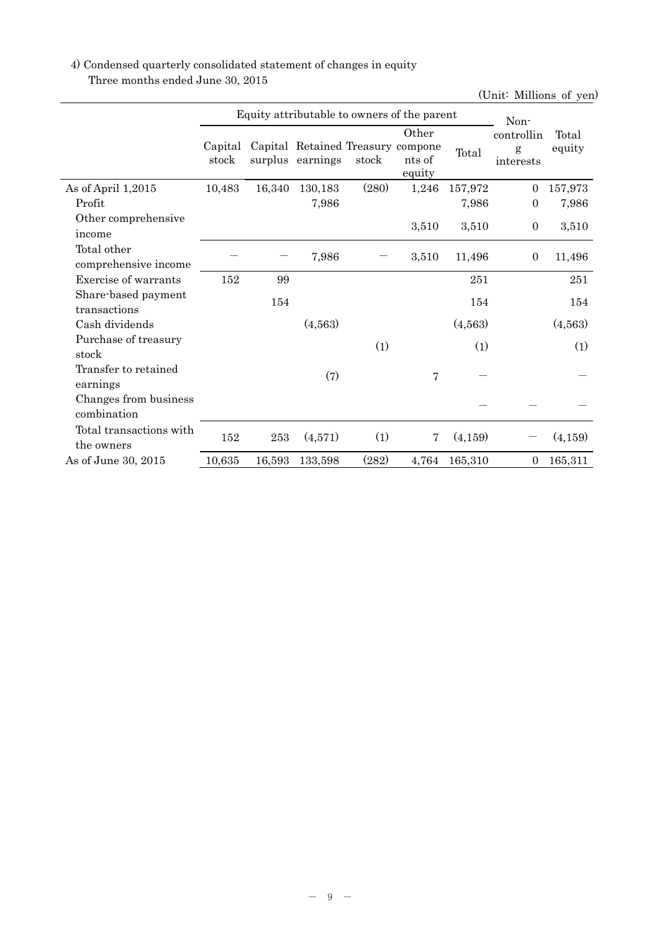# 4) Condensed quarterly consolidated statement of changes in equity Three months ended June 30, 2015

|                                       |                  | Equity attributable to owners of the parent |                                                       | Non-  |                           |         |                              |                 |
|---------------------------------------|------------------|---------------------------------------------|-------------------------------------------------------|-------|---------------------------|---------|------------------------------|-----------------|
|                                       | Capital<br>stock |                                             | Capital Retained Treasury compone<br>surplus earnings | stock | Other<br>nts of<br>equity | Total   | controllin<br>g<br>interests | Total<br>equity |
| As of April 1,2015                    | 10,483           | 16,340                                      | 130,183                                               | (280) | 1,246                     | 157,972 | $\theta$                     | 157,973         |
| Profit                                |                  |                                             | 7,986                                                 |       |                           | 7,986   | $\overline{0}$               | 7,986           |
| Other comprehensive<br>income         |                  |                                             |                                                       |       | 3,510                     | 3,510   | $\boldsymbol{0}$             | 3,510           |
| Total other<br>comprehensive income   |                  |                                             | 7,986                                                 |       | 3,510                     | 11,496  | $\overline{0}$               | 11,496          |
| Exercise of warrants                  | 152              | 99                                          |                                                       |       |                           | 251     |                              | 251             |
| Share-based payment<br>transactions   |                  | 154                                         |                                                       |       |                           | 154     |                              | 154             |
| Cash dividends                        |                  |                                             | (4,563)                                               |       |                           | (4,563) |                              | (4,563)         |
| Purchase of treasury<br>stock         |                  |                                             |                                                       | (1)   |                           | (1)     |                              | (1)             |
| Transfer to retained<br>earnings      |                  |                                             | (7)                                                   |       | $\overline{7}$            |         |                              |                 |
| Changes from business<br>combination  |                  |                                             |                                                       |       |                           |         |                              |                 |
| Total transactions with<br>the owners | 152              | 253                                         | (4,571)                                               | (1)   | $\overline{7}$            | (4,159) |                              | (4,159)         |
| As of June 30, 2015                   | 10,635           | 16,593                                      | 133,598                                               | (282) | 4,764                     | 165,310 | $\overline{0}$               | 165,311         |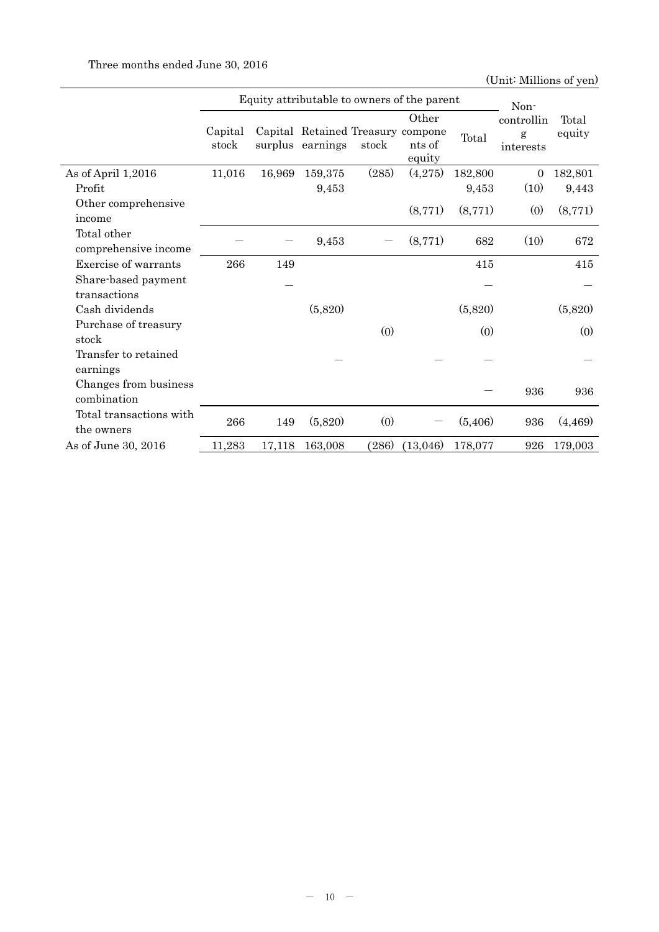|                         |                  |        |                                                       |       | Equity attributable to owners of the parent |         | Non-           |         |
|-------------------------|------------------|--------|-------------------------------------------------------|-------|---------------------------------------------|---------|----------------|---------|
|                         |                  |        |                                                       |       | Other                                       |         | controllin     | Total   |
|                         | Capital<br>stock |        | Capital Retained Treasury compone<br>surplus earnings | stock | nts of                                      | Total   | g<br>interests | equity  |
|                         |                  |        |                                                       |       | equity                                      |         |                |         |
| As of April 1,2016      | 11,016           | 16,969 | 159,375                                               | (285) | (4,275)                                     | 182,800 | $\overline{0}$ | 182,801 |
| Profit                  |                  |        | 9,453                                                 |       |                                             | 9,453   | (10)           | 9,443   |
| Other comprehensive     |                  |        |                                                       |       | (8,771)                                     | (8,771) | (0)            | (8,771) |
| income                  |                  |        |                                                       |       |                                             |         |                |         |
| Total other             |                  |        | 9,453                                                 |       | (8,771)                                     | 682     | (10)           | 672     |
| comprehensive income    |                  |        |                                                       |       |                                             |         |                |         |
| Exercise of warrants    | 266              | 149    |                                                       |       |                                             | 415     |                | 415     |
| Share-based payment     |                  |        |                                                       |       |                                             |         |                |         |
| transactions            |                  |        |                                                       |       |                                             |         |                |         |
| Cash dividends          |                  |        | (5,820)                                               |       |                                             | (5,820) |                | (5,820) |
| Purchase of treasury    |                  |        |                                                       | (0)   |                                             | (0)     |                | (0)     |
| stock                   |                  |        |                                                       |       |                                             |         |                |         |
| Transfer to retained    |                  |        |                                                       |       |                                             |         |                |         |
| earnings                |                  |        |                                                       |       |                                             |         |                |         |
| Changes from business   |                  |        |                                                       |       |                                             |         | 936            | 936     |
| combination             |                  |        |                                                       |       |                                             |         |                |         |
| Total transactions with | 266              | 149    | (5,820)                                               | (0)   |                                             | (5,406) | 936            | (4,469) |
| the owners              |                  |        |                                                       |       |                                             |         |                |         |
| As of June 30, 2016     | 11,283           | 17,118 | 163,008                                               | (286) | (13,046)                                    | 178,077 | 926            | 179,003 |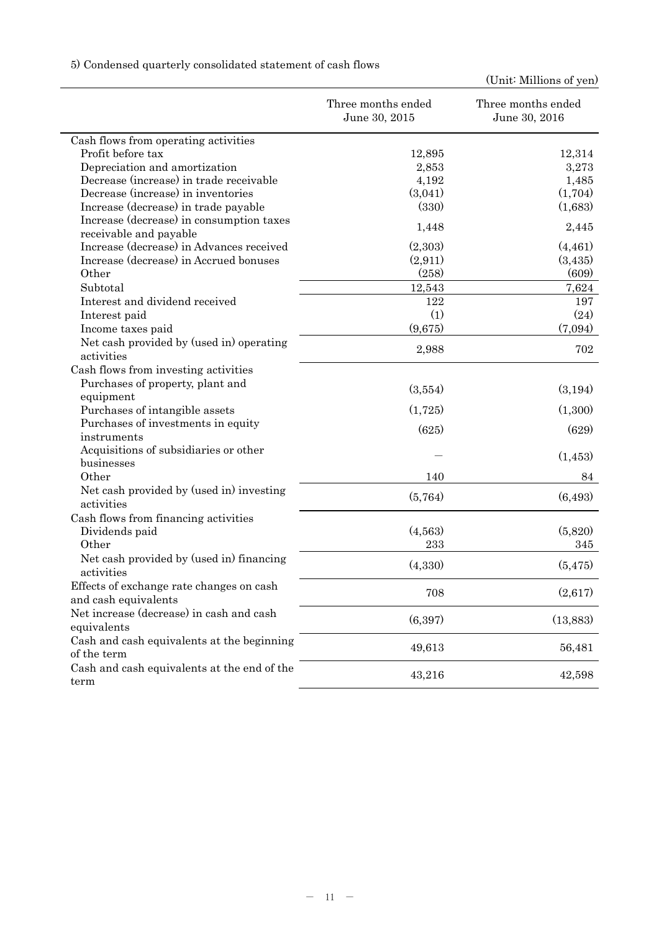5) Condensed quarterly consolidated statement of cash flows

|                                                                    | Three months ended<br>June 30, 2015 | Three months ended<br>June 30, 2016 |
|--------------------------------------------------------------------|-------------------------------------|-------------------------------------|
| Cash flows from operating activities                               |                                     |                                     |
| Profit before tax                                                  | 12,895                              | 12,314                              |
| Depreciation and amortization                                      | 2,853                               | 3,273                               |
| Decrease (increase) in trade receivable                            | 4,192                               | 1,485                               |
| Decrease (increase) in inventories                                 | (3,041)                             | (1,704)                             |
| Increase (decrease) in trade payable                               | (330)                               | (1,683)                             |
| Increase (decrease) in consumption taxes<br>receivable and payable | 1,448                               | 2,445                               |
| Increase (decrease) in Advances received                           | (2,303)                             | (4, 461)                            |
| Increase (decrease) in Accrued bonuses                             | (2,911)                             | (3,435)                             |
| Other                                                              | (258)                               | (609)                               |
| Subtotal                                                           | 12,543                              | 7,624                               |
| Interest and dividend received                                     | 122                                 | 197                                 |
| Interest paid                                                      | (1)                                 | (24)                                |
| Income taxes paid                                                  | (9,675)                             | (7,094)                             |
| Net cash provided by (used in) operating<br>activities             | 2,988                               | 702                                 |
| Cash flows from investing activities                               |                                     |                                     |
| Purchases of property, plant and<br>equipment                      | (3,554)                             | (3,194)                             |
| Purchases of intangible assets                                     | (1,725)                             | (1,300)                             |
| Purchases of investments in equity                                 |                                     |                                     |
| instruments                                                        | (625)                               | (629)                               |
| Acquisitions of subsidiaries or other                              |                                     |                                     |
| businesses                                                         |                                     | (1,453)                             |
| Other                                                              | 140                                 | 84                                  |
| Net cash provided by (used in) investing<br>activities             | (5,764)                             | (6, 493)                            |
| Cash flows from financing activities                               |                                     |                                     |
| Dividends paid                                                     | (4,563)                             | (5,820)                             |
| Other                                                              | 233                                 | 345                                 |
| Net cash provided by (used in) financing<br>activities             | (4,330)                             | (5, 475)                            |
| Effects of exchange rate changes on cash<br>and cash equivalents   | 708                                 | (2,617)                             |
| Net increase (decrease) in cash and cash<br>equivalents            | (6, 397)                            | (13,883)                            |
| Cash and cash equivalents at the beginning<br>of the term          | 49,613                              | 56,481                              |
| Cash and cash equivalents at the end of the<br>term                | 43,216                              | 42,598                              |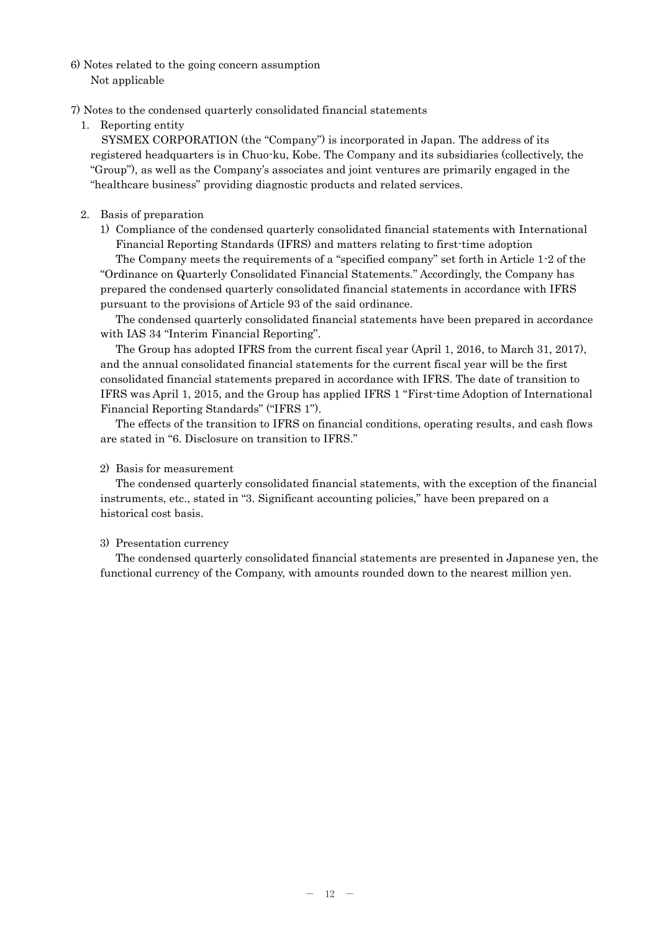- 6) Notes related to the going concern assumption Not applicable
- 7) Notes to the condensed quarterly consolidated financial statements
	- 1. Reporting entity

SYSMEX CORPORATION (the "Company") is incorporated in Japan. The address of its registered headquarters is in Chuo-ku, Kobe. The Company and its subsidiaries (collectively, the "Group"), as well as the Company's associates and joint ventures are primarily engaged in the "healthcare business" providing diagnostic products and related services.

# 2. Basis of preparation

1) Compliance of the condensed quarterly consolidated financial statements with International Financial Reporting Standards (IFRS) and matters relating to first-time adoption

The Company meets the requirements of a "specified company" set forth in Article 1-2 of the "Ordinance on Quarterly Consolidated Financial Statements." Accordingly, the Company has prepared the condensed quarterly consolidated financial statements in accordance with IFRS pursuant to the provisions of Article 93 of the said ordinance.

The condensed quarterly consolidated financial statements have been prepared in accordance with IAS 34 "Interim Financial Reporting".

The Group has adopted IFRS from the current fiscal year (April 1, 2016, to March 31, 2017), and the annual consolidated financial statements for the current fiscal year will be the first consolidated financial statements prepared in accordance with IFRS. The date of transition to IFRS was April 1, 2015, and the Group has applied IFRS 1 "First-time Adoption of International Financial Reporting Standards" ("IFRS 1").

The effects of the transition to IFRS on financial conditions, operating results, and cash flows are stated in "6. Disclosure on transition to IFRS."

## 2) Basis for measurement

The condensed quarterly consolidated financial statements, with the exception of the financial instruments, etc., stated in "3. Significant accounting policies," have been prepared on a historical cost basis.

# 3) Presentation currency

The condensed quarterly consolidated financial statements are presented in Japanese yen, the functional currency of the Company, with amounts rounded down to the nearest million yen.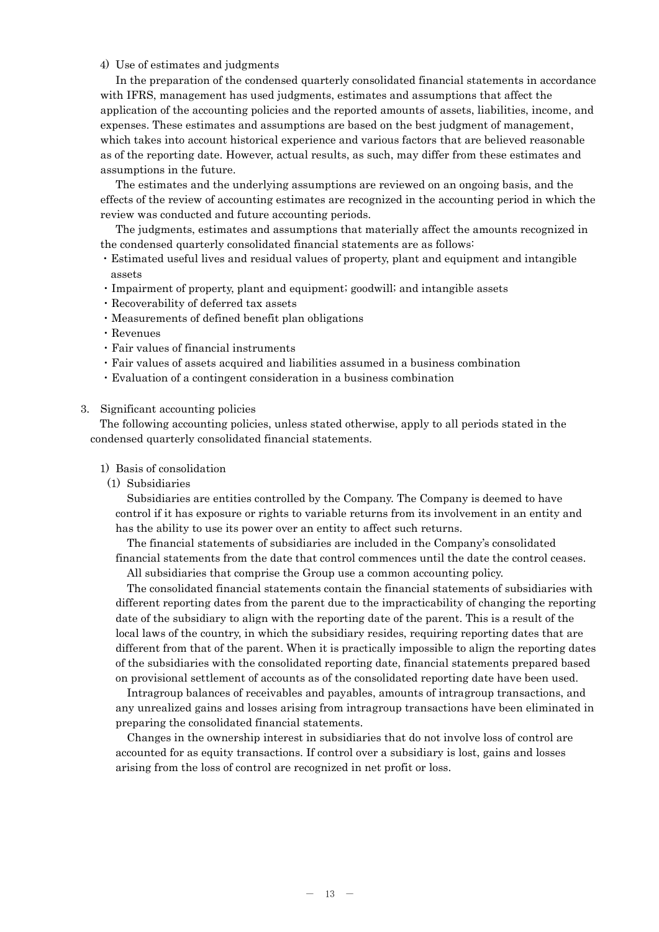## 4) Use of estimates and judgments

In the preparation of the condensed quarterly consolidated financial statements in accordance with IFRS, management has used judgments, estimates and assumptions that affect the application of the accounting policies and the reported amounts of assets, liabilities, income, and expenses. These estimates and assumptions are based on the best judgment of management, which takes into account historical experience and various factors that are believed reasonable as of the reporting date. However, actual results, as such, may differ from these estimates and assumptions in the future.

The estimates and the underlying assumptions are reviewed on an ongoing basis, and the effects of the review of accounting estimates are recognized in the accounting period in which the review was conducted and future accounting periods.

The judgments, estimates and assumptions that materially affect the amounts recognized in the condensed quarterly consolidated financial statements are as follows:

- ・Estimated useful lives and residual values of property, plant and equipment and intangible assets
- ・Impairment of property, plant and equipment; goodwill; and intangible assets
- ・Recoverability of deferred tax assets
- ・Measurements of defined benefit plan obligations
- ・Revenues
- ・Fair values of financial instruments
- ・Fair values of assets acquired and liabilities assumed in a business combination
- ・Evaluation of a contingent consideration in a business combination

## 3. Significant accounting policies

The following accounting policies, unless stated otherwise, apply to all periods stated in the condensed quarterly consolidated financial statements.

#### 1) Basis of consolidation

(1) Subsidiaries

Subsidiaries are entities controlled by the Company. The Company is deemed to have control if it has exposure or rights to variable returns from its involvement in an entity and has the ability to use its power over an entity to affect such returns.

The financial statements of subsidiaries are included in the Company's consolidated financial statements from the date that control commences until the date the control ceases. All subsidiaries that comprise the Group use a common accounting policy.

The consolidated financial statements contain the financial statements of subsidiaries with different reporting dates from the parent due to the impracticability of changing the reporting date of the subsidiary to align with the reporting date of the parent. This is a result of the local laws of the country, in which the subsidiary resides, requiring reporting dates that are different from that of the parent. When it is practically impossible to align the reporting dates of the subsidiaries with the consolidated reporting date, financial statements prepared based on provisional settlement of accounts as of the consolidated reporting date have been used.

Intragroup balances of receivables and payables, amounts of intragroup transactions, and any unrealized gains and losses arising from intragroup transactions have been eliminated in preparing the consolidated financial statements.

Changes in the ownership interest in subsidiaries that do not involve loss of control are accounted for as equity transactions. If control over a subsidiary is lost, gains and losses arising from the loss of control are recognized in net profit or loss.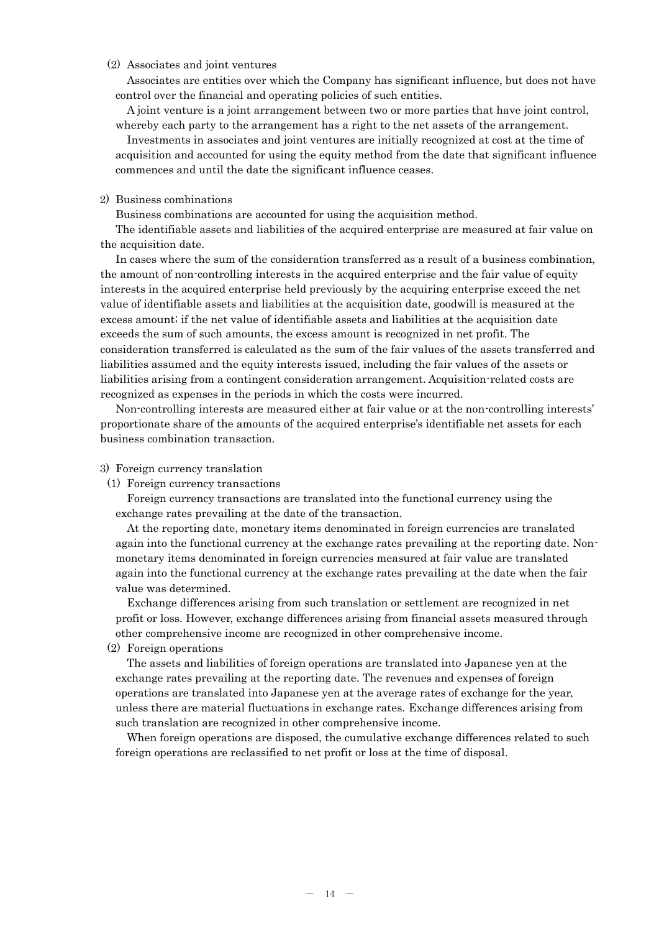### (2) Associates and joint ventures

Associates are entities over which the Company has significant influence, but does not have control over the financial and operating policies of such entities.

A joint venture is a joint arrangement between two or more parties that have joint control, whereby each party to the arrangement has a right to the net assets of the arrangement.

Investments in associates and joint ventures are initially recognized at cost at the time of acquisition and accounted for using the equity method from the date that significant influence commences and until the date the significant influence ceases.

## 2) Business combinations

Business combinations are accounted for using the acquisition method.

The identifiable assets and liabilities of the acquired enterprise are measured at fair value on the acquisition date.

In cases where the sum of the consideration transferred as a result of a business combination, the amount of non-controlling interests in the acquired enterprise and the fair value of equity interests in the acquired enterprise held previously by the acquiring enterprise exceed the net value of identifiable assets and liabilities at the acquisition date, goodwill is measured at the excess amount; if the net value of identifiable assets and liabilities at the acquisition date exceeds the sum of such amounts, the excess amount is recognized in net profit. The consideration transferred is calculated as the sum of the fair values of the assets transferred and liabilities assumed and the equity interests issued, including the fair values of the assets or liabilities arising from a contingent consideration arrangement. Acquisition-related costs are recognized as expenses in the periods in which the costs were incurred.

Non-controlling interests are measured either at fair value or at the non-controlling interests' proportionate share of the amounts of the acquired enterprise's identifiable net assets for each business combination transaction.

#### 3) Foreign currency translation

(1) Foreign currency transactions

Foreign currency transactions are translated into the functional currency using the exchange rates prevailing at the date of the transaction.

At the reporting date, monetary items denominated in foreign currencies are translated again into the functional currency at the exchange rates prevailing at the reporting date. Nonmonetary items denominated in foreign currencies measured at fair value are translated again into the functional currency at the exchange rates prevailing at the date when the fair value was determined.

Exchange differences arising from such translation or settlement are recognized in net profit or loss. However, exchange differences arising from financial assets measured through other comprehensive income are recognized in other comprehensive income.

#### (2) Foreign operations

The assets and liabilities of foreign operations are translated into Japanese yen at the exchange rates prevailing at the reporting date. The revenues and expenses of foreign operations are translated into Japanese yen at the average rates of exchange for the year, unless there are material fluctuations in exchange rates. Exchange differences arising from such translation are recognized in other comprehensive income.

When foreign operations are disposed, the cumulative exchange differences related to such foreign operations are reclassified to net profit or loss at the time of disposal.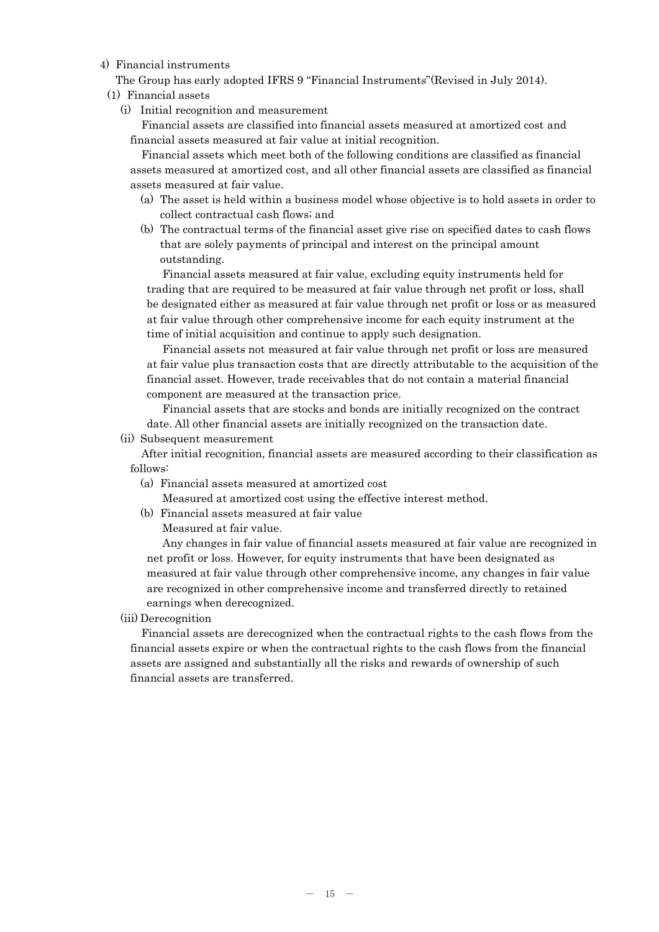## 4) Financial instruments

The Group has early adopted IFRS 9 "Financial Instruments"(Revised in July 2014).

- (1) Financial assets
	- (i) Initial recognition and measurement

Financial assets are classified into financial assets measured at amortized cost and financial assets measured at fair value at initial recognition.

Financial assets which meet both of the following conditions are classified as financial assets measured at amortized cost, and all other financial assets are classified as financial assets measured at fair value.

- (a) The asset is held within a business model whose objective is to hold assets in order to collect contractual cash flows; and
- (b) The contractual terms of the financial asset give rise on specified dates to cash flows that are solely payments of principal and interest on the principal amount outstanding.

Financial assets measured at fair value, excluding equity instruments held for trading that are required to be measured at fair value through net profit or loss, shall be designated either as measured at fair value through net profit or loss or as measured at fair value through other comprehensive income for each equity instrument at the time of initial acquisition and continue to apply such designation.

Financial assets not measured at fair value through net profit or loss are measured at fair value plus transaction costs that are directly attributable to the acquisition of the financial asset. However, trade receivables that do not contain a material financial component are measured at the transaction price.

Financial assets that are stocks and bonds are initially recognized on the contract date. All other financial assets are initially recognized on the transaction date.

(ii) Subsequent measurement

After initial recognition, financial assets are measured according to their classification as follows:

(a) Financial assets measured at amortized cost

Measured at amortized cost using the effective interest method.

(b) Financial assets measured at fair value

Measured at fair value.

Any changes in fair value of financial assets measured at fair value are recognized in net profit or loss. However, for equity instruments that have been designated as measured at fair value through other comprehensive income, any changes in fair value are recognized in other comprehensive income and transferred directly to retained earnings when derecognized.

(iii) Derecognition

Financial assets are derecognized when the contractual rights to the cash flows from the financial assets expire or when the contractual rights to the cash flows from the financial assets are assigned and substantially all the risks and rewards of ownership of such financial assets are transferred.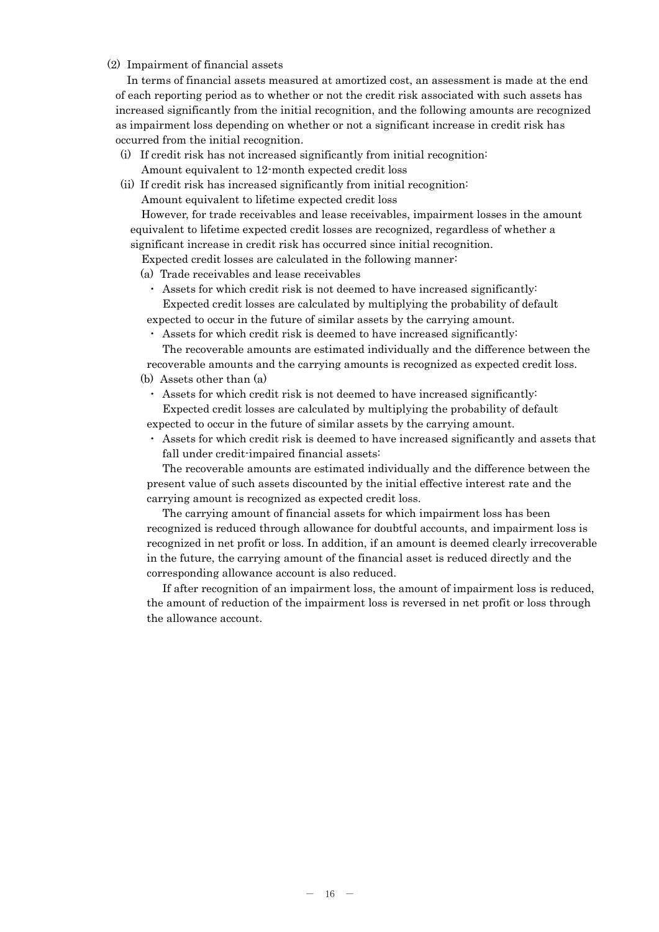## (2) Impairment of financial assets

In terms of financial assets measured at amortized cost, an assessment is made at the end of each reporting period as to whether or not the credit risk associated with such assets has increased significantly from the initial recognition, and the following amounts are recognized as impairment loss depending on whether or not a significant increase in credit risk has occurred from the initial recognition.

- (i) If credit risk has not increased significantly from initial recognition: Amount equivalent to 12-month expected credit loss
- (ii) If credit risk has increased significantly from initial recognition: Amount equivalent to lifetime expected credit loss

However, for trade receivables and lease receivables, impairment losses in the amount equivalent to lifetime expected credit losses are recognized, regardless of whether a significant increase in credit risk has occurred since initial recognition.

Expected credit losses are calculated in the following manner:

(a) Trade receivables and lease receivables

- ・ Assets for which credit risk is not deemed to have increased significantly: Expected credit losses are calculated by multiplying the probability of default expected to occur in the future of similar assets by the carrying amount.
- ・ Assets for which credit risk is deemed to have increased significantly:

The recoverable amounts are estimated individually and the difference between the recoverable amounts and the carrying amounts is recognized as expected credit loss.

#### (b) Assets other than (a)

・ Assets for which credit risk is not deemed to have increased significantly: Expected credit losses are calculated by multiplying the probability of default

expected to occur in the future of similar assets by the carrying amount.

・ Assets for which credit risk is deemed to have increased significantly and assets that fall under credit-impaired financial assets:

The recoverable amounts are estimated individually and the difference between the present value of such assets discounted by the initial effective interest rate and the carrying amount is recognized as expected credit loss.

The carrying amount of financial assets for which impairment loss has been recognized is reduced through allowance for doubtful accounts, and impairment loss is recognized in net profit or loss. In addition, if an amount is deemed clearly irrecoverable in the future, the carrying amount of the financial asset is reduced directly and the corresponding allowance account is also reduced.

If after recognition of an impairment loss, the amount of impairment loss is reduced, the amount of reduction of the impairment loss is reversed in net profit or loss through the allowance account.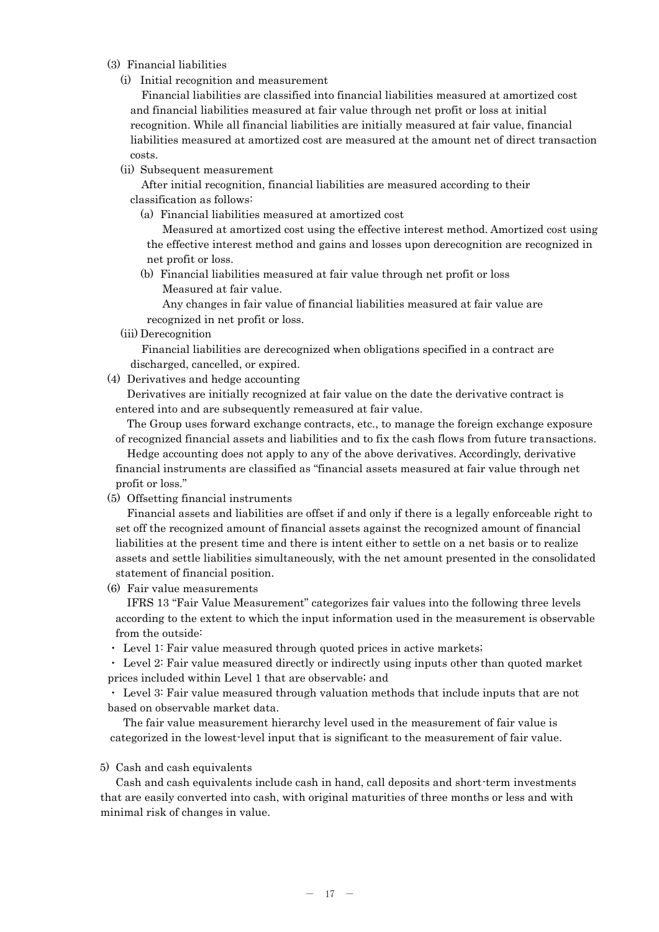## (3) Financial liabilities

(i) Initial recognition and measurement

Financial liabilities are classified into financial liabilities measured at amortized cost and financial liabilities measured at fair value through net profit or loss at initial recognition. While all financial liabilities are initially measured at fair value, financial liabilities measured at amortized cost are measured at the amount net of direct transaction costs.

(ii) Subsequent measurement

After initial recognition, financial liabilities are measured according to their classification as follows:

(a) Financial liabilities measured at amortized cost

Measured at amortized cost using the effective interest method. Amortized cost using the effective interest method and gains and losses upon derecognition are recognized in net profit or loss.

(b) Financial liabilities measured at fair value through net profit or loss Measured at fair value.

Any changes in fair value of financial liabilities measured at fair value are recognized in net profit or loss.

(iii) Derecognition

Financial liabilities are derecognized when obligations specified in a contract are discharged, cancelled, or expired.

(4) Derivatives and hedge accounting

Derivatives are initially recognized at fair value on the date the derivative contract is entered into and are subsequently remeasured at fair value.

The Group uses forward exchange contracts, etc., to manage the foreign exchange exposure of recognized financial assets and liabilities and to fix the cash flows from future transactions.

Hedge accounting does not apply to any of the above derivatives. Accordingly, derivative financial instruments are classified as "financial assets measured at fair value through net profit or loss."

(5) Offsetting financial instruments

Financial assets and liabilities are offset if and only if there is a legally enforceable right to set off the recognized amount of financial assets against the recognized amount of financial liabilities at the present time and there is intent either to settle on a net basis or to realize assets and settle liabilities simultaneously, with the net amount presented in the consolidated statement of financial position.

(6) Fair value measurements

IFRS 13 "Fair Value Measurement" categorizes fair values into the following three levels according to the extent to which the input information used in the measurement is observable from the outside:

・ Level 1: Fair value measured through quoted prices in active markets;

・ Level 2: Fair value measured directly or indirectly using inputs other than quoted market prices included within Level 1 that are observable; and

・ Level 3: Fair value measured through valuation methods that include inputs that are not based on observable market data.

The fair value measurement hierarchy level used in the measurement of fair value is categorized in the lowest-level input that is significant to the measurement of fair value.

# 5) Cash and cash equivalents

Cash and cash equivalents include cash in hand, call deposits and short-term investments that are easily converted into cash, with original maturities of three months or less and with minimal risk of changes in value.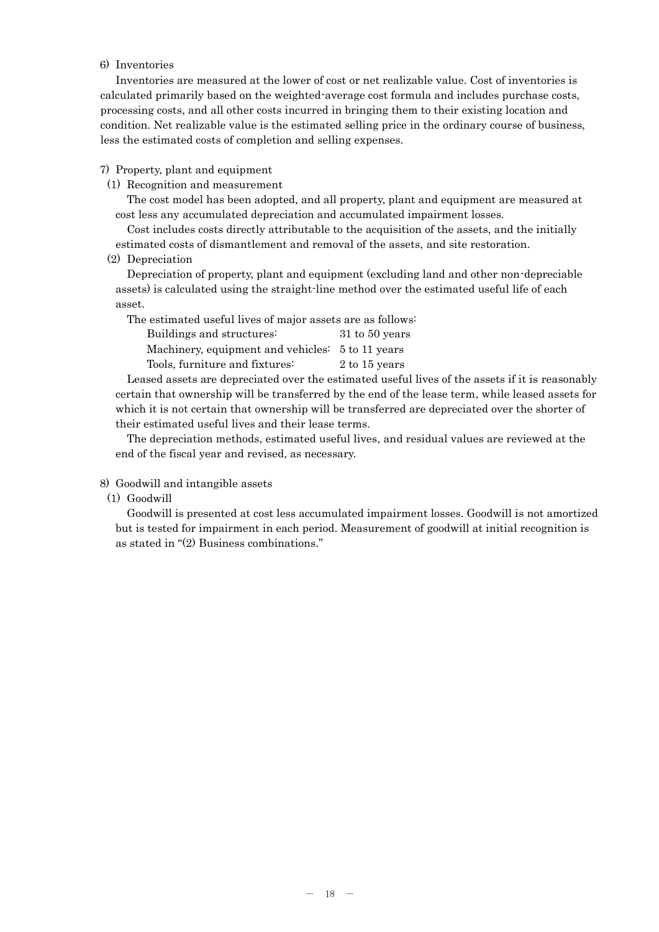## 6) Inventories

Inventories are measured at the lower of cost or net realizable value. Cost of inventories is calculated primarily based on the weighted-average cost formula and includes purchase costs, processing costs, and all other costs incurred in bringing them to their existing location and condition. Net realizable value is the estimated selling price in the ordinary course of business, less the estimated costs of completion and selling expenses.

7) Property, plant and equipment

(1) Recognition and measurement

The cost model has been adopted, and all property, plant and equipment are measured at cost less any accumulated depreciation and accumulated impairment losses.

Cost includes costs directly attributable to the acquisition of the assets, and the initially estimated costs of dismantlement and removal of the assets, and site restoration.

(2) Depreciation

Depreciation of property, plant and equipment (excluding land and other non-depreciable assets) is calculated using the straight-line method over the estimated useful life of each asset.

The estimated useful lives of major assets are as follows:

| Buildings and structures:                        | 31 to 50 years |
|--------------------------------------------------|----------------|
| Machinery, equipment and vehicles: 5 to 11 years |                |
| Tools, furniture and fixtures:                   | 2 to 15 years  |

Leased assets are depreciated over the estimated useful lives of the assets if it is reasonably certain that ownership will be transferred by the end of the lease term, while leased assets for which it is not certain that ownership will be transferred are depreciated over the shorter of their estimated useful lives and their lease terms.

The depreciation methods, estimated useful lives, and residual values are reviewed at the end of the fiscal year and revised, as necessary.

- 8) Goodwill and intangible assets
	- (1) Goodwill

Goodwill is presented at cost less accumulated impairment losses. Goodwill is not amortized but is tested for impairment in each period. Measurement of goodwill at initial recognition is as stated in "(2) Business combinations."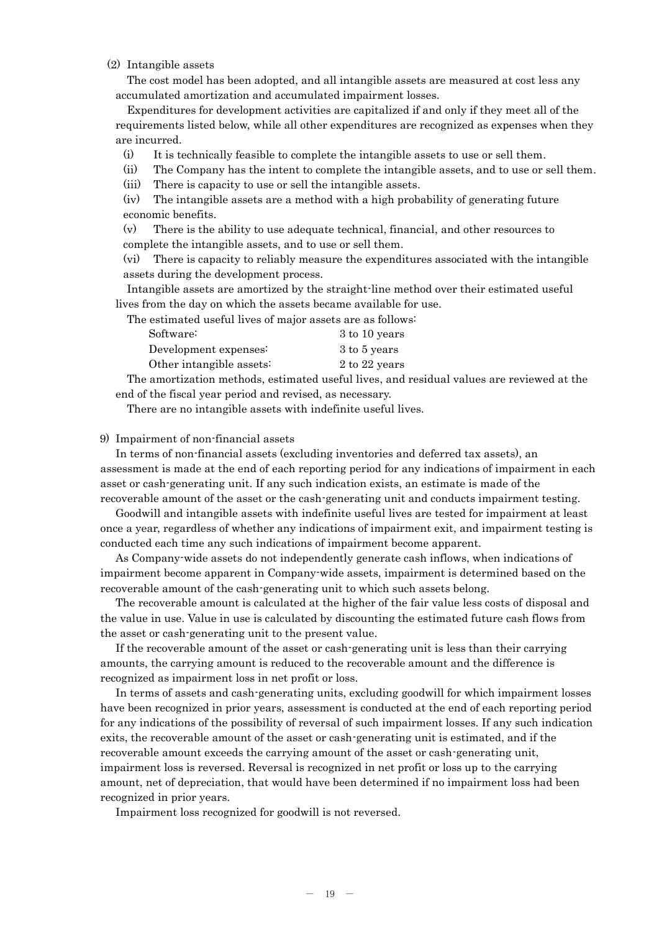## (2) Intangible assets

The cost model has been adopted, and all intangible assets are measured at cost less any accumulated amortization and accumulated impairment losses.

Expenditures for development activities are capitalized if and only if they meet all of the requirements listed below, while all other expenditures are recognized as expenses when they are incurred.

(i) It is technically feasible to complete the intangible assets to use or sell them.

(ii) The Company has the intent to complete the intangible assets, and to use or sell them.

(iii) There is capacity to use or sell the intangible assets.

(iv) The intangible assets are a method with a high probability of generating future economic benefits.

(v) There is the ability to use adequate technical, financial, and other resources to complete the intangible assets, and to use or sell them.

(vi) There is capacity to reliably measure the expenditures associated with the intangible assets during the development process.

Intangible assets are amortized by the straight-line method over their estimated useful lives from the day on which the assets became available for use.

The estimated useful lives of major assets are as follows:

| Software:                | 3 to 10 years |
|--------------------------|---------------|
| Development expenses:    | 3 to 5 years  |
| Other intangible assets: | 2 to 22 years |

The amortization methods, estimated useful lives, and residual values are reviewed at the end of the fiscal year period and revised, as necessary.

There are no intangible assets with indefinite useful lives.

### 9) Impairment of non-financial assets

In terms of non-financial assets (excluding inventories and deferred tax assets), an assessment is made at the end of each reporting period for any indications of impairment in each asset or cash-generating unit. If any such indication exists, an estimate is made of the recoverable amount of the asset or the cash-generating unit and conducts impairment testing.

Goodwill and intangible assets with indefinite useful lives are tested for impairment at least once a year, regardless of whether any indications of impairment exit, and impairment testing is conducted each time any such indications of impairment become apparent.

As Company-wide assets do not independently generate cash inflows, when indications of impairment become apparent in Company-wide assets, impairment is determined based on the recoverable amount of the cash-generating unit to which such assets belong.

The recoverable amount is calculated at the higher of the fair value less costs of disposal and the value in use. Value in use is calculated by discounting the estimated future cash flows from the asset or cash-generating unit to the present value.

If the recoverable amount of the asset or cash-generating unit is less than their carrying amounts, the carrying amount is reduced to the recoverable amount and the difference is recognized as impairment loss in net profit or loss.

In terms of assets and cash-generating units, excluding goodwill for which impairment losses have been recognized in prior years, assessment is conducted at the end of each reporting period for any indications of the possibility of reversal of such impairment losses. If any such indication exits, the recoverable amount of the asset or cash-generating unit is estimated, and if the recoverable amount exceeds the carrying amount of the asset or cash-generating unit, impairment loss is reversed. Reversal is recognized in net profit or loss up to the carrying amount, net of depreciation, that would have been determined if no impairment loss had been recognized in prior years.

Impairment loss recognized for goodwill is not reversed.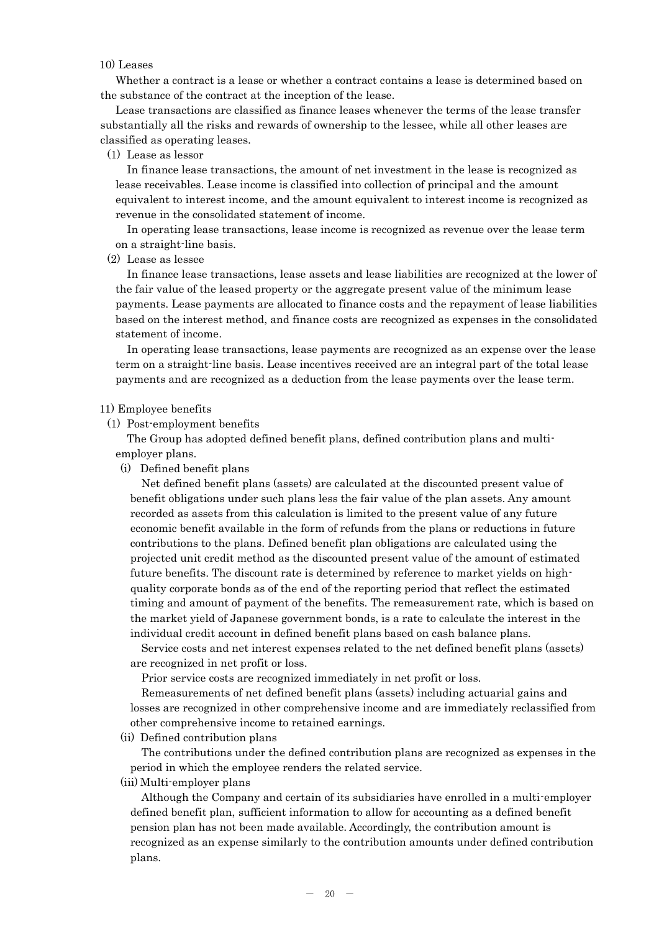## 10) Leases

Whether a contract is a lease or whether a contract contains a lease is determined based on the substance of the contract at the inception of the lease.

Lease transactions are classified as finance leases whenever the terms of the lease transfer substantially all the risks and rewards of ownership to the lessee, while all other leases are classified as operating leases.

#### (1) Lease as lessor

In finance lease transactions, the amount of net investment in the lease is recognized as lease receivables. Lease income is classified into collection of principal and the amount equivalent to interest income, and the amount equivalent to interest income is recognized as revenue in the consolidated statement of income.

In operating lease transactions, lease income is recognized as revenue over the lease term on a straight-line basis.

## (2) Lease as lessee

In finance lease transactions, lease assets and lease liabilities are recognized at the lower of the fair value of the leased property or the aggregate present value of the minimum lease payments. Lease payments are allocated to finance costs and the repayment of lease liabilities based on the interest method, and finance costs are recognized as expenses in the consolidated statement of income.

In operating lease transactions, lease payments are recognized as an expense over the lease term on a straight-line basis. Lease incentives received are an integral part of the total lease payments and are recognized as a deduction from the lease payments over the lease term.

#### 11) Employee benefits

(1) Post-employment benefits

The Group has adopted defined benefit plans, defined contribution plans and multiemployer plans.

(i) Defined benefit plans

Net defined benefit plans (assets) are calculated at the discounted present value of benefit obligations under such plans less the fair value of the plan assets. Any amount recorded as assets from this calculation is limited to the present value of any future economic benefit available in the form of refunds from the plans or reductions in future contributions to the plans. Defined benefit plan obligations are calculated using the projected unit credit method as the discounted present value of the amount of estimated future benefits. The discount rate is determined by reference to market yields on highquality corporate bonds as of the end of the reporting period that reflect the estimated timing and amount of payment of the benefits. The remeasurement rate, which is based on the market yield of Japanese government bonds, is a rate to calculate the interest in the individual credit account in defined benefit plans based on cash balance plans.

Service costs and net interest expenses related to the net defined benefit plans (assets) are recognized in net profit or loss.

Prior service costs are recognized immediately in net profit or loss.

Remeasurements of net defined benefit plans (assets) including actuarial gains and losses are recognized in other comprehensive income and are immediately reclassified from other comprehensive income to retained earnings.

(ii) Defined contribution plans

The contributions under the defined contribution plans are recognized as expenses in the period in which the employee renders the related service.

(iii) Multi-employer plans

Although the Company and certain of its subsidiaries have enrolled in a multi-employer defined benefit plan, sufficient information to allow for accounting as a defined benefit pension plan has not been made available. Accordingly, the contribution amount is recognized as an expense similarly to the contribution amounts under defined contribution plans.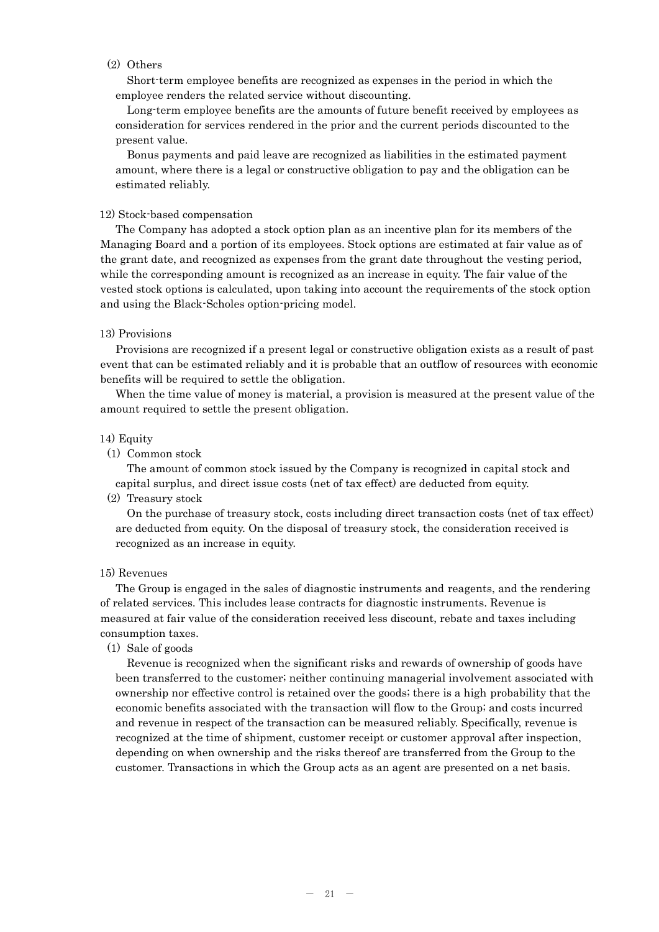## (2) Others

Short-term employee benefits are recognized as expenses in the period in which the employee renders the related service without discounting.

Long-term employee benefits are the amounts of future benefit received by employees as consideration for services rendered in the prior and the current periods discounted to the present value.

Bonus payments and paid leave are recognized as liabilities in the estimated payment amount, where there is a legal or constructive obligation to pay and the obligation can be estimated reliably.

## 12) Stock-based compensation

The Company has adopted a stock option plan as an incentive plan for its members of the Managing Board and a portion of its employees. Stock options are estimated at fair value as of the grant date, and recognized as expenses from the grant date throughout the vesting period, while the corresponding amount is recognized as an increase in equity. The fair value of the vested stock options is calculated, upon taking into account the requirements of the stock option and using the Black-Scholes option-pricing model.

### 13) Provisions

Provisions are recognized if a present legal or constructive obligation exists as a result of past event that can be estimated reliably and it is probable that an outflow of resources with economic benefits will be required to settle the obligation.

When the time value of money is material, a provision is measured at the present value of the amount required to settle the present obligation.

#### 14) Equity

(1) Common stock

The amount of common stock issued by the Company is recognized in capital stock and capital surplus, and direct issue costs (net of tax effect) are deducted from equity.

(2) Treasury stock

On the purchase of treasury stock, costs including direct transaction costs (net of tax effect) are deducted from equity. On the disposal of treasury stock, the consideration received is recognized as an increase in equity.

#### 15) Revenues

The Group is engaged in the sales of diagnostic instruments and reagents, and the rendering of related services. This includes lease contracts for diagnostic instruments. Revenue is measured at fair value of the consideration received less discount, rebate and taxes including consumption taxes.

(1) Sale of goods

Revenue is recognized when the significant risks and rewards of ownership of goods have been transferred to the customer; neither continuing managerial involvement associated with ownership nor effective control is retained over the goods; there is a high probability that the economic benefits associated with the transaction will flow to the Group; and costs incurred and revenue in respect of the transaction can be measured reliably. Specifically, revenue is recognized at the time of shipment, customer receipt or customer approval after inspection, depending on when ownership and the risks thereof are transferred from the Group to the customer. Transactions in which the Group acts as an agent are presented on a net basis.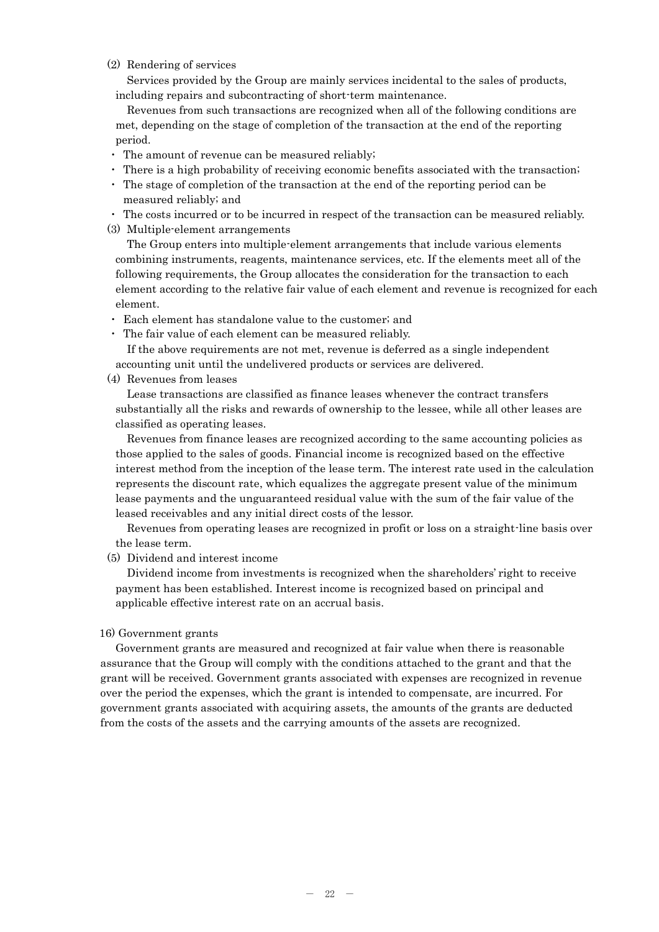## (2) Rendering of services

Services provided by the Group are mainly services incidental to the sales of products, including repairs and subcontracting of short-term maintenance.

Revenues from such transactions are recognized when all of the following conditions are met, depending on the stage of completion of the transaction at the end of the reporting period.

- ・ The amount of revenue can be measured reliably;
- ・ There is a high probability of receiving economic benefits associated with the transaction;
- ・ The stage of completion of the transaction at the end of the reporting period can be measured reliably; and
- ・ The costs incurred or to be incurred in respect of the transaction can be measured reliably.
- (3) Multiple-element arrangements

The Group enters into multiple-element arrangements that include various elements combining instruments, reagents, maintenance services, etc. If the elements meet all of the following requirements, the Group allocates the consideration for the transaction to each element according to the relative fair value of each element and revenue is recognized for each element.

- ・ Each element has standalone value to the customer; and
- ・ The fair value of each element can be measured reliably.

If the above requirements are not met, revenue is deferred as a single independent accounting unit until the undelivered products or services are delivered.

(4) Revenues from leases

Lease transactions are classified as finance leases whenever the contract transfers substantially all the risks and rewards of ownership to the lessee, while all other leases are classified as operating leases.

Revenues from finance leases are recognized according to the same accounting policies as those applied to the sales of goods. Financial income is recognized based on the effective interest method from the inception of the lease term. The interest rate used in the calculation represents the discount rate, which equalizes the aggregate present value of the minimum lease payments and the unguaranteed residual value with the sum of the fair value of the leased receivables and any initial direct costs of the lessor.

Revenues from operating leases are recognized in profit or loss on a straight-line basis over the lease term.

(5) Dividend and interest income

Dividend income from investments is recognized when the shareholders' right to receive payment has been established. Interest income is recognized based on principal and applicable effective interest rate on an accrual basis.

#### 16) Government grants

Government grants are measured and recognized at fair value when there is reasonable assurance that the Group will comply with the conditions attached to the grant and that the grant will be received. Government grants associated with expenses are recognized in revenue over the period the expenses, which the grant is intended to compensate, are incurred. For government grants associated with acquiring assets, the amounts of the grants are deducted from the costs of the assets and the carrying amounts of the assets are recognized.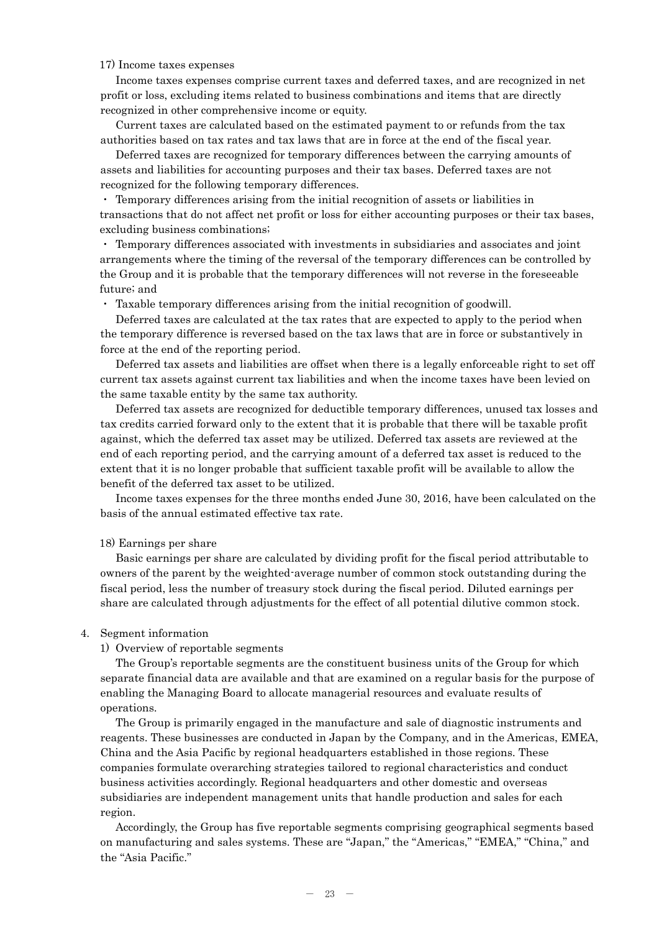## 17) Income taxes expenses

Income taxes expenses comprise current taxes and deferred taxes, and are recognized in net profit or loss, excluding items related to business combinations and items that are directly recognized in other comprehensive income or equity.

Current taxes are calculated based on the estimated payment to or refunds from the tax authorities based on tax rates and tax laws that are in force at the end of the fiscal year.

Deferred taxes are recognized for temporary differences between the carrying amounts of assets and liabilities for accounting purposes and their tax bases. Deferred taxes are not recognized for the following temporary differences.

・ Temporary differences arising from the initial recognition of assets or liabilities in transactions that do not affect net profit or loss for either accounting purposes or their tax bases, excluding business combinations;

・ Temporary differences associated with investments in subsidiaries and associates and joint arrangements where the timing of the reversal of the temporary differences can be controlled by the Group and it is probable that the temporary differences will not reverse in the foreseeable future; and

Taxable temporary differences arising from the initial recognition of goodwill.

Deferred taxes are calculated at the tax rates that are expected to apply to the period when the temporary difference is reversed based on the tax laws that are in force or substantively in force at the end of the reporting period.

Deferred tax assets and liabilities are offset when there is a legally enforceable right to set off current tax assets against current tax liabilities and when the income taxes have been levied on the same taxable entity by the same tax authority.

Deferred tax assets are recognized for deductible temporary differences, unused tax losses and tax credits carried forward only to the extent that it is probable that there will be taxable profit against, which the deferred tax asset may be utilized. Deferred tax assets are reviewed at the end of each reporting period, and the carrying amount of a deferred tax asset is reduced to the extent that it is no longer probable that sufficient taxable profit will be available to allow the benefit of the deferred tax asset to be utilized.

Income taxes expenses for the three months ended June 30, 2016, have been calculated on the basis of the annual estimated effective tax rate.

#### 18) Earnings per share

Basic earnings per share are calculated by dividing profit for the fiscal period attributable to owners of the parent by the weighted-average number of common stock outstanding during the fiscal period, less the number of treasury stock during the fiscal period. Diluted earnings per share are calculated through adjustments for the effect of all potential dilutive common stock.

#### 4. Segment information

#### 1) Overview of reportable segments

The Group's reportable segments are the constituent business units of the Group for which separate financial data are available and that are examined on a regular basis for the purpose of enabling the Managing Board to allocate managerial resources and evaluate results of operations.

The Group is primarily engaged in the manufacture and sale of diagnostic instruments and reagents. These businesses are conducted in Japan by the Company, and in the Americas, EMEA, China and the Asia Pacific by regional headquarters established in those regions. These companies formulate overarching strategies tailored to regional characteristics and conduct business activities accordingly. Regional headquarters and other domestic and overseas subsidiaries are independent management units that handle production and sales for each region.

Accordingly, the Group has five reportable segments comprising geographical segments based on manufacturing and sales systems. These are "Japan," the "Americas," "EMEA," "China," and the "Asia Pacific."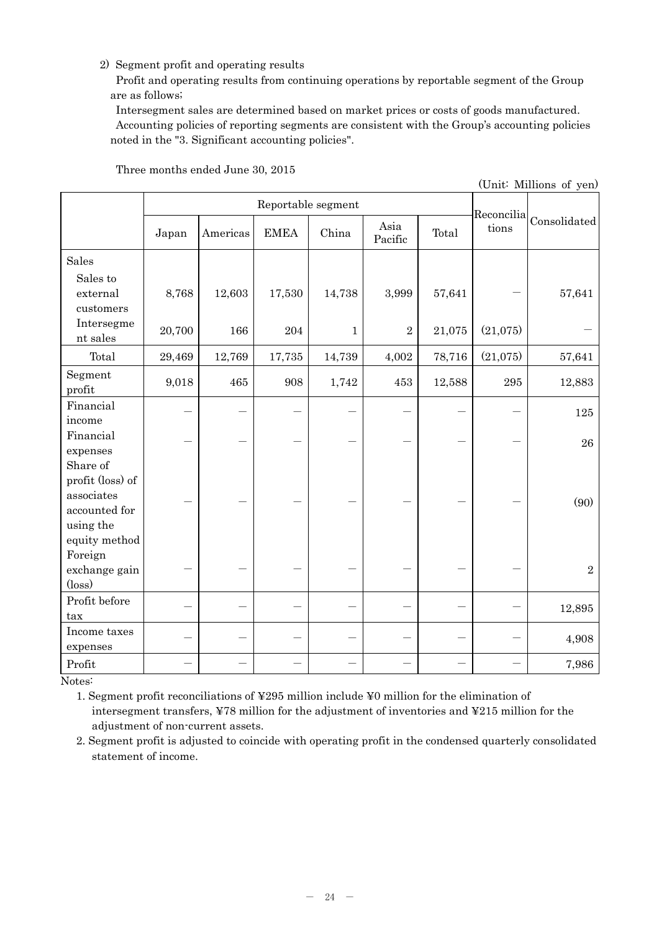# 2) Segment profit and operating results

Profit and operating results from continuing operations by reportable segment of the Group are as follows;

Intersegment sales are determined based on market prices or costs of goods manufactured. Accounting policies of reporting segments are consistent with the Group's accounting policies noted in the "3. Significant accounting policies".

| (Unit: Millions of yen)                                                                   |        |          |                    |              |                 |        |          |                                                        |
|-------------------------------------------------------------------------------------------|--------|----------|--------------------|--------------|-----------------|--------|----------|--------------------------------------------------------|
|                                                                                           |        |          | Reportable segment |              |                 |        |          |                                                        |
|                                                                                           | Japan  | Americas | <b>EMEA</b>        | China        | Asia<br>Pacific | Total  | tions    | $\big \text{Reconcilia}\big _\text{Consolidated}\big $ |
| Sales                                                                                     |        |          |                    |              |                 |        |          |                                                        |
| Sales to<br>external<br>customers                                                         | 8,768  | 12,603   | 17,530             | 14,738       | 3,999           | 57,641 |          | 57,641                                                 |
| Intersegme<br>nt sales                                                                    | 20,700 | 166      | 204                | $\mathbf{1}$ | $\sqrt{2}$      | 21,075 | (21,075) |                                                        |
| Total                                                                                     | 29,469 | 12,769   | 17,735             | 14,739       | 4,002           | 78,716 | (21,075) | 57,641                                                 |
| Segment<br>profit                                                                         | 9,018  | 465      | 908                | 1,742        | 453             | 12,588 | 295      | 12,883                                                 |
| Financial<br>income                                                                       |        |          |                    |              |                 |        |          | 125                                                    |
| Financial<br>expenses                                                                     |        |          |                    |              |                 |        |          | 26                                                     |
| Share of<br>profit (loss) of<br>associates<br>accounted for<br>using the<br>equity method |        |          |                    |              |                 |        |          | (90)                                                   |
| Foreign<br>exchange gain<br>$(\text{loss})$                                               |        |          |                    |              |                 |        |          | $\overline{2}$                                         |
| Profit before<br>tax                                                                      |        |          |                    |              |                 |        |          | 12,895                                                 |
| Income taxes<br>expenses                                                                  |        |          |                    |              |                 |        |          | 4,908                                                  |
| Profit                                                                                    |        |          |                    |              |                 |        |          | 7,986                                                  |

Three months ended June 30, 2015

Notes:

1. Segment profit reconciliations of ¥295 million include ¥0 million for the elimination of intersegment transfers, ¥78 million for the adjustment of inventories and ¥215 million for the adjustment of non-current assets.

2. Segment profit is adjusted to coincide with operating profit in the condensed quarterly consolidated statement of income.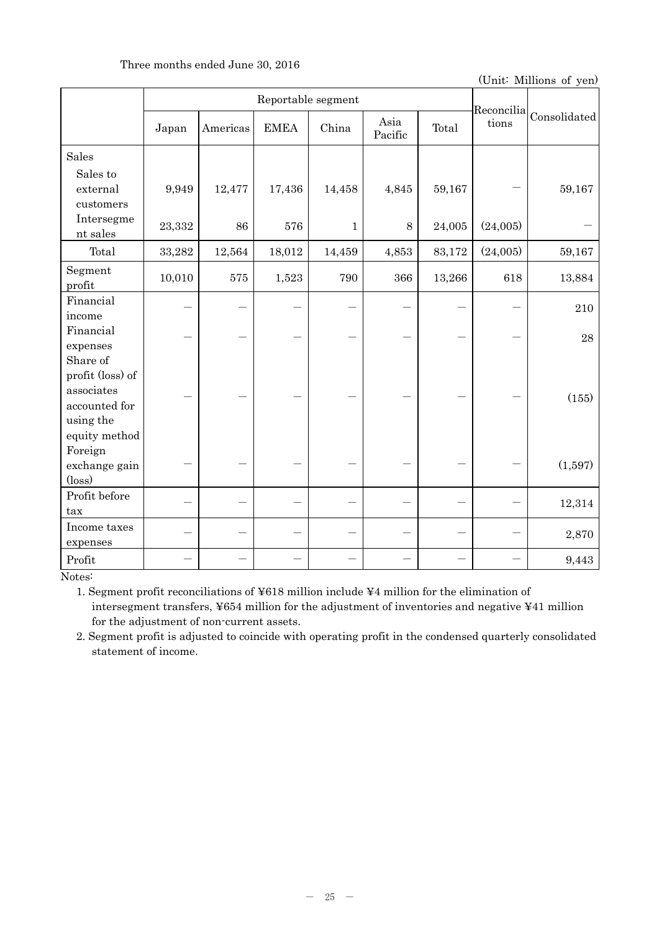## Three months ended June 30, 2016

(Unit: Millions of yen)

|                                   |        |          | Reportable segment |              |                 |        | Reconcilia |              |
|-----------------------------------|--------|----------|--------------------|--------------|-----------------|--------|------------|--------------|
|                                   | Japan  | Americas | <b>EMEA</b>        | China        | Asia<br>Pacific | Total  | tions      | Consolidated |
| Sales                             |        |          |                    |              |                 |        |            |              |
| Sales to<br>external<br>customers | 9,949  | 12,477   | 17,436             | 14,458       | 4,845           | 59,167 |            | 59,167       |
| Intersegme<br>nt sales            | 23,332 | 86       | 576                | $\mathbf{1}$ | 8               | 24,005 | (24,005)   |              |
| Total                             | 33,282 | 12,564   | 18,012             | 14,459       | 4,853           | 83,172 | (24,005)   | 59,167       |
| Segment<br>profit                 | 10,010 | 575      | 1,523              | 790          | 366             | 13,266 | 618        | 13,884       |
| Financial                         |        |          |                    |              |                 |        |            | 210          |
| income                            |        |          |                    |              |                 |        |            |              |
| Financial<br>expenses             |        |          |                    |              |                 |        |            | 28           |
| Share of                          |        |          |                    |              |                 |        |            |              |
| profit (loss) of                  |        |          |                    |              |                 |        |            |              |
| associates                        |        |          |                    |              |                 |        |            |              |
| accounted for                     |        |          |                    |              |                 |        |            | (155)        |
| using the                         |        |          |                    |              |                 |        |            |              |
| equity method                     |        |          |                    |              |                 |        |            |              |
| Foreign                           |        |          |                    |              |                 |        |            |              |
| exchange gain                     |        |          |                    |              |                 |        |            | (1,597)      |
| $(\text{loss})$<br>Profit before  |        |          |                    |              |                 |        |            |              |
| tax                               |        |          |                    |              |                 |        |            | 12,314       |
| Income taxes                      |        |          |                    |              |                 |        |            |              |
| expenses                          |        |          |                    |              |                 |        |            | 2,870        |
| Profit                            |        |          |                    |              |                 |        |            | 9,443        |

Notes:

1. Segment profit reconciliations of ¥618 million include ¥4 million for the elimination of intersegment transfers, ¥654 million for the adjustment of inventories and negative ¥41 million for the adjustment of non-current assets.

2. Segment profit is adjusted to coincide with operating profit in the condensed quarterly consolidated statement of income.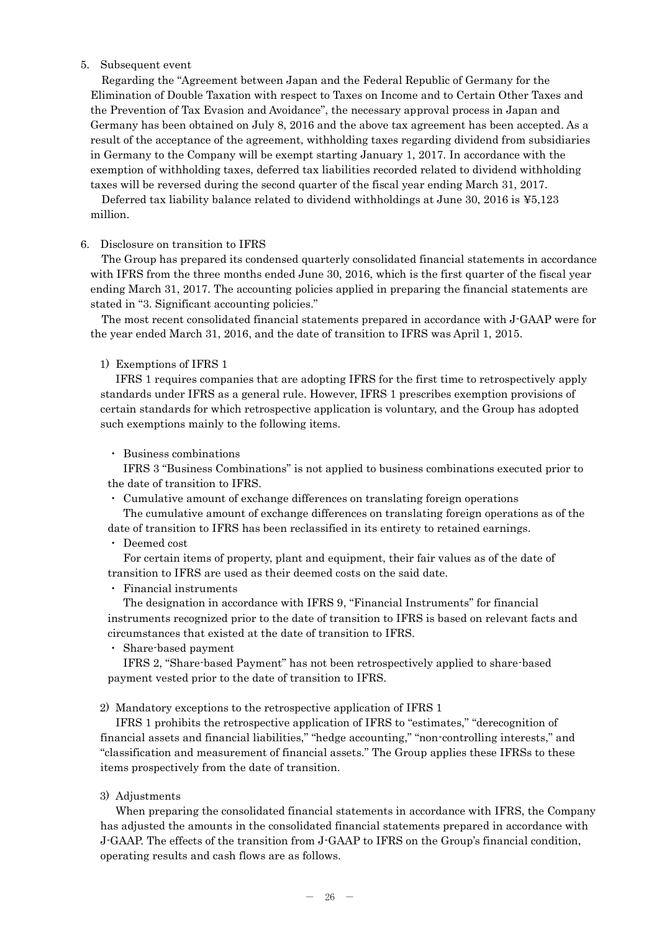## 5. Subsequent event

Regarding the "Agreement between Japan and the Federal Republic of Germany for the Elimination of Double Taxation with respect to Taxes on Income and to Certain Other Taxes and the Prevention of Tax Evasion and Avoidance", the necessary approval process in Japan and Germany has been obtained on July 8, 2016 and the above tax agreement has been accepted. As a result of the acceptance of the agreement, withholding taxes regarding dividend from subsidiaries in Germany to the Company will be exempt starting January 1, 2017. In accordance with the exemption of withholding taxes, deferred tax liabilities recorded related to dividend withholding taxes will be reversed during the second quarter of the fiscal year ending March 31, 2017.

Deferred tax liability balance related to dividend withholdings at June 30, 2016 is ¥5,123 million.

## 6. Disclosure on transition to IFRS

The Group has prepared its condensed quarterly consolidated financial statements in accordance with IFRS from the three months ended June 30, 2016, which is the first quarter of the fiscal year ending March 31, 2017. The accounting policies applied in preparing the financial statements are stated in "3. Significant accounting policies."

The most recent consolidated financial statements prepared in accordance with J-GAAP were for the year ended March 31, 2016, and the date of transition to IFRS was April 1, 2015.

## 1) Exemptions of IFRS 1

IFRS 1 requires companies that are adopting IFRS for the first time to retrospectively apply standards under IFRS as a general rule. However, IFRS 1 prescribes exemption provisions of certain standards for which retrospective application is voluntary, and the Group has adopted such exemptions mainly to the following items.

## ・ Business combinations

IFRS 3 "Business Combinations" is not applied to business combinations executed prior to the date of transition to IFRS.

・ Cumulative amount of exchange differences on translating foreign operations

The cumulative amount of exchange differences on translating foreign operations as of the date of transition to IFRS has been reclassified in its entirety to retained earnings.

・ Deemed cost

For certain items of property, plant and equipment, their fair values as of the date of transition to IFRS are used as their deemed costs on the said date.

・ Financial instruments

The designation in accordance with IFRS 9, "Financial Instruments" for financial instruments recognized prior to the date of transition to IFRS is based on relevant facts and circumstances that existed at the date of transition to IFRS.

・ Share-based payment

IFRS 2, "Share-based Payment" has not been retrospectively applied to share-based payment vested prior to the date of transition to IFRS.

2) Mandatory exceptions to the retrospective application of IFRS 1

IFRS 1 prohibits the retrospective application of IFRS to "estimates," "derecognition of financial assets and financial liabilities," "hedge accounting," "non-controlling interests," and "classification and measurement of financial assets." The Group applies these IFRSs to these items prospectively from the date of transition.

3) Adjustments

When preparing the consolidated financial statements in accordance with IFRS, the Company has adjusted the amounts in the consolidated financial statements prepared in accordance with J-GAAP. The effects of the transition from J-GAAP to IFRS on the Group's financial condition, operating results and cash flows are as follows.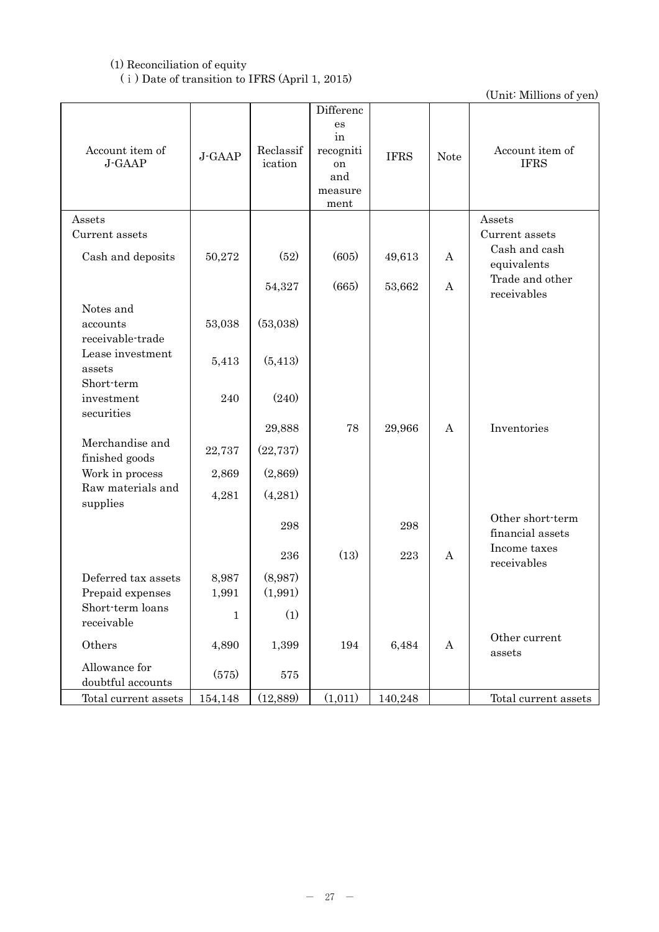# (1) Reconciliation of equity (ⅰ) Date of transition to IFRS (April 1, 2015)

| Account item of<br>J-GAAP          | J-GAAP      | Reclassif<br>ication | Differenc<br>es<br>in<br>recogniti<br>on<br>and<br>measure<br>ment | <b>IFRS</b> | <b>Note</b> | Account item of<br><b>IFRS</b>       |
|------------------------------------|-------------|----------------------|--------------------------------------------------------------------|-------------|-------------|--------------------------------------|
| Assets                             |             |                      |                                                                    |             |             | Assets                               |
| Current assets                     |             |                      |                                                                    |             |             | Current assets<br>Cash and cash      |
| Cash and deposits                  | 50,272      | (52)                 | (605)                                                              | 49,613      | A           | equivalents                          |
|                                    |             | 54,327               | (665)                                                              | 53,662      | A           | Trade and other<br>receivables       |
| Notes and                          |             |                      |                                                                    |             |             |                                      |
| accounts<br>receivable-trade       | 53,038      | (53,038)             |                                                                    |             |             |                                      |
| Lease investment<br>assets         | 5,413       | (5, 413)             |                                                                    |             |             |                                      |
| Short-term                         |             |                      |                                                                    |             |             |                                      |
| investment<br>securities           | 240         | (240)                |                                                                    |             |             |                                      |
|                                    |             | 29,888               | 78                                                                 | 29,966      | A           | Inventories                          |
| Merchandise and<br>finished goods  | 22,737      | (22, 737)            |                                                                    |             |             |                                      |
| Work in process                    | 2,869       | (2,869)              |                                                                    |             |             |                                      |
| Raw materials and<br>supplies      | 4,281       | (4,281)              |                                                                    |             |             |                                      |
|                                    |             | 298                  |                                                                    | 298         |             | Other short-term<br>financial assets |
|                                    |             | 236                  | (13)                                                               | 223         | A           | Income taxes<br>receivables          |
| Deferred tax assets                | 8,987       | (8,987)              |                                                                    |             |             |                                      |
| Prepaid expenses                   | 1,991       | (1,991)              |                                                                    |             |             |                                      |
| Short-term loans<br>receivable     | $\mathbf 1$ | (1)                  |                                                                    |             |             |                                      |
| Others                             | 4,890       | 1,399                | 194                                                                | 6,484       | A           | Other current<br>assets              |
| Allowance for<br>doubtful accounts | (575)       | 575                  |                                                                    |             |             |                                      |
| Total current assets               | 154,148     | (12,889)             | (1,011)                                                            | 140,248     |             | Total current assets                 |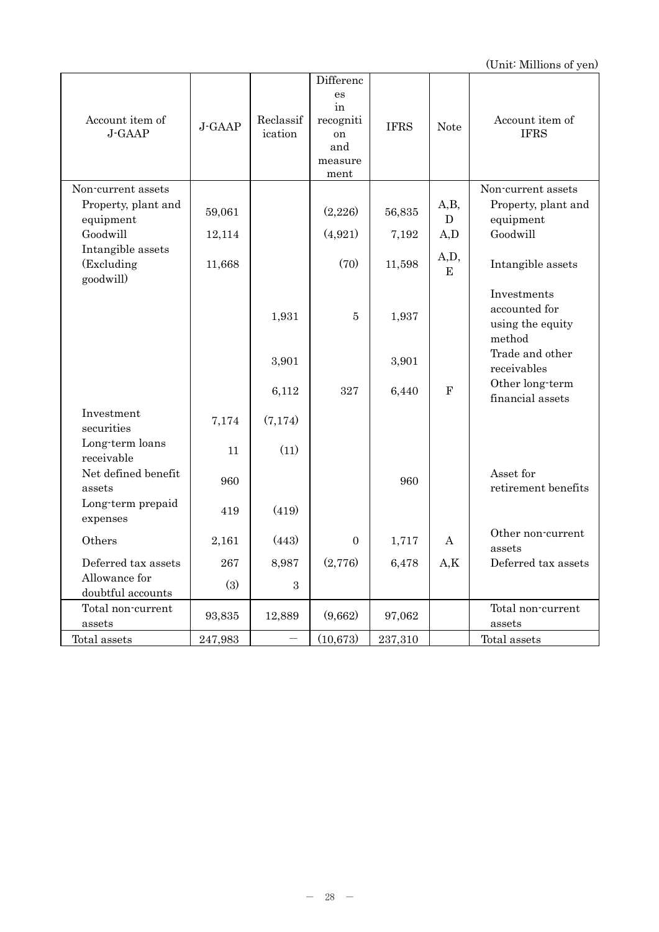| Account item of<br>J-GAAP                                          | J-GAAP           | Reclassif<br>ication | Differenc<br>es<br>in<br>recogniti<br>on<br>and<br>measure<br>ment | <b>IFRS</b>     | <b>Note</b>                  | Account item of<br><b>IFRS</b>                                     |
|--------------------------------------------------------------------|------------------|----------------------|--------------------------------------------------------------------|-----------------|------------------------------|--------------------------------------------------------------------|
| Non-current assets<br>Property, plant and<br>equipment<br>Goodwill | 59,061<br>12,114 |                      | (2,226)<br>(4,921)                                                 | 56,835<br>7,192 | A,B,<br>$\mathbf{D}$<br>A, D | Non-current assets<br>Property, plant and<br>equipment<br>Goodwill |
| Intangible assets<br>(Excluding<br>goodwill)                       | 11,668           |                      | (70)                                                               | 11,598          | A,D,<br>${\bf E}$            | Intangible assets                                                  |
|                                                                    |                  | 1,931                | $\bf 5$                                                            | 1,937           |                              | Investments<br>accounted for<br>using the equity<br>method         |
|                                                                    |                  | 3,901                |                                                                    | 3,901           |                              | Trade and other<br>receivables                                     |
|                                                                    |                  | 6,112                | 327                                                                | 6,440           | $\mathbf F$                  | Other long-term<br>financial assets                                |
| Investment<br>securities                                           | 7,174            | (7,174)              |                                                                    |                 |                              |                                                                    |
| Long-term loans<br>receivable                                      | 11               | (11)                 |                                                                    |                 |                              |                                                                    |
| Net defined benefit<br>assets                                      | 960              |                      |                                                                    | 960             |                              | Asset for<br>retirement benefits                                   |
| Long-term prepaid<br>expenses                                      | 419              | (419)                |                                                                    |                 |                              |                                                                    |
| Others                                                             | 2,161            | (443)                | $\Omega$                                                           | 1,717           | A                            | Other non-current<br>assets                                        |
| Deferred tax assets                                                | 267              | 8,987                | (2,776)                                                            | 6,478           | A,K                          | Deferred tax assets                                                |
| Allowance for<br>doubtful accounts                                 | (3)              | 3                    |                                                                    |                 |                              |                                                                    |
| Total non-current<br>assets                                        | 93,835           | 12,889               | (9,662)                                                            | 97,062          |                              | Total non-current<br>assets                                        |
| Total assets                                                       | 247,983          |                      | (10, 673)                                                          | 237,310         |                              | Total assets                                                       |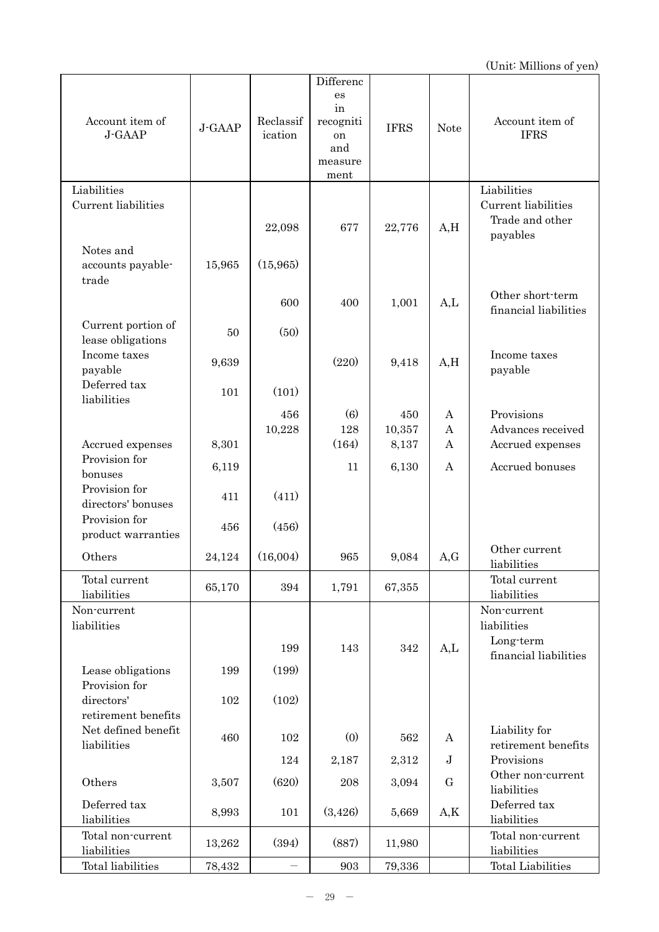| Account item of<br>J-GAAP                                 | J-GAAP | Reclassif<br>ication | Differenc<br>es<br>in<br>recogniti<br>on<br>and<br>measure<br>ment | <b>IFRS</b> | <b>Note</b>      | Account item of<br><b>IFRS</b>                     |
|-----------------------------------------------------------|--------|----------------------|--------------------------------------------------------------------|-------------|------------------|----------------------------------------------------|
| Liabilities                                               |        |                      |                                                                    |             |                  | Liabilities                                        |
| Current liabilities<br>Notes and                          |        | 22,098               | 677                                                                | 22,776      | A, H             | Current liabilities<br>Trade and other<br>payables |
| accounts payable-<br>trade                                | 15,965 | (15,965)             |                                                                    |             |                  |                                                    |
|                                                           |        | 600                  | 400                                                                | 1,001       | A,L              | Other short-term<br>financial liabilities          |
| Current portion of<br>lease obligations                   | 50     | (50)                 |                                                                    |             |                  |                                                    |
| Income taxes<br>payable                                   | 9,639  |                      | (220)                                                              | 9,418       | A, H             | Income taxes<br>payable                            |
| Deferred tax<br>liabilities                               | 101    | (101)                |                                                                    |             |                  |                                                    |
|                                                           |        | 456                  | (6)                                                                | 450         | A                | Provisions                                         |
|                                                           |        | 10,228               | 128                                                                | 10,357      | $\boldsymbol{A}$ | Advances received                                  |
| Accrued expenses<br>Provision for                         | 8,301  |                      | (164)                                                              | 8,137       | A                | Accrued expenses                                   |
| bonuses                                                   | 6,119  |                      | 11                                                                 | 6,130       | A                | Accrued bonuses                                    |
| Provision for<br>directors' bonuses                       | 411    | (411)                |                                                                    |             |                  |                                                    |
| Provision for<br>product warranties                       | 456    | (456)                |                                                                    |             |                  |                                                    |
| Others                                                    | 24,124 | (16,004)             | 965                                                                | 9,084       | A,G              | Other current<br>liabilities                       |
| Total current<br>liabilities                              | 65,170 | 394                  | 1,791                                                              | 67,355      |                  | Total current<br>liabilities                       |
| Non-current<br>liabilities                                |        |                      |                                                                    |             |                  | Non-current<br>liabilities                         |
|                                                           |        | 199                  | 143                                                                | 342         | A,L              | Long-term<br>financial liabilities                 |
| Lease obligations<br>Provision for                        | 199    | (199)                |                                                                    |             |                  |                                                    |
| directors'                                                | 102    | (102)                |                                                                    |             |                  |                                                    |
| retirement benefits<br>Net defined benefit<br>liabilities | 460    | 102                  | (0)                                                                | 562         | A                | Liability for<br>retirement benefits               |
|                                                           |        | 124                  | 2,187                                                              | 2,312       | $\mathbf J$      | Provisions                                         |
| Others                                                    | 3,507  | (620)                | 208                                                                | 3,094       | G                | Other non-current<br>liabilities                   |
| Deferred tax<br>liabilities                               | 8,993  | 101                  | (3,426)                                                            | 5,669       | A,K              | Deferred tax<br>liabilities                        |
| Total non-current<br>liabilities                          | 13,262 | (394)                | (887)                                                              | 11,980      |                  | Total non-current<br>liabilities                   |
| Total liabilities                                         | 78,432 |                      | 903                                                                | 79,336      |                  | <b>Total Liabilities</b>                           |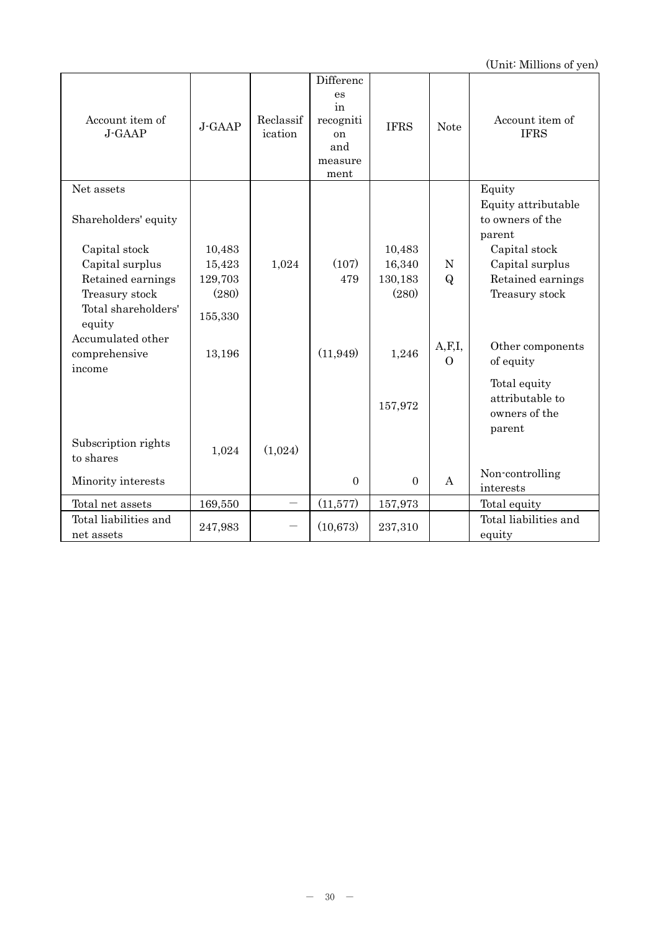| Account item of<br>J-GAAP                    | J-GAAP           | Reclassif<br>ication | Differenc<br>es<br>in<br>recogniti<br>on<br>and<br>measure<br>ment | <b>IFRS</b>      | <b>Note</b>          | Account item of<br><b>IFRS</b>                             |
|----------------------------------------------|------------------|----------------------|--------------------------------------------------------------------|------------------|----------------------|------------------------------------------------------------|
| Net assets                                   |                  |                      |                                                                    |                  |                      | Equity                                                     |
| Shareholders' equity                         |                  |                      |                                                                    |                  |                      | Equity attributable<br>to owners of the<br>parent          |
| Capital stock                                | 10,483           |                      |                                                                    | 10,483           |                      | Capital stock                                              |
| Capital surplus                              | 15,423           | 1,024                | (107)<br>479                                                       | 16,340           | ${\rm N}$            | Capital surplus                                            |
| Retained earnings<br>Treasury stock          | 129,703<br>(280) |                      |                                                                    | 130,183<br>(280) | $\bf{Q}$             | Retained earnings<br>Treasury stock                        |
| Total shareholders'<br>equity                | 155,330          |                      |                                                                    |                  |                      |                                                            |
| Accumulated other<br>comprehensive<br>income | 13,196           |                      | (11, 949)                                                          | 1,246            | A, F, I,<br>$\Omega$ | Other components<br>of equity                              |
|                                              |                  |                      |                                                                    | 157,972          |                      | Total equity<br>attributable to<br>owners of the<br>parent |
| Subscription rights<br>to shares             | 1,024            | (1,024)              |                                                                    |                  |                      |                                                            |
| Minority interests                           |                  |                      | $\overline{0}$                                                     | $\overline{0}$   | A                    | Non-controlling<br>interests                               |
| Total net assets                             | 169,550          |                      | (11, 577)                                                          | 157,973          |                      | Total equity                                               |
| Total liabilities and<br>net assets          | 247,983          |                      | (10,673)                                                           | 237,310          |                      | Total liabilities and<br>equity                            |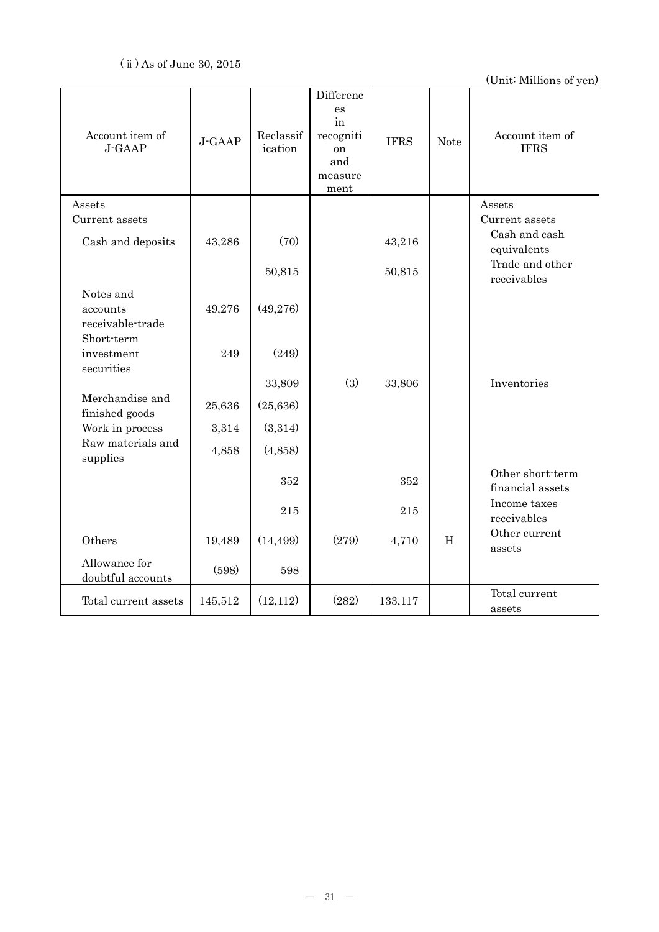| Account item of<br>J-GAAP          | J-GAAP  | Reclassif<br>ication | Differenc<br>es<br>in<br>${\tt recogniti}$<br>on<br>and<br>measure<br>ment | <b>IFRS</b> | <b>Note</b> | Account item of<br><b>IFRS</b>       |
|------------------------------------|---------|----------------------|----------------------------------------------------------------------------|-------------|-------------|--------------------------------------|
| Assets                             |         |                      |                                                                            |             |             | Assets                               |
| Current assets                     |         |                      |                                                                            |             |             | Current assets                       |
| Cash and deposits                  | 43,286  | (70)                 |                                                                            | 43,216      |             | Cash and cash<br>equivalents         |
|                                    |         |                      |                                                                            |             |             | Trade and other                      |
|                                    |         | 50,815               |                                                                            | 50,815      |             | receivables                          |
| Notes and                          |         |                      |                                                                            |             |             |                                      |
| accounts                           | 49,276  | (49,276)             |                                                                            |             |             |                                      |
| receivable-trade<br>Short-term     |         |                      |                                                                            |             |             |                                      |
| investment                         | 249     | (249)                |                                                                            |             |             |                                      |
| securities                         |         |                      |                                                                            |             |             |                                      |
|                                    |         | 33,809               | (3)                                                                        | 33,806      |             | Inventories                          |
| Merchandise and<br>finished goods  | 25,636  | (25, 636)            |                                                                            |             |             |                                      |
| Work in process                    | 3,314   | (3,314)              |                                                                            |             |             |                                      |
| Raw materials and                  |         | (4,858)              |                                                                            |             |             |                                      |
| supplies                           | 4,858   |                      |                                                                            |             |             |                                      |
|                                    |         | 352                  |                                                                            | 352         |             | Other short-term<br>financial assets |
|                                    |         |                      |                                                                            |             |             | Income taxes                         |
|                                    |         | 215                  |                                                                            | $215\,$     |             | receivables                          |
| Others                             | 19,489  | (14, 499)            | (279)                                                                      | 4,710       | $\rm H$     | Other current<br>assets              |
| Allowance for<br>doubtful accounts | (598)   | 598                  |                                                                            |             |             |                                      |
| Total current assets               | 145,512 | (12,112)             | (282)                                                                      | 133,117     |             | Total current<br>assets              |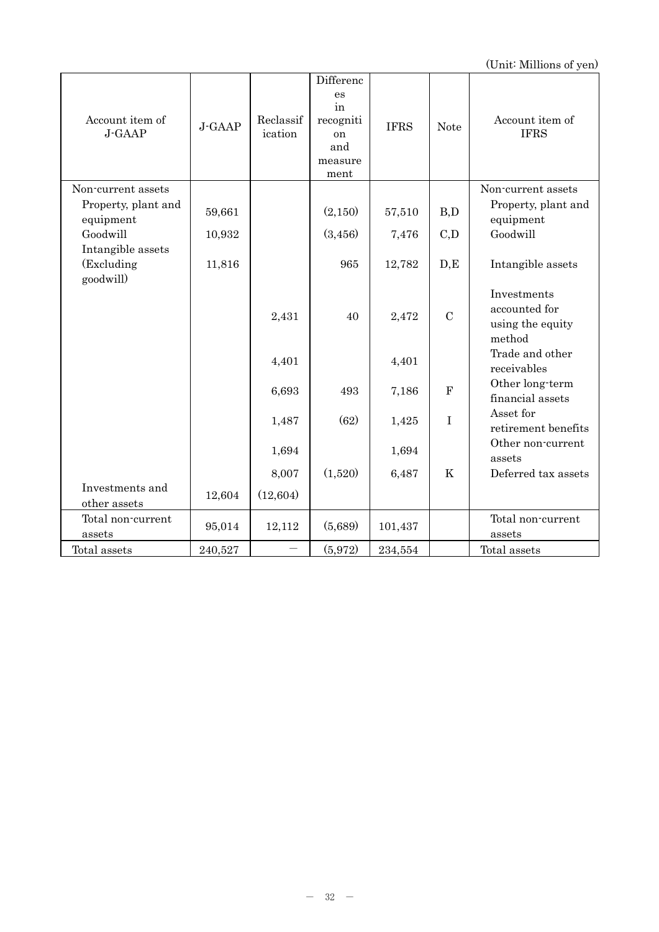| Account item of<br>J-GAAP                    | J-GAAP  | Reclassif<br>ication | Differenc<br>es<br>in<br>recogniti<br><sub>on</sub><br>and<br>measure<br>ment | <b>IFRS</b> | <b>Note</b>      | Account item of<br><b>IFRS</b>                             |
|----------------------------------------------|---------|----------------------|-------------------------------------------------------------------------------|-------------|------------------|------------------------------------------------------------|
| Non-current assets<br>Property, plant and    |         |                      |                                                                               |             |                  | Non-current assets<br>Property, plant and                  |
| equipment                                    | 59,661  |                      | (2,150)                                                                       | 57,510      | B,D              | equipment                                                  |
| Goodwill                                     | 10,932  |                      | (3,456)                                                                       | 7,476       | C,D              | Goodwill                                                   |
| Intangible assets<br>(Excluding<br>goodwill) | 11,816  |                      | 965                                                                           | 12,782      | D, E             | Intangible assets                                          |
|                                              |         | 2,431                | 40                                                                            | 2,472       | $\mathcal{C}$    | Investments<br>accounted for<br>using the equity<br>method |
|                                              |         | 4,401                |                                                                               | 4,401       |                  | Trade and other<br>receivables                             |
|                                              |         | 6,693                | 493                                                                           | 7,186       | ${\bf F}$        | Other long-term<br>financial assets                        |
|                                              |         | 1,487                | (62)                                                                          | 1,425       | $\bf I$          | Asset for<br>retirement benefits                           |
|                                              |         | 1,694                |                                                                               | 1,694       |                  | Other non-current<br>assets                                |
|                                              |         | 8,007                | (1,520)                                                                       | 6,487       | $\boldsymbol{K}$ | Deferred tax assets                                        |
| Investments and<br>other assets              | 12,604  | (12, 604)            |                                                                               |             |                  |                                                            |
| Total non-current<br>assets                  | 95,014  | 12,112               | (5,689)                                                                       | 101,437     |                  | Total non-current<br>assets                                |
| Total assets                                 | 240,527 |                      | (5,972)                                                                       | 234,554     |                  | Total assets                                               |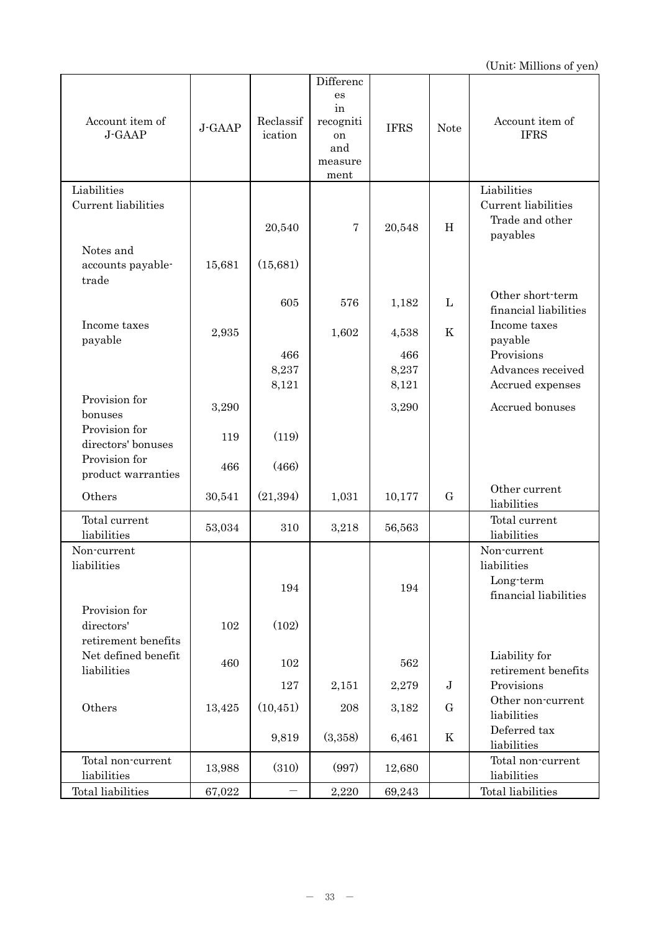| Account item of<br>J-GAAP               | J-GAAP | Reclassif<br>ication | Differenc<br>es<br>in<br>recogniti<br>on<br>and<br>measure<br>ment | <b>IFRS</b> | <b>Note</b> | Account item of<br><b>IFRS</b>                     |
|-----------------------------------------|--------|----------------------|--------------------------------------------------------------------|-------------|-------------|----------------------------------------------------|
| Liabilities                             |        |                      |                                                                    |             |             | Liabilities                                        |
| Current liabilities                     |        | 20,540               | 7                                                                  | 20,548      | H           | Current liabilities<br>Trade and other<br>payables |
| Notes and<br>accounts payable-<br>trade | 15,681 | (15,681)             |                                                                    |             |             |                                                    |
|                                         |        | 605                  | 576                                                                | 1,182       | L           | Other short-term<br>financial liabilities          |
| Income taxes<br>payable                 | 2,935  |                      | 1,602                                                              | 4,538       | K           | Income taxes<br>payable                            |
|                                         |        | 466                  |                                                                    | 466         |             | Provisions                                         |
|                                         |        | 8,237                |                                                                    | 8,237       |             | Advances received                                  |
| Provision for                           |        | 8,121                |                                                                    | 8,121       |             | Accrued expenses                                   |
| bonuses                                 | 3,290  |                      |                                                                    | 3,290       |             | Accrued bonuses                                    |
| Provision for<br>directors' bonuses     | 119    | (119)                |                                                                    |             |             |                                                    |
| Provision for<br>product warranties     | 466    | (466)                |                                                                    |             |             |                                                    |
| Others                                  | 30,541 | (21, 394)            | 1,031                                                              | 10,177      | G           | Other current<br>liabilities                       |
| Total current<br>liabilities            | 53,034 | 310                  | 3,218                                                              | 56,563      |             | Total current<br>liabilities                       |
| Non-current                             |        |                      |                                                                    |             |             | Non-current                                        |
| liabilities                             |        |                      |                                                                    |             |             | liabilities                                        |
|                                         |        | 194                  |                                                                    | 194         |             | Long-term<br>financial liabilities                 |
| Provision for                           |        |                      |                                                                    |             |             |                                                    |
| directors'                              | 102    | (102)                |                                                                    |             |             |                                                    |
| retirement benefits                     |        |                      |                                                                    |             |             |                                                    |
| Net defined benefit<br>liabilities      | 460    | 102                  |                                                                    | 562         |             | Liability for<br>retirement benefits               |
|                                         |        | 127                  | 2,151                                                              | 2,279       | ${\bf J}$   | Provisions                                         |
| Others                                  | 13,425 | (10, 451)            | 208                                                                | 3,182       | G           | Other non-current                                  |
|                                         |        |                      |                                                                    |             |             | liabilities<br>Deferred tax                        |
|                                         |        | 9,819                | (3,358)                                                            | 6,461       | K           | liabilities                                        |
| Total non-current<br>liabilities        | 13,988 | (310)                | (997)                                                              | 12,680      |             | Total non-current<br>liabilities                   |
| Total liabilities                       | 67,022 |                      | 2,220                                                              | 69,243      |             | Total liabilities                                  |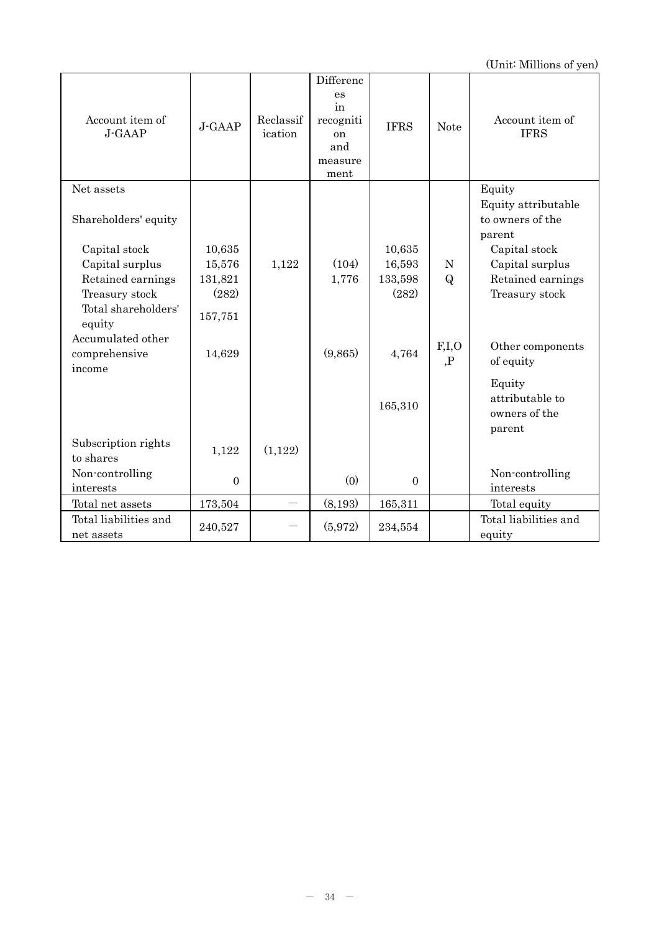| Account item of<br>J-GAAP                    | J-GAAP         | Reclassif<br>ication | Differenc<br>es<br>in<br>recogniti<br>on<br>and<br>measure<br>ment | <b>IFRS</b>    | <b>Note</b>  | Account item of<br><b>IFRS</b>                    |
|----------------------------------------------|----------------|----------------------|--------------------------------------------------------------------|----------------|--------------|---------------------------------------------------|
| Net assets                                   |                |                      |                                                                    |                |              | Equity                                            |
| Shareholders' equity                         |                |                      |                                                                    |                |              | Equity attributable<br>to owners of the<br>parent |
| Capital stock                                | 10,635         |                      |                                                                    | 10,635         |              | Capital stock                                     |
| Capital surplus                              | 15,576         | 1,122                | (104)                                                              | 16,593         | ${\rm N}$    | Capital surplus                                   |
| Retained earnings                            | 131,821        |                      | 1,776                                                              | 133,598        | $\mathbf{Q}$ | Retained earnings                                 |
| Treasury stock                               | (282)          |                      |                                                                    | (282)          |              | Treasury stock                                    |
| Total shareholders'<br>equity                | 157,751        |                      |                                                                    |                |              |                                                   |
| Accumulated other<br>comprehensive<br>income | 14,629         |                      | (9,865)                                                            | 4,764          | F,I,O<br>, P | Other components<br>of equity                     |
|                                              |                |                      |                                                                    |                |              | Equity                                            |
|                                              |                |                      |                                                                    | 165,310        |              | attributable to<br>owners of the<br>parent        |
| Subscription rights<br>to shares             | 1,122          | (1,122)              |                                                                    |                |              |                                                   |
| Non-controlling<br>interests                 | $\overline{0}$ |                      | (0)                                                                | $\overline{0}$ |              | Non-controlling<br>interests                      |
| Total net assets                             | 173,504        |                      | (8,193)                                                            | 165,311        |              | Total equity                                      |
| Total liabilities and                        |                |                      |                                                                    |                |              | Total liabilities and                             |
| net assets                                   | 240,527        |                      | (5,972)                                                            | 234,554        |              | equity                                            |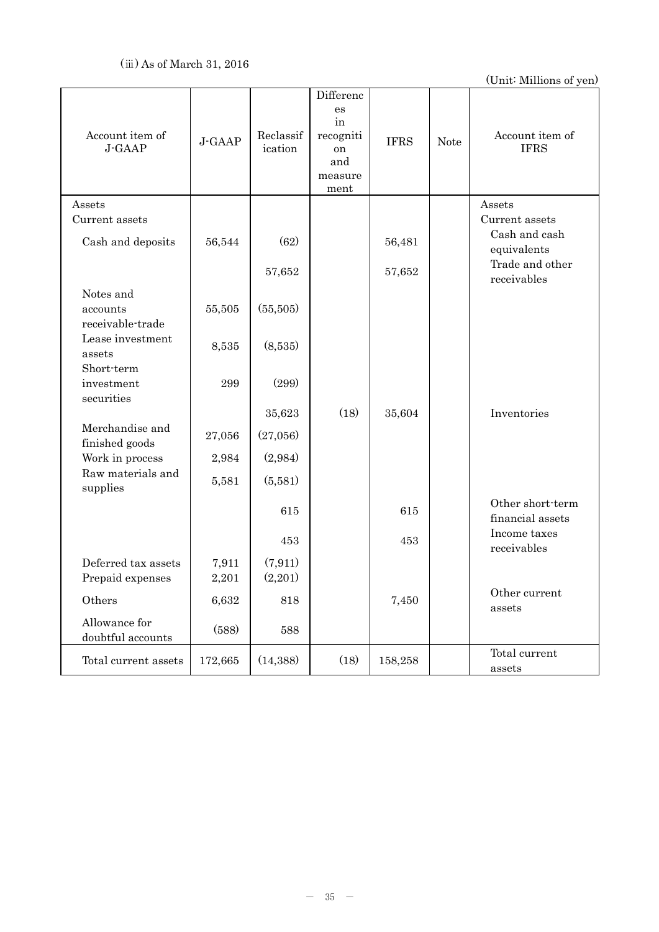| Account item of<br>J-GAAP                 | J-GAAP         | Reclassif<br>ication | Differenc<br>es<br>in<br>recogniti<br>on<br>and<br>measure<br>ment | <b>IFRS</b> | <b>Note</b> | Account item of<br><b>IFRS</b>       |
|-------------------------------------------|----------------|----------------------|--------------------------------------------------------------------|-------------|-------------|--------------------------------------|
| Assets                                    |                |                      |                                                                    |             |             | Assets                               |
| Current assets                            |                |                      |                                                                    |             |             | Current assets                       |
| Cash and deposits                         | 56,544         | (62)                 |                                                                    | 56,481      |             | Cash and cash<br>equivalents         |
|                                           |                | 57,652               |                                                                    | 57,652      |             | Trade and other<br>receivables       |
| Notes and<br>accounts<br>receivable-trade | 55,505         | (55,505)             |                                                                    |             |             |                                      |
| Lease investment<br>assets                | 8,535          | (8,535)              |                                                                    |             |             |                                      |
| Short-term<br>investment<br>securities    | 299            | (299)                |                                                                    |             |             |                                      |
|                                           |                | 35,623               | (18)                                                               | 35,604      |             | Inventories                          |
| Merchandise and<br>finished goods         | 27,056         | (27,056)             |                                                                    |             |             |                                      |
| Work in process                           | 2,984          | (2,984)              |                                                                    |             |             |                                      |
| Raw materials and<br>supplies             | 5,581          | (5,581)              |                                                                    |             |             |                                      |
|                                           |                | 615                  |                                                                    | 615         |             | Other short-term<br>financial assets |
|                                           |                | 453                  |                                                                    | 453         |             | Income taxes<br>receivables          |
| Deferred tax assets<br>Prepaid expenses   | 7,911<br>2,201 | (7, 911)<br>(2,201)  |                                                                    |             |             |                                      |
| Others                                    | 6,632          | 818                  |                                                                    | 7,450       |             | Other current<br>assets              |
| Allowance for<br>doubtful accounts        | (588)          | 588                  |                                                                    |             |             |                                      |
| Total current assets                      | 172,665        | (14, 388)            | (18)                                                               | 158,258     |             | Total current<br>assets              |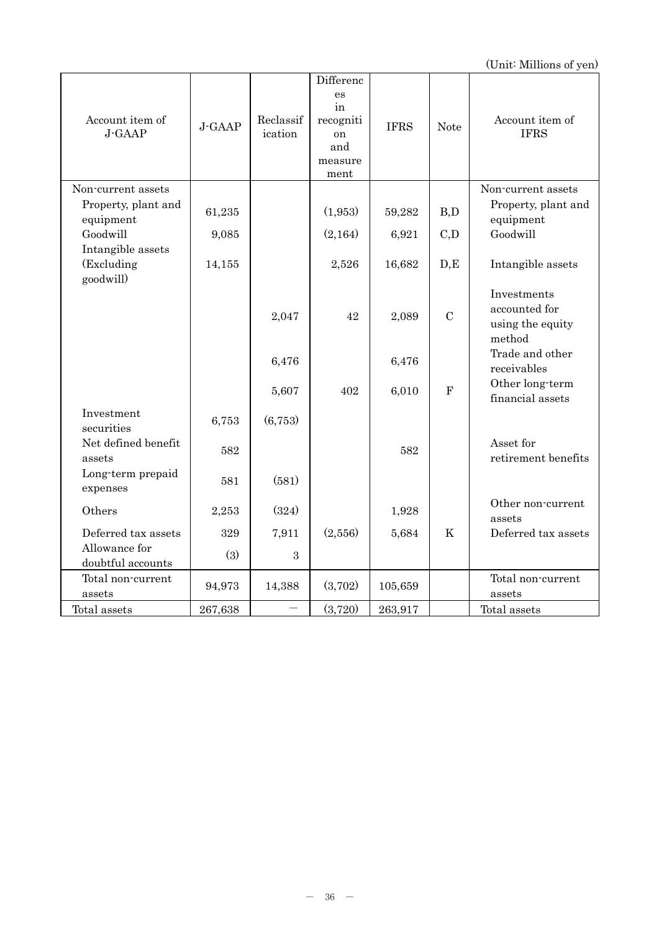|                           |         |                      | Differenc       |             |                  |                                |
|---------------------------|---------|----------------------|-----------------|-------------|------------------|--------------------------------|
|                           |         |                      | es<br>in        |             |                  |                                |
| Account item of<br>J-GAAP | J-GAAP  | Reclassif<br>ication | recogniti<br>on | <b>IFRS</b> | <b>Note</b>      | Account item of<br><b>IFRS</b> |
|                           |         |                      | and             |             |                  |                                |
|                           |         |                      | measure         |             |                  |                                |
|                           |         |                      | ment            |             |                  |                                |
| Non-current assets        |         |                      |                 |             |                  | Non-current assets             |
| Property, plant and       | 61,235  |                      | (1,953)         | 59,282      | B,D              | Property, plant and            |
| equipment<br>Goodwill     | 9,085   |                      | (2,164)         | 6,921       | C,D              | equipment<br>Goodwill          |
| Intangible assets         |         |                      |                 |             |                  |                                |
| (Excluding                | 14,155  |                      | 2,526           | 16,682      | D,E              | Intangible assets              |
| goodwill)                 |         |                      |                 |             |                  | Investments                    |
|                           |         |                      |                 |             |                  | accounted for                  |
|                           |         | 2,047                | 42              | 2,089       | $\mathcal{C}$    | using the equity               |
|                           |         |                      |                 |             |                  | method                         |
|                           |         | 6,476                |                 | 6,476       |                  | Trade and other                |
|                           |         |                      |                 |             |                  | receivables                    |
|                           |         | 5,607                | 402             | 6,010       | $\mathbf{F}$     | Other long-term                |
| Investment                |         |                      |                 |             |                  | financial assets               |
| securities                | 6,753   | (6,753)              |                 |             |                  |                                |
| Net defined benefit       |         |                      |                 |             |                  | Asset for                      |
| assets                    | 582     |                      |                 | 582         |                  | retirement benefits            |
| Long-term prepaid         | 581     | (581)                |                 |             |                  |                                |
| expenses                  |         |                      |                 |             |                  |                                |
| Others                    | 2,253   | (324)                |                 | 1,928       |                  | Other non-current              |
| Deferred tax assets       |         |                      |                 |             |                  | assets<br>Deferred tax assets  |
| Allowance for             | 329     | 7,911                | (2,556)         | 5,684       | $\boldsymbol{K}$ |                                |
| doubtful accounts         | (3)     | 3                    |                 |             |                  |                                |
| Total non-current         |         |                      |                 |             |                  | Total non-current              |
| assets                    | 94,973  | 14,388               | (3,702)         | 105,659     |                  | assets                         |
| Total assets              | 267,638 |                      | (3,720)         | 263,917     |                  | Total assets                   |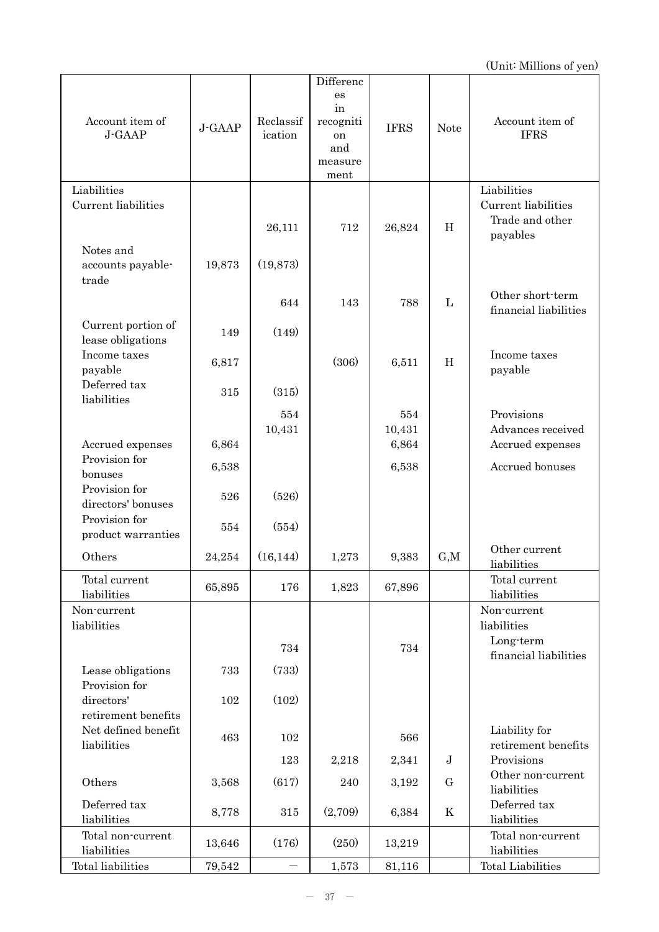| Account item of<br>J-GAAP               | J-GAAP | Reclassif<br>ication | Differenc<br>es<br>in<br>recogniti<br>on<br>and<br>measure<br>ment | <b>IFRS</b> | <b>Note</b>  | Account item of<br><b>IFRS</b>                     |
|-----------------------------------------|--------|----------------------|--------------------------------------------------------------------|-------------|--------------|----------------------------------------------------|
| Liabilities                             |        |                      |                                                                    |             |              | Liabilities                                        |
| Current liabilities<br>Notes and        |        | 26,111               | 712                                                                | 26,824      | H            | Current liabilities<br>Trade and other<br>payables |
| accounts payable-<br>trade              | 19,873 | (19,873)             |                                                                    |             |              |                                                    |
|                                         |        | 644                  | 143                                                                | 788         | $\mathbf{L}$ | Other short-term<br>financial liabilities          |
| Current portion of<br>lease obligations | 149    | (149)                |                                                                    |             |              |                                                    |
| Income taxes<br>payable                 | 6,817  |                      | (306)                                                              | 6,511       | H            | Income taxes<br>payable                            |
| Deferred tax<br>liabilities             | 315    | (315)                |                                                                    |             |              |                                                    |
|                                         |        | 554                  |                                                                    | 554         |              | Provisions                                         |
|                                         |        | 10,431               |                                                                    | 10,431      |              | Advances received                                  |
| Accrued expenses<br>Provision for       | 6,864  |                      |                                                                    | 6,864       |              | Accrued expenses                                   |
| bonuses                                 | 6,538  |                      |                                                                    | 6,538       |              | Accrued bonuses                                    |
| Provision for<br>directors' bonuses     | 526    | (526)                |                                                                    |             |              |                                                    |
| Provision for<br>product warranties     | 554    | (554)                |                                                                    |             |              |                                                    |
| Others                                  | 24,254 | (16, 144)            | 1,273                                                              | 9,383       | G, M         | Other current<br>liabilities                       |
| Total current<br>liabilities            | 65,895 | 176                  | 1,823                                                              | 67,896      |              | Total current<br>liabilities                       |
| Non-current<br>liabilities              |        |                      |                                                                    |             |              | Non-current<br>liabilities                         |
|                                         |        | 734                  |                                                                    | 734         |              | Long-term<br>financial liabilities                 |
| Lease obligations<br>Provision for      | 733    | (733)                |                                                                    |             |              |                                                    |
| directors'<br>retirement benefits       | 102    | (102)                |                                                                    |             |              |                                                    |
| Net defined benefit<br>liabilities      | 463    | 102                  |                                                                    | 566         |              | Liability for<br>retirement benefits               |
|                                         |        | 123                  | 2,218                                                              | 2,341       | $\mathbf J$  | Provisions                                         |
| Others                                  | 3,568  | (617)                | 240                                                                | 3,192       | G            | Other non-current<br>liabilities                   |
| Deferred tax<br>liabilities             | 8,778  | 315                  | (2,709)                                                            | 6,384       | K            | Deferred tax<br>liabilities                        |
| Total non-current<br>liabilities        | 13,646 | (176)                | (250)                                                              | 13,219      |              | Total non-current<br>liabilities                   |
| Total liabilities                       | 79,542 |                      | 1,573                                                              | 81,116      |              | <b>Total Liabilities</b>                           |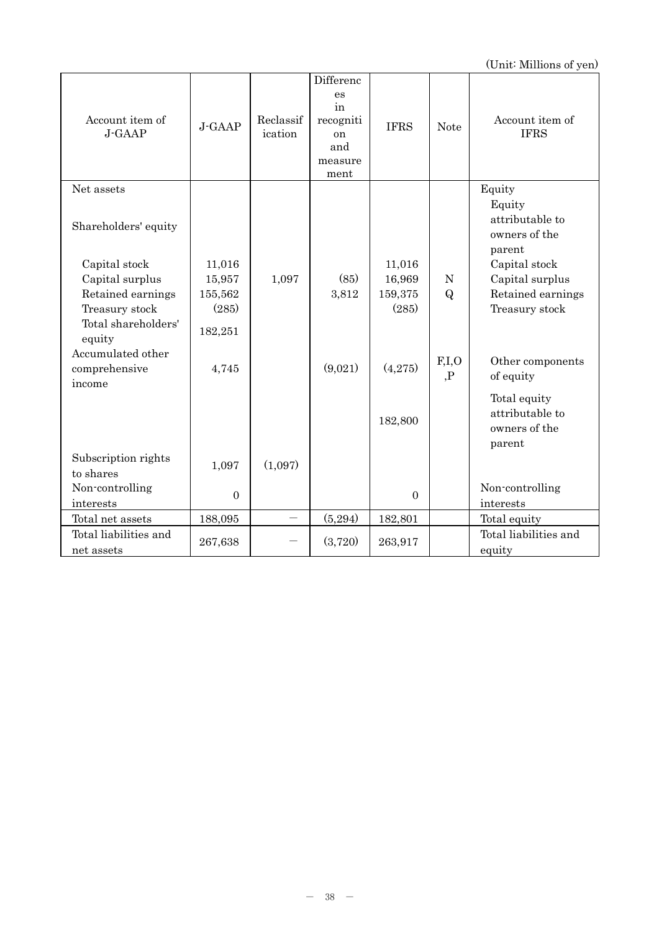| Account item of<br>J-GAAP                                                                 | J-GAAP                      | Reclassif<br>ication | Differenc<br>es<br>in<br>recogniti<br><sub>on</sub><br>and<br>measure<br>ment | <b>IFRS</b>        | <b>Note</b>  | Account item of<br><b>IFRS</b>                                                                     |
|-------------------------------------------------------------------------------------------|-----------------------------|----------------------|-------------------------------------------------------------------------------|--------------------|--------------|----------------------------------------------------------------------------------------------------|
| Net assets<br>Shareholders' equity<br>Capital stock<br>Capital surplus                    | 11,016<br>15,957            | 1,097                | (85)                                                                          | 11,016<br>16,969   | $\mathbf N$  | Equity<br>Equity<br>attributable to<br>owners of the<br>parent<br>Capital stock<br>Capital surplus |
| Retained earnings<br>Treasury stock<br>Total shareholders'<br>equity<br>Accumulated other | 155,562<br>(285)<br>182,251 |                      | 3,812                                                                         | 159,375<br>(285)   | $\mathbf{Q}$ | Retained earnings<br>Treasury stock                                                                |
| comprehensive<br>income                                                                   | 4,745                       |                      | (9,021)                                                                       | (4,275)<br>182,800 | F,I,O<br>, P | Other components<br>of equity<br>Total equity<br>attributable to<br>owners of the<br>parent        |
| Subscription rights<br>to shares                                                          | 1,097                       | (1,097)              |                                                                               |                    |              |                                                                                                    |
| Non-controlling<br>interests                                                              | $\mathbf{0}$                |                      |                                                                               | $\overline{0}$     |              | Non-controlling<br>interests                                                                       |
| Total net assets                                                                          | 188,095                     |                      | (5,294)                                                                       | 182,801            |              | Total equity                                                                                       |
| Total liabilities and<br>net assets                                                       | 267,638                     |                      | (3,720)                                                                       | 263,917            |              | Total liabilities and<br>equity                                                                    |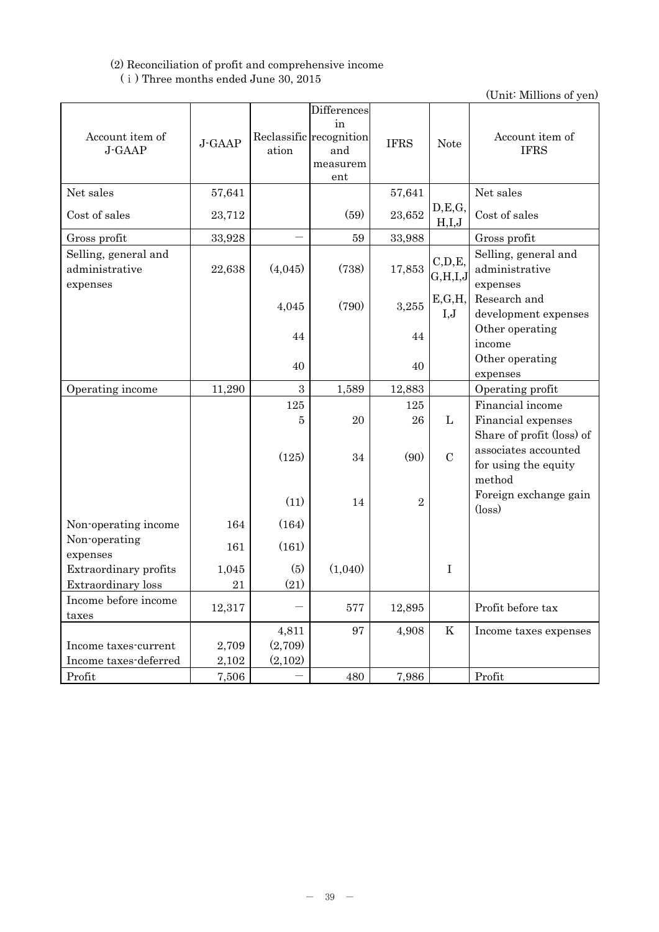# (2) Reconciliation of profit and comprehensive income (ⅰ) Three months ended June 30, 2015

| Account item of<br>J-GAAP                          | J-GAAP      | ation       | Differences<br>in<br>Reclassific recognition<br>and<br>measurem<br>ent | <b>IFRS</b> | <b>Note</b>         | Account item of<br><b>IFRS</b>                                      |
|----------------------------------------------------|-------------|-------------|------------------------------------------------------------------------|-------------|---------------------|---------------------------------------------------------------------|
| Net sales                                          | 57,641      |             |                                                                        | 57,641      |                     | Net sales                                                           |
| Cost of sales                                      | 23,712      |             | (59)                                                                   | 23,652      | D, E, G,<br>H,I,J   | Cost of sales                                                       |
| Gross profit                                       | 33,928      |             | 59                                                                     | 33,988      |                     | Gross profit                                                        |
| Selling, general and<br>administrative<br>expenses | 22,638      | (4,045)     | (738)                                                                  | 17,853      | C, D, E,<br>G,H,I,J | Selling, general and<br>administrative<br>expenses                  |
|                                                    |             | 4,045       | (790)                                                                  | 3,255       | E, G, H,<br>I,J     | Research and<br>development expenses                                |
|                                                    |             | 44          |                                                                        | 44          |                     | Other operating<br>income                                           |
|                                                    |             | 40          |                                                                        | 40          |                     | Other operating<br>expenses                                         |
| Operating income                                   | 11,290      | 3           | 1,589                                                                  | 12,883      |                     | Operating profit                                                    |
|                                                    |             | 125<br>5    | 20                                                                     | 125<br>26   | $\mathbf L$         | Financial income<br>Financial expenses<br>Share of profit (loss) of |
|                                                    |             | (125)       | 34                                                                     | (90)        | $\mathcal{C}$       | associates accounted<br>for using the equity<br>method              |
|                                                    |             | (11)        | 14                                                                     | $\sqrt{2}$  |                     | Foreign exchange gain<br>$(\text{loss})$                            |
| Non-operating income                               | 164         | (164)       |                                                                        |             |                     |                                                                     |
| Non-operating<br>expenses                          | 161         | (161)       |                                                                        |             |                     |                                                                     |
| Extraordinary profits<br>Extraordinary loss        | 1,045<br>21 | (5)<br>(21) | (1,040)                                                                |             | $\mathbf I$         |                                                                     |
| Income before income<br>taxes                      | 12,317      |             | 577                                                                    | 12,895      |                     | Profit before tax                                                   |
|                                                    |             | 4,811       | 97                                                                     | 4,908       | $\rm K$             | Income taxes expenses                                               |
| Income taxes-current                               | 2,709       | (2,709)     |                                                                        |             |                     |                                                                     |
| Income taxes-deferred                              | 2,102       | (2,102)     |                                                                        |             |                     |                                                                     |
| Profit                                             | 7,506       |             | 480                                                                    | 7,986       |                     | Profit                                                              |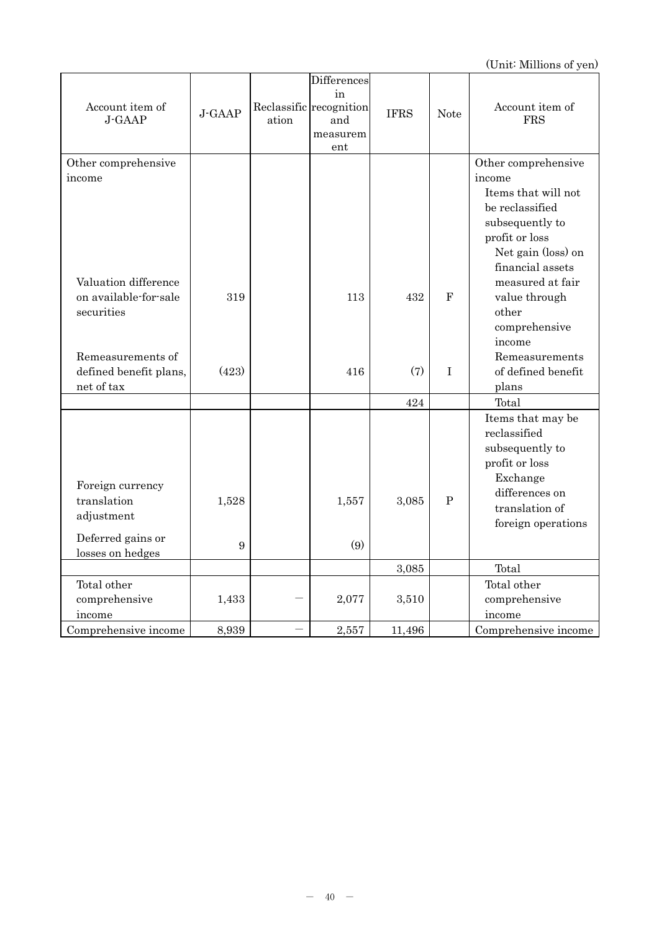| Account item of<br>J-GAAP | J-GAAP | ation | Differences<br>in<br>Reclassific recognition<br>and<br>measurem<br>ent | <b>IFRS</b> | <b>Note</b>  | Account item of<br><b>FRS</b> |
|---------------------------|--------|-------|------------------------------------------------------------------------|-------------|--------------|-------------------------------|
|                           |        |       |                                                                        |             |              |                               |
| Other comprehensive       |        |       |                                                                        |             |              | Other comprehensive           |
| income                    |        |       |                                                                        |             |              | income                        |
|                           |        |       |                                                                        |             |              | Items that will not           |
|                           |        |       |                                                                        |             |              | be reclassified               |
|                           |        |       |                                                                        |             |              | subsequently to               |
|                           |        |       |                                                                        |             |              | profit or loss                |
|                           |        |       |                                                                        |             |              | Net gain (loss) on            |
|                           |        |       |                                                                        |             |              | financial assets              |
| Valuation difference      |        |       |                                                                        |             |              | measured at fair              |
| on available-for-sale     | 319    |       | 113                                                                    | 432         | $\mathbf{F}$ | value through                 |
| securities                |        |       |                                                                        |             |              | other                         |
|                           |        |       |                                                                        |             |              | comprehensive                 |
|                           |        |       |                                                                        |             |              | income                        |
| Remeasurements of         |        |       |                                                                        |             |              | Remeasurements                |
| defined benefit plans,    | (423)  |       | 416                                                                    | (7)         | $\bf I$      | of defined benefit            |
| net of tax                |        |       |                                                                        |             |              | plans                         |
|                           |        |       |                                                                        | 424         |              | Total                         |
|                           |        |       |                                                                        |             |              | Items that may be             |
|                           |        |       |                                                                        |             |              | reclassified                  |
|                           |        |       |                                                                        |             |              | subsequently to               |
|                           |        |       |                                                                        |             |              | profit or loss                |
| Foreign currency          |        |       |                                                                        |             |              | Exchange                      |
| translation               | 1,528  |       | 1,557                                                                  | 3,085       | ${\bf P}$    | differences on                |
| adjustment                |        |       |                                                                        |             |              | translation of                |
|                           |        |       |                                                                        |             |              | foreign operations            |
| Deferred gains or         | 9      |       | (9)                                                                    |             |              |                               |
| losses on hedges          |        |       |                                                                        |             |              |                               |
|                           |        |       |                                                                        | 3,085       |              | Total                         |
| Total other               |        |       |                                                                        |             |              | Total other                   |
| comprehensive             | 1,433  |       | 2,077                                                                  | 3,510       |              | comprehensive                 |
| income                    |        |       |                                                                        |             |              | income                        |
| Comprehensive income      | 8,939  |       | 2,557                                                                  | 11,496      |              | Comprehensive income          |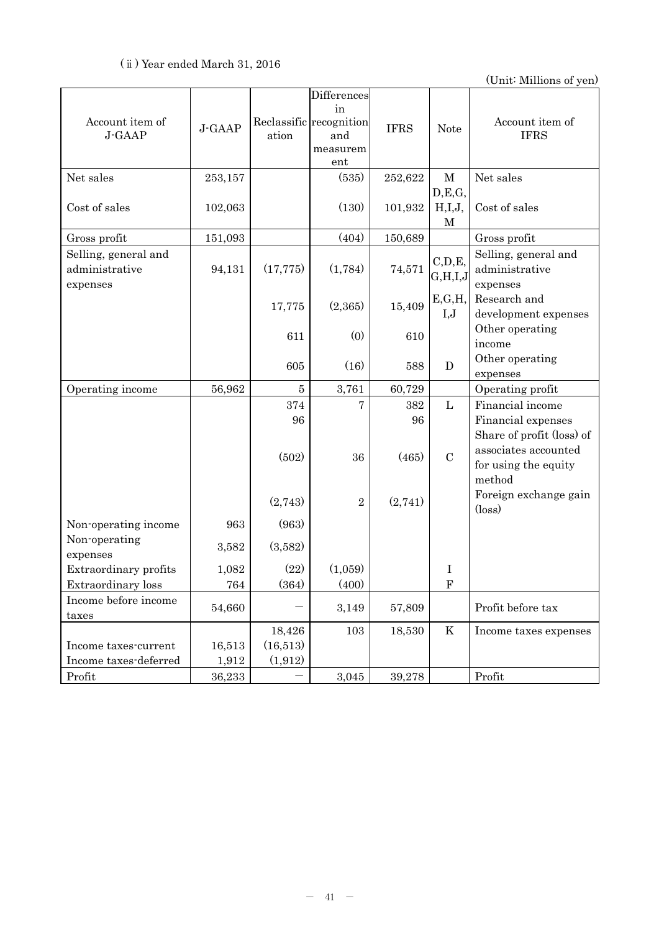| Account item of<br>J-GAAP                               | J-GAAP             | ation            | Differences<br>in<br>Reclassific recognition<br>and<br>measurem<br>ent | <b>IFRS</b> | <b>Note</b>             | Account item of<br><b>IFRS</b>                                                                  |
|---------------------------------------------------------|--------------------|------------------|------------------------------------------------------------------------|-------------|-------------------------|-------------------------------------------------------------------------------------------------|
| Net sales                                               | 253,157            |                  | (535)                                                                  | 252,622     | $\mathbf M$             | Net sales                                                                                       |
| Cost of sales                                           | 102,063            |                  | (130)                                                                  | 101,932     | D, E, G,<br>H,I,J,<br>M | Cost of sales                                                                                   |
| Gross profit                                            | 151,093            |                  | (404)                                                                  | 150,689     |                         | Gross profit                                                                                    |
| Selling, general and<br>administrative<br>expenses      | 94,131             | (17, 775)        | (1,784)                                                                | 74,571      | C, D, E,<br>G, H, I, J  | Selling, general and<br>administrative<br>expenses                                              |
|                                                         |                    | 17,775           | (2,365)                                                                | 15,409      | E,G,H,<br>I,J           | Research and<br>development expenses                                                            |
|                                                         |                    | 611              | (0)                                                                    | 610         |                         | Other operating<br>income                                                                       |
|                                                         |                    | 605              | (16)                                                                   | 588         | $\mathbf D$             | Other operating<br>expenses                                                                     |
| Operating income                                        | 56,962             | $\overline{5}$   | 3,761                                                                  | 60,729      |                         | Operating profit                                                                                |
|                                                         |                    | 374              | 7                                                                      | 382         | $\mathbf{L}$            | Financial income                                                                                |
|                                                         |                    | 96<br>(502)      | 36                                                                     | 96<br>(465) | $\mathcal{C}$           | Financial expenses<br>Share of profit (loss) of<br>associates accounted<br>for using the equity |
|                                                         |                    | (2,743)          | $\overline{2}$                                                         | (2,741)     |                         | method<br>Foreign exchange gain<br>$(\text{loss})$                                              |
| Non-operating income<br>Non-operating                   | 963<br>3,582       | (963)<br>(3,582) |                                                                        |             |                         |                                                                                                 |
| expenses<br>Extraordinary profits<br>Extraordinary loss | 1,082<br>$\bf 764$ | (22)<br>(364)    | (1,059)<br>(400)                                                       |             | I<br>${\bf F}$          |                                                                                                 |
| Income before income<br>taxes                           | 54,660             |                  | 3,149                                                                  | 57,809      |                         | Profit before tax                                                                               |
|                                                         |                    | 18,426           | 103                                                                    | 18,530      | K                       | Income taxes expenses                                                                           |
| Income taxes-current                                    | 16,513             | (16,513)         |                                                                        |             |                         |                                                                                                 |
| Income taxes-deferred                                   | 1,912              | (1,912)          |                                                                        |             |                         |                                                                                                 |
| Profit                                                  | 36,233             |                  | 3,045                                                                  | 39,278      |                         | Profit                                                                                          |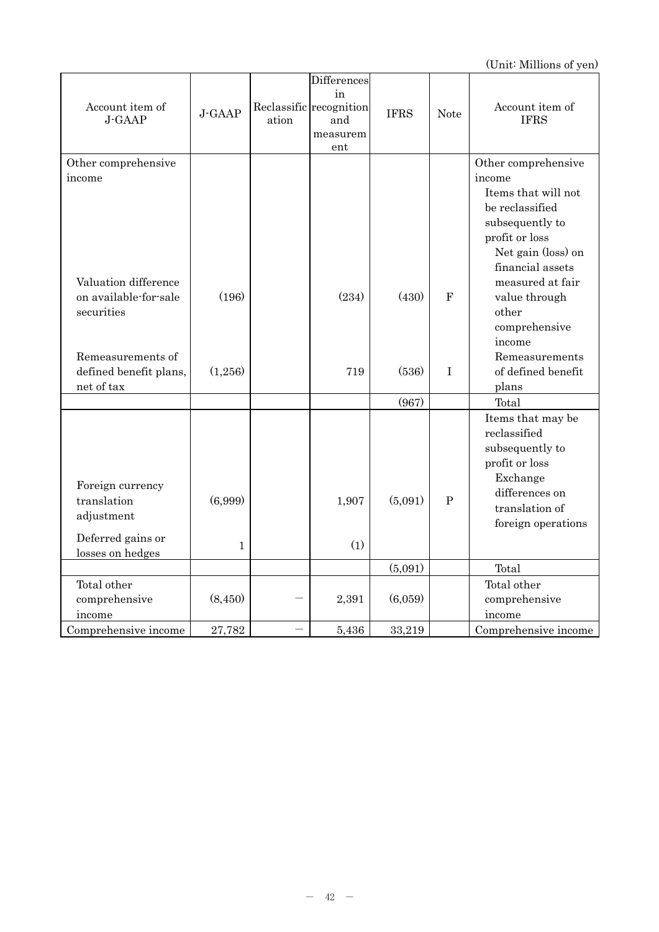| Account item of<br>J-GAAP | J-GAAP       | ation | Differences<br>in<br>Reclassific recognition<br>and<br>measurem<br>ent | <b>IFRS</b> | <b>Note</b>  | Account item of<br><b>IFRS</b> |
|---------------------------|--------------|-------|------------------------------------------------------------------------|-------------|--------------|--------------------------------|
| Other comprehensive       |              |       |                                                                        |             |              | Other comprehensive            |
| income                    |              |       |                                                                        |             |              | income                         |
|                           |              |       |                                                                        |             |              | Items that will not            |
|                           |              |       |                                                                        |             |              | be reclassified                |
|                           |              |       |                                                                        |             |              | subsequently to                |
|                           |              |       |                                                                        |             |              | profit or loss                 |
|                           |              |       |                                                                        |             |              | Net gain (loss) on             |
|                           |              |       |                                                                        |             |              | financial assets               |
| Valuation difference      |              |       |                                                                        |             |              | measured at fair               |
| on available-for-sale     | (196)        |       | (234)                                                                  | (430)       | $\mathbf{F}$ | value through                  |
| securities                |              |       |                                                                        |             |              | other                          |
|                           |              |       |                                                                        |             |              | comprehensive                  |
|                           |              |       |                                                                        |             |              | income                         |
| Remeasurements of         |              |       |                                                                        |             |              | Remeasurements                 |
| defined benefit plans,    | (1,256)      |       | 719                                                                    | (536)       | $\rm I$      | of defined benefit             |
| net of tax                |              |       |                                                                        |             |              | plans                          |
|                           |              |       |                                                                        | (967)       |              | Total                          |
|                           |              |       |                                                                        |             |              | Items that may be              |
|                           |              |       |                                                                        |             |              | $\rm{reclassified}$            |
|                           |              |       |                                                                        |             |              | subsequently to                |
|                           |              |       |                                                                        |             |              | profit or loss                 |
| Foreign currency          |              |       |                                                                        |             |              | Exchange                       |
| translation               | (6,999)      |       | 1,907                                                                  | (5,091)     | P            | differences on                 |
| adjustment                |              |       |                                                                        |             |              | translation of                 |
|                           |              |       |                                                                        |             |              | foreign operations             |
| Deferred gains or         | $\mathbf{1}$ |       | (1)                                                                    |             |              |                                |
| losses on hedges          |              |       |                                                                        |             |              |                                |
|                           |              |       |                                                                        | (5,091)     |              | Total                          |
| Total other               |              |       |                                                                        |             |              | Total other                    |
| comprehensive             | (8, 450)     |       | 2,391                                                                  | (6,059)     |              | comprehensive                  |
| income                    |              |       |                                                                        |             |              | income                         |
| Comprehensive income      | 27,782       |       | 5,436                                                                  | 33,219      |              | Comprehensive income           |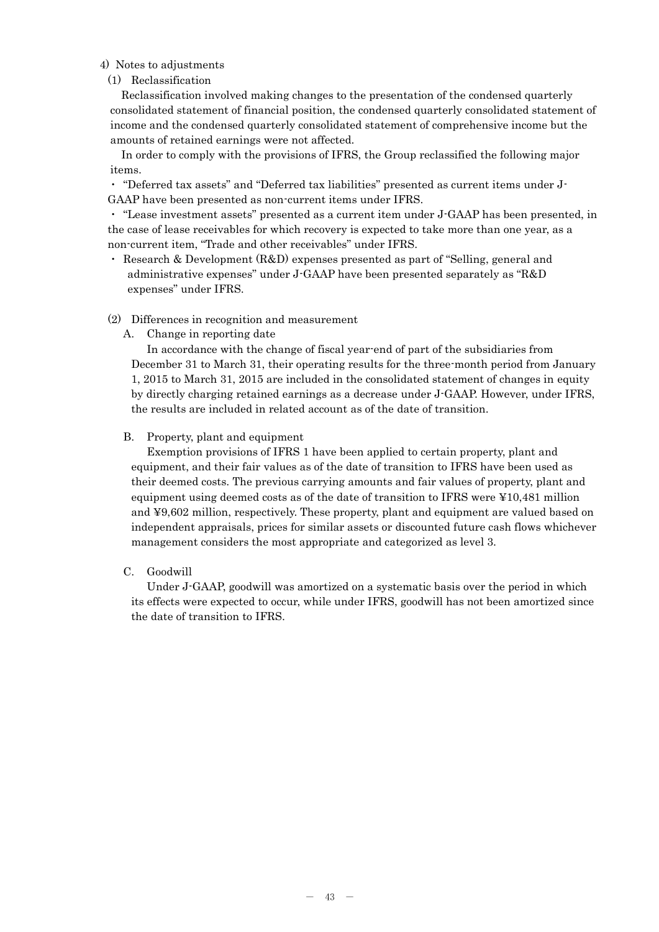## 4) Notes to adjustments

## (1) Reclassification

Reclassification involved making changes to the presentation of the condensed quarterly consolidated statement of financial position, the condensed quarterly consolidated statement of income and the condensed quarterly consolidated statement of comprehensive income but the amounts of retained earnings were not affected.

In order to comply with the provisions of IFRS, the Group reclassified the following major items.

・ "Deferred tax assets" and "Deferred tax liabilities" presented as current items under J-GAAP have been presented as non-current items under IFRS.

・ "Lease investment assets" presented as a current item under J-GAAP has been presented, in the case of lease receivables for which recovery is expected to take more than one year, as a non-current item, "Trade and other receivables" under IFRS.

・ Research & Development (R&D) expenses presented as part of "Selling, general and administrative expenses" under J-GAAP have been presented separately as "R&D expenses" under IFRS.

## (2) Differences in recognition and measurement

A. Change in reporting date

In accordance with the change of fiscal year-end of part of the subsidiaries from December 31 to March 31, their operating results for the three-month period from January 1, 2015 to March 31, 2015 are included in the consolidated statement of changes in equity by directly charging retained earnings as a decrease under J-GAAP. However, under IFRS, the results are included in related account as of the date of transition.

## B. Property, plant and equipment

Exemption provisions of IFRS 1 have been applied to certain property, plant and equipment, and their fair values as of the date of transition to IFRS have been used as their deemed costs. The previous carrying amounts and fair values of property, plant and equipment using deemed costs as of the date of transition to IFRS were ¥10,481 million and ¥9,602 million, respectively. These property, plant and equipment are valued based on independent appraisals, prices for similar assets or discounted future cash flows whichever management considers the most appropriate and categorized as level 3.

## C. Goodwill

Under J-GAAP, goodwill was amortized on a systematic basis over the period in which its effects were expected to occur, while under IFRS, goodwill has not been amortized since the date of transition to IFRS.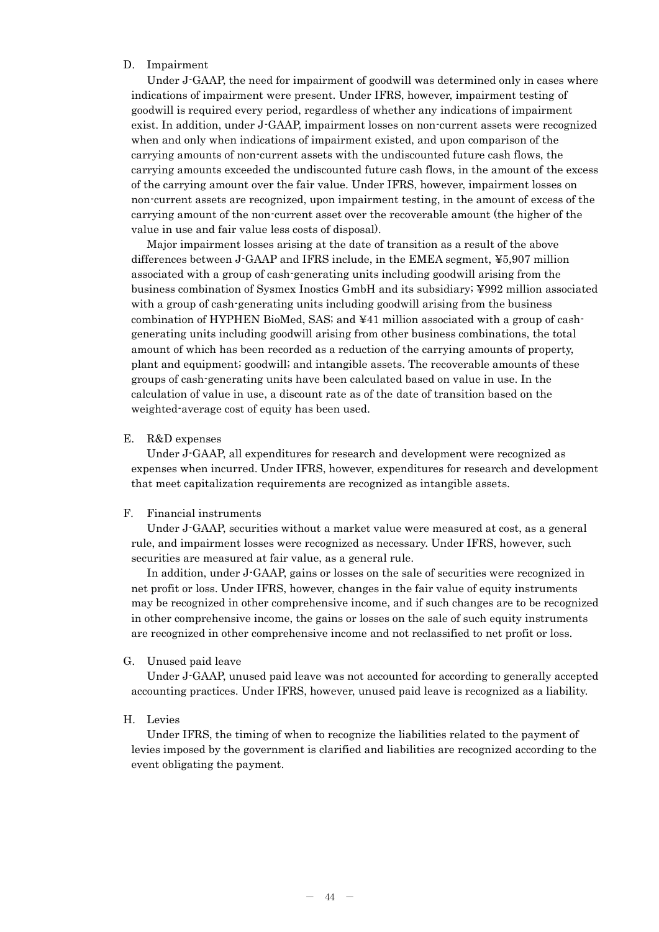## D. Impairment

Under J-GAAP, the need for impairment of goodwill was determined only in cases where indications of impairment were present. Under IFRS, however, impairment testing of goodwill is required every period, regardless of whether any indications of impairment exist. In addition, under J-GAAP, impairment losses on non-current assets were recognized when and only when indications of impairment existed, and upon comparison of the carrying amounts of non-current assets with the undiscounted future cash flows, the carrying amounts exceeded the undiscounted future cash flows, in the amount of the excess of the carrying amount over the fair value. Under IFRS, however, impairment losses on non-current assets are recognized, upon impairment testing, in the amount of excess of the carrying amount of the non-current asset over the recoverable amount (the higher of the value in use and fair value less costs of disposal).

Major impairment losses arising at the date of transition as a result of the above differences between J-GAAP and IFRS include, in the EMEA segment, ¥5,907 million associated with a group of cash-generating units including goodwill arising from the business combination of Sysmex Inostics GmbH and its subsidiary; ¥992 million associated with a group of cash-generating units including goodwill arising from the business combination of HYPHEN BioMed, SAS; and ¥41 million associated with a group of cashgenerating units including goodwill arising from other business combinations, the total amount of which has been recorded as a reduction of the carrying amounts of property, plant and equipment; goodwill; and intangible assets. The recoverable amounts of these groups of cash-generating units have been calculated based on value in use. In the calculation of value in use, a discount rate as of the date of transition based on the weighted-average cost of equity has been used.

#### E. R&D expenses

Under J-GAAP, all expenditures for research and development were recognized as expenses when incurred. Under IFRS, however, expenditures for research and development that meet capitalization requirements are recognized as intangible assets.

## F. Financial instruments

Under J-GAAP, securities without a market value were measured at cost, as a general rule, and impairment losses were recognized as necessary. Under IFRS, however, such securities are measured at fair value, as a general rule.

In addition, under J-GAAP, gains or losses on the sale of securities were recognized in net profit or loss. Under IFRS, however, changes in the fair value of equity instruments may be recognized in other comprehensive income, and if such changes are to be recognized in other comprehensive income, the gains or losses on the sale of such equity instruments are recognized in other comprehensive income and not reclassified to net profit or loss.

#### G. Unused paid leave

Under J-GAAP, unused paid leave was not accounted for according to generally accepted accounting practices. Under IFRS, however, unused paid leave is recognized as a liability.

#### H. Levies

Under IFRS, the timing of when to recognize the liabilities related to the payment of levies imposed by the government is clarified and liabilities are recognized according to the event obligating the payment.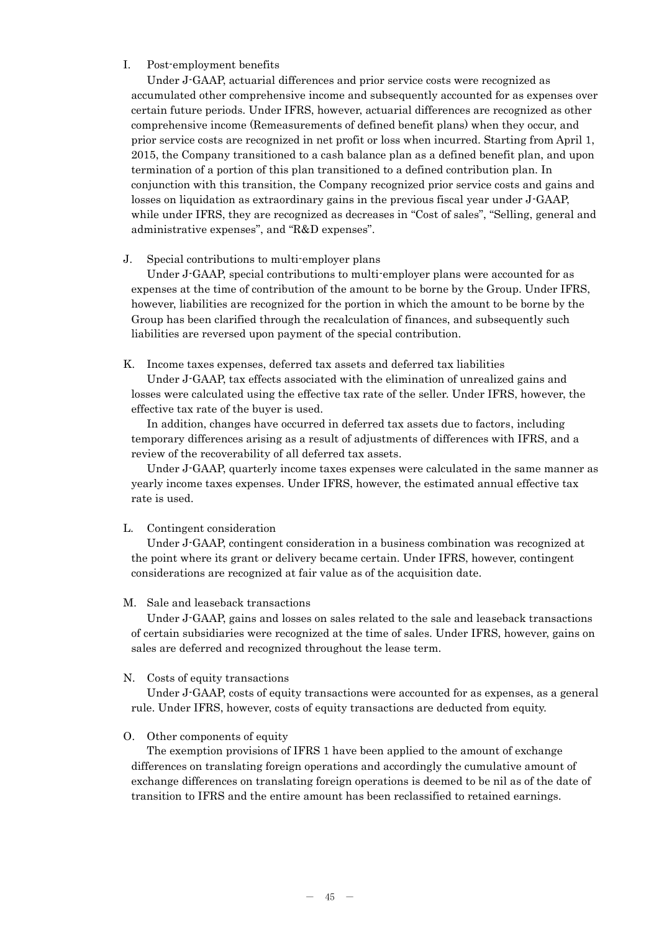## I. Post-employment benefits

Under J-GAAP, actuarial differences and prior service costs were recognized as accumulated other comprehensive income and subsequently accounted for as expenses over certain future periods. Under IFRS, however, actuarial differences are recognized as other comprehensive income (Remeasurements of defined benefit plans) when they occur, and prior service costs are recognized in net profit or loss when incurred. Starting from April 1, 2015, the Company transitioned to a cash balance plan as a defined benefit plan, and upon termination of a portion of this plan transitioned to a defined contribution plan. In conjunction with this transition, the Company recognized prior service costs and gains and losses on liquidation as extraordinary gains in the previous fiscal year under J-GAAP, while under IFRS, they are recognized as decreases in "Cost of sales", "Selling, general and administrative expenses", and "R&D expenses".

## J. Special contributions to multi-employer plans

Under J-GAAP, special contributions to multi-employer plans were accounted for as expenses at the time of contribution of the amount to be borne by the Group. Under IFRS, however, liabilities are recognized for the portion in which the amount to be borne by the Group has been clarified through the recalculation of finances, and subsequently such liabilities are reversed upon payment of the special contribution.

K. Income taxes expenses, deferred tax assets and deferred tax liabilities

Under J-GAAP, tax effects associated with the elimination of unrealized gains and losses were calculated using the effective tax rate of the seller. Under IFRS, however, the effective tax rate of the buyer is used.

In addition, changes have occurred in deferred tax assets due to factors, including temporary differences arising as a result of adjustments of differences with IFRS, and a review of the recoverability of all deferred tax assets.

Under J-GAAP, quarterly income taxes expenses were calculated in the same manner as yearly income taxes expenses. Under IFRS, however, the estimated annual effective tax rate is used.

## L. Contingent consideration

Under J-GAAP, contingent consideration in a business combination was recognized at the point where its grant or delivery became certain. Under IFRS, however, contingent considerations are recognized at fair value as of the acquisition date.

## M. Sale and leaseback transactions

Under J-GAAP, gains and losses on sales related to the sale and leaseback transactions of certain subsidiaries were recognized at the time of sales. Under IFRS, however, gains on sales are deferred and recognized throughout the lease term.

## N. Costs of equity transactions

Under J-GAAP, costs of equity transactions were accounted for as expenses, as a general rule. Under IFRS, however, costs of equity transactions are deducted from equity.

## O. Other components of equity

The exemption provisions of IFRS 1 have been applied to the amount of exchange differences on translating foreign operations and accordingly the cumulative amount of exchange differences on translating foreign operations is deemed to be nil as of the date of transition to IFRS and the entire amount has been reclassified to retained earnings.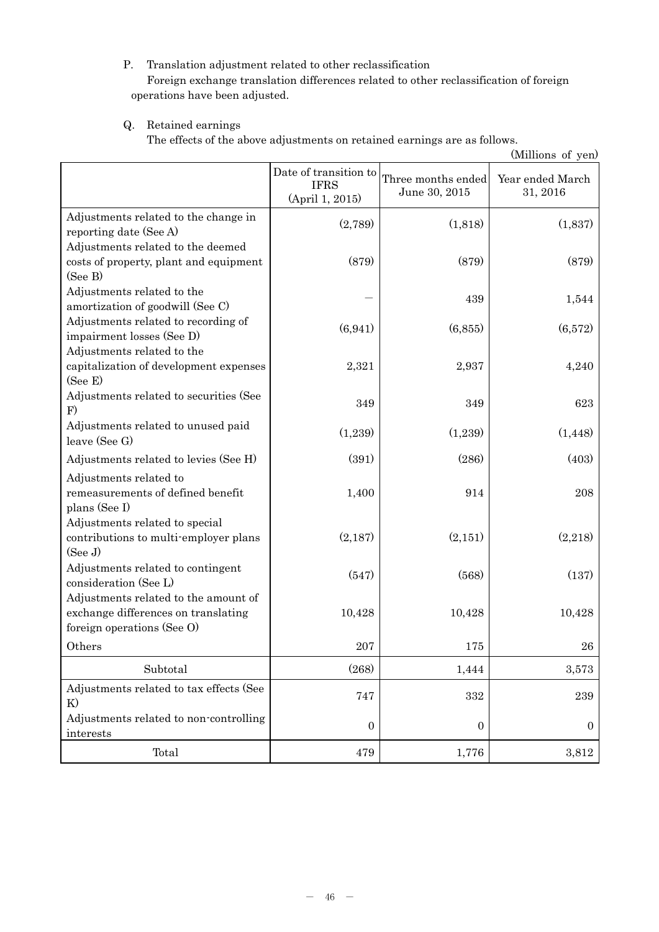# P. Translation adjustment related to other reclassification Foreign exchange translation differences related to other reclassification of foreign operations have been adjusted.

# Q. Retained earnings

The effects of the above adjustments on retained earnings are as follows.

| (Millions of yen)                                                                                         |                                                         |                                     |                              |
|-----------------------------------------------------------------------------------------------------------|---------------------------------------------------------|-------------------------------------|------------------------------|
|                                                                                                           | Date of transition to<br><b>IFRS</b><br>(April 1, 2015) | Three months ended<br>June 30, 2015 | Year ended March<br>31, 2016 |
| Adjustments related to the change in<br>reporting date (See A)                                            | (2,789)                                                 | (1,818)                             | (1,837)                      |
| Adjustments related to the deemed<br>costs of property, plant and equipment<br>(See B)                    | (879)                                                   | (879)                               | (879)                        |
| Adjustments related to the<br>amortization of goodwill (See C)                                            |                                                         | 439                                 | 1,544                        |
| Adjustments related to recording of<br>impairment losses (See D)<br>Adjustments related to the            | (6, 941)                                                | (6, 855)                            | (6,572)                      |
| capitalization of development expenses<br>(See E)                                                         | 2,321                                                   | 2,937                               | 4,240                        |
| Adjustments related to securities (See<br>F)                                                              | 349                                                     | 349                                 | 623                          |
| Adjustments related to unused paid<br>leave (See G)                                                       | (1,239)                                                 | (1,239)                             | (1, 448)                     |
| Adjustments related to levies (See H)                                                                     | (391)                                                   | (286)                               | (403)                        |
| Adjustments related to<br>remeasurements of defined benefit<br>plans (See I)                              | 1,400                                                   | 914                                 | 208                          |
| Adjustments related to special<br>contributions to multi-employer plans<br>(See J)                        | (2,187)                                                 | (2,151)                             | (2,218)                      |
| Adjustments related to contingent<br>consideration (See L)                                                | (547)                                                   | (568)                               | (137)                        |
| Adjustments related to the amount of<br>exchange differences on translating<br>foreign operations (See O) | 10,428                                                  | 10,428                              | 10,428                       |
| Others                                                                                                    | $207\,$                                                 | 175                                 | 26                           |
| Subtotal                                                                                                  | (268)                                                   | 1,444                               | 3,573                        |
| Adjustments related to tax effects (See<br>K)                                                             | 747                                                     | 332                                 | 239                          |
| Adjustments related to non-controlling<br>interests                                                       | $\boldsymbol{0}$                                        | $\boldsymbol{0}$                    | $\boldsymbol{0}$             |
| Total                                                                                                     | 479                                                     | 1,776                               | 3,812                        |